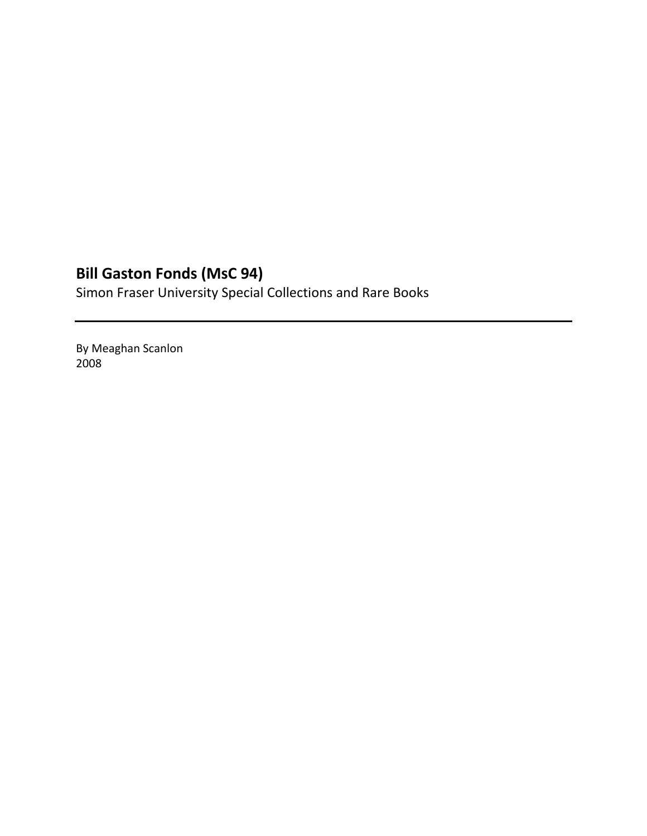# **Bill Gaston Fonds (MsC 94)**

Simon Fraser University Special Collections and Rare Books

By Meaghan Scanlon 2008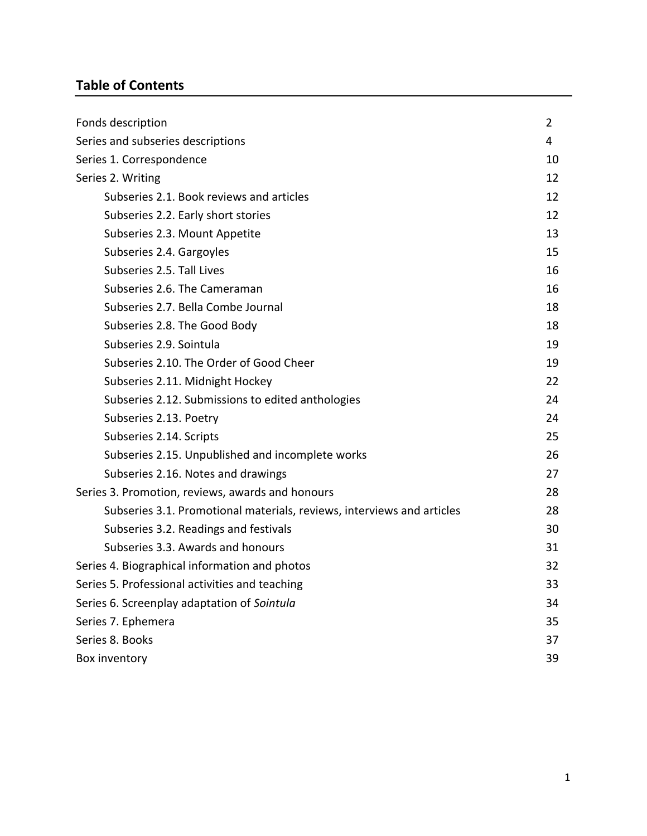# **Table of Contents**

| Fonds description                                                      | 2  |  |
|------------------------------------------------------------------------|----|--|
| Series and subseries descriptions<br>4                                 |    |  |
| Series 1. Correspondence                                               | 10 |  |
| Series 2. Writing                                                      | 12 |  |
| Subseries 2.1. Book reviews and articles                               | 12 |  |
| Subseries 2.2. Early short stories                                     | 12 |  |
| Subseries 2.3. Mount Appetite                                          | 13 |  |
| Subseries 2.4. Gargoyles                                               | 15 |  |
| Subseries 2.5. Tall Lives                                              | 16 |  |
| Subseries 2.6. The Cameraman                                           | 16 |  |
| Subseries 2.7. Bella Combe Journal                                     | 18 |  |
| Subseries 2.8. The Good Body                                           | 18 |  |
| Subseries 2.9. Sointula                                                | 19 |  |
| Subseries 2.10. The Order of Good Cheer                                | 19 |  |
| Subseries 2.11. Midnight Hockey                                        | 22 |  |
| Subseries 2.12. Submissions to edited anthologies                      | 24 |  |
| Subseries 2.13. Poetry                                                 | 24 |  |
| Subseries 2.14. Scripts                                                | 25 |  |
| Subseries 2.15. Unpublished and incomplete works                       | 26 |  |
| Subseries 2.16. Notes and drawings                                     | 27 |  |
| Series 3. Promotion, reviews, awards and honours                       | 28 |  |
| Subseries 3.1. Promotional materials, reviews, interviews and articles | 28 |  |
| Subseries 3.2. Readings and festivals                                  | 30 |  |
| Subseries 3.3. Awards and honours                                      | 31 |  |
| Series 4. Biographical information and photos                          | 32 |  |
| Series 5. Professional activities and teaching                         | 33 |  |
| Series 6. Screenplay adaptation of Sointula                            | 34 |  |
| Series 7. Ephemera                                                     | 35 |  |
| Series 8. Books                                                        | 37 |  |
| Box inventory                                                          | 39 |  |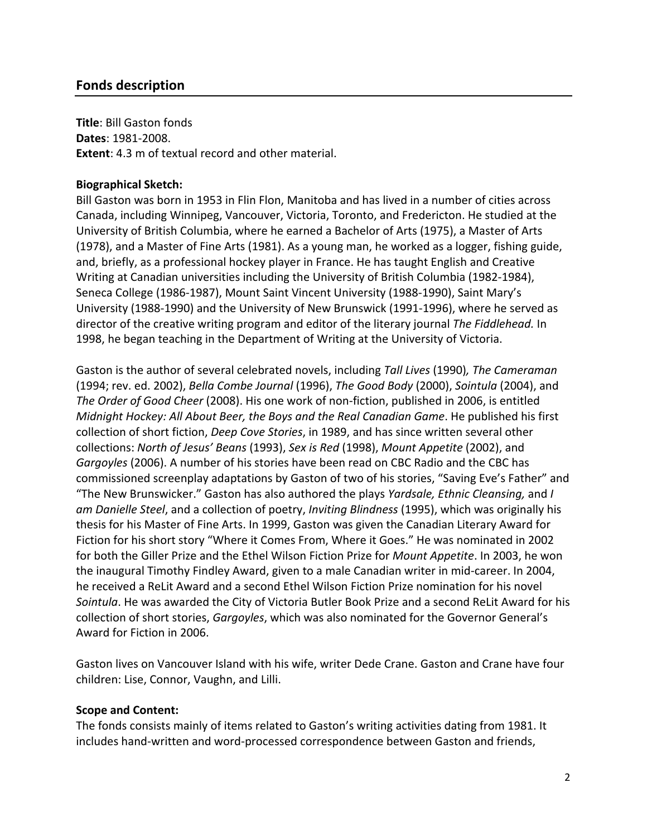## **Fonds description**

**Title**: Bill Gaston fonds **Dates**: 1981-2008. **Extent**: 4.3 m of textual record and other material.

## **Biographical Sketch:**

Bill Gaston was born in 1953 in Flin Flon, Manitoba and has lived in a number of cities across Canada, including Winnipeg, Vancouver, Victoria, Toronto, and Fredericton. He studied at the University of British Columbia, where he earned a Bachelor of Arts (1975), a Master of Arts (1978), and a Master of Fine Arts (1981). As a young man, he worked as a logger, fishing guide, and, briefly, as a professional hockey player in France. He has taught English and Creative Writing at Canadian universities including the University of British Columbia (1982-1984), Seneca College (1986-1987), Mount Saint Vincent University (1988-1990), Saint Mary's University (1988-1990) and the University of New Brunswick (1991-1996), where he served as director of the creative writing program and editor of the literary journal *The Fiddlehead.* In 1998, he began teaching in the Department of Writing at the University of Victoria.

Gaston is the author of several celebrated novels, including *Tall Lives* (1990)*, The Cameraman* (1994; rev. ed. 2002), *Bella Combe Journal* (1996), *The Good Body* (2000), *Sointula* (2004), and *The Order of Good Cheer* (2008). His one work of non-fiction, published in 2006, is entitled *Midnight Hockey: All About Beer, the Boys and the Real Canadian Game*. He published his first collection of short fiction, *Deep Cove Stories*, in 1989, and has since written several other collections: *North of Jesus' Beans* (1993), *Sex is Red* (1998), *Mount Appetite* (2002), and *Gargoyles* (2006). A number of his stories have been read on CBC Radio and the CBC has commissioned screenplay adaptations by Gaston of two of his stories, "Saving Eve's Father" and "The New Brunswicker." Gaston has also authored the plays *Yardsale, Ethnic Cleansing,* and *I am Danielle Steel*, and a collection of poetry, *Inviting Blindness* (1995), which was originally his thesis for his Master of Fine Arts. In 1999, Gaston was given the Canadian Literary Award for Fiction for his short story "Where it Comes From, Where it Goes." He was nominated in 2002 for both the Giller Prize and the Ethel Wilson Fiction Prize for *Mount Appetite*. In 2003, he won the inaugural Timothy Findley Award, given to a male Canadian writer in mid-career. In 2004, he received a ReLit Award and a second Ethel Wilson Fiction Prize nomination for his novel *Sointula*. He was awarded the City of Victoria Butler Book Prize and a second ReLit Award for his collection of short stories, *Gargoyles*, which was also nominated for the Governor General's Award for Fiction in 2006.

Gaston lives on Vancouver Island with his wife, writer Dede Crane. Gaston and Crane have four children: Lise, Connor, Vaughn, and Lilli.

#### **Scope and Content:**

The fonds consists mainly of items related to Gaston's writing activities dating from 1981. It includes hand-written and word-processed correspondence between Gaston and friends,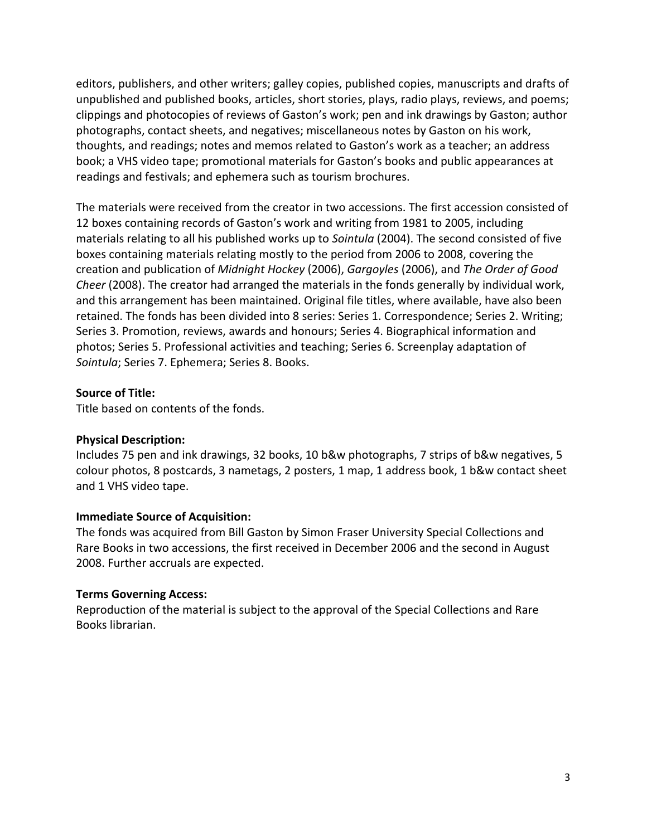editors, publishers, and other writers; galley copies, published copies, manuscripts and drafts of unpublished and published books, articles, short stories, plays, radio plays, reviews, and poems; clippings and photocopies of reviews of Gaston's work; pen and ink drawings by Gaston; author photographs, contact sheets, and negatives; miscellaneous notes by Gaston on his work, thoughts, and readings; notes and memos related to Gaston's work as a teacher; an address book; a VHS video tape; promotional materials for Gaston's books and public appearances at readings and festivals; and ephemera such as tourism brochures.

The materials were received from the creator in two accessions. The first accession consisted of 12 boxes containing records of Gaston's work and writing from 1981 to 2005, including materials relating to all his published works up to *Sointula* (2004). The second consisted of five boxes containing materials relating mostly to the period from 2006 to 2008, covering the creation and publication of *Midnight Hockey* (2006), *Gargoyles* (2006), and *The Order of Good Cheer* (2008). The creator had arranged the materials in the fonds generally by individual work, and this arrangement has been maintained. Original file titles, where available, have also been retained. The fonds has been divided into 8 series: Series 1. Correspondence; Series 2. Writing; Series 3. Promotion, reviews, awards and honours; Series 4. Biographical information and photos; Series 5. Professional activities and teaching; Series 6. Screenplay adaptation of *Sointula*; Series 7. Ephemera; Series 8. Books.

## **Source of Title:**

Title based on contents of the fonds.

## **Physical Description:**

Includes 75 pen and ink drawings, 32 books, 10 b&w photographs, 7 strips of b&w negatives, 5 colour photos, 8 postcards, 3 nametags, 2 posters, 1 map, 1 address book, 1 b&w contact sheet and 1 VHS video tape.

## **Immediate Source of Acquisition:**

The fonds was acquired from Bill Gaston by Simon Fraser University Special Collections and Rare Books in two accessions, the first received in December 2006 and the second in August 2008. Further accruals are expected.

## **Terms Governing Access:**

Reproduction of the material is subject to the approval of the Special Collections and Rare Books librarian.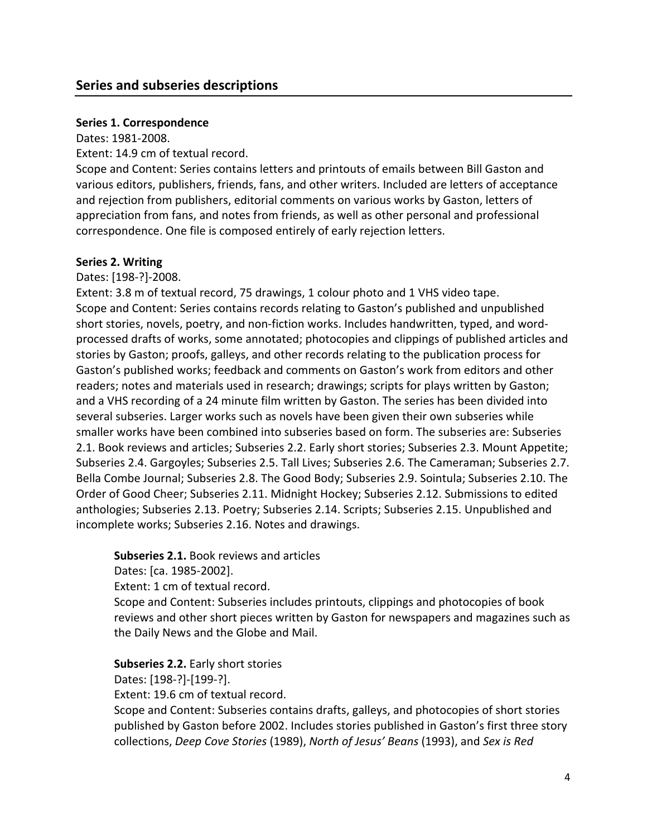## **Series and subseries descriptions**

## **Series 1. Correspondence**

Dates: 1981-2008.

Extent: 14.9 cm of textual record.

Scope and Content: Series contains letters and printouts of emails between Bill Gaston and various editors, publishers, friends, fans, and other writers. Included are letters of acceptance and rejection from publishers, editorial comments on various works by Gaston, letters of appreciation from fans, and notes from friends, as well as other personal and professional correspondence. One file is composed entirely of early rejection letters.

## **Series 2. Writing**

Dates: [198-?]-2008.

Extent: 3.8 m of textual record, 75 drawings, 1 colour photo and 1 VHS video tape. Scope and Content: Series contains records relating to Gaston's published and unpublished short stories, novels, poetry, and non-fiction works. Includes handwritten, typed, and wordprocessed drafts of works, some annotated; photocopies and clippings of published articles and stories by Gaston; proofs, galleys, and other records relating to the publication process for Gaston's published works; feedback and comments on Gaston's work from editors and other readers; notes and materials used in research; drawings; scripts for plays written by Gaston; and a VHS recording of a 24 minute film written by Gaston. The series has been divided into several subseries. Larger works such as novels have been given their own subseries while smaller works have been combined into subseries based on form. The subseries are: Subseries 2.1. Book reviews and articles; Subseries 2.2. Early short stories; Subseries 2.3. Mount Appetite; Subseries 2.4. Gargoyles; Subseries 2.5. Tall Lives; Subseries 2.6. The Cameraman; Subseries 2.7. Bella Combe Journal; Subseries 2.8. The Good Body; Subseries 2.9. Sointula; Subseries 2.10. The Order of Good Cheer; Subseries 2.11. Midnight Hockey; Subseries 2.12. Submissions to edited anthologies; Subseries 2.13. Poetry; Subseries 2.14. Scripts; Subseries 2.15. Unpublished and incomplete works; Subseries 2.16. Notes and drawings.

**Subseries 2.1.** Book reviews and articles

Dates: [ca. 1985-2002].

Extent: 1 cm of textual record.

Scope and Content: Subseries includes printouts, clippings and photocopies of book reviews and other short pieces written by Gaston for newspapers and magazines such as the Daily News and the Globe and Mail.

**Subseries 2.2.** Early short stories Dates: [198-?]-[199-?].

Extent: 19.6 cm of textual record.

Scope and Content: Subseries contains drafts, galleys, and photocopies of short stories published by Gaston before 2002. Includes stories published in Gaston's first three story collections, *Deep Cove Stories* (1989), *North of Jesus' Beans* (1993), and *Sex is Red*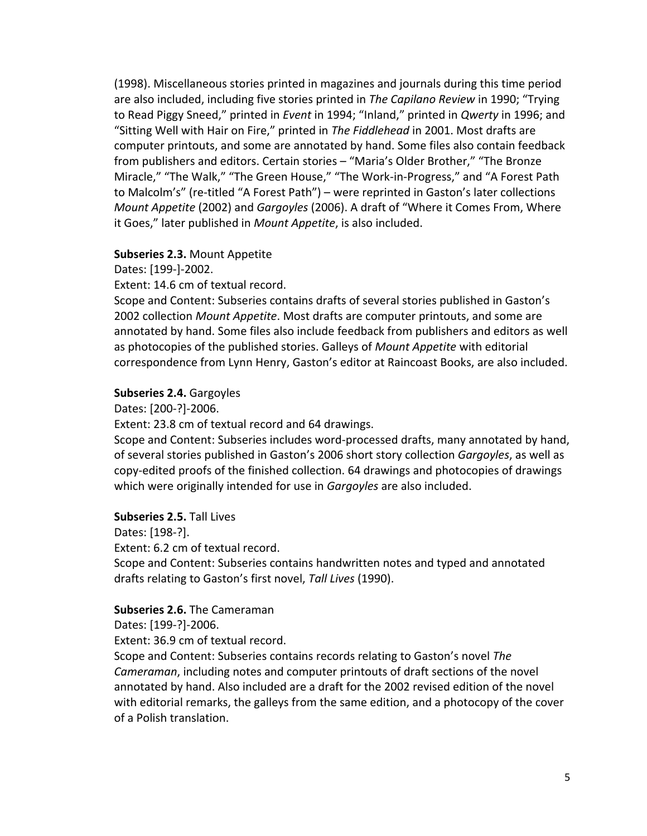(1998). Miscellaneous stories printed in magazines and journals during this time period are also included, including five stories printed in *The Capilano Review* in 1990; "Trying to Read Piggy Sneed," printed in *Event* in 1994; "Inland," printed in *Qwerty* in 1996; and "Sitting Well with Hair on Fire," printed in *The Fiddlehead* in 2001. Most drafts are computer printouts, and some are annotated by hand. Some files also contain feedback from publishers and editors. Certain stories – "Maria's Older Brother," "The Bronze Miracle," "The Walk," "The Green House," "The Work-in-Progress," and "A Forest Path to Malcolm's" (re-titled "A Forest Path") – were reprinted in Gaston's later collections *Mount Appetite* (2002) and *Gargoyles* (2006). A draft of "Where it Comes From, Where it Goes," later published in *Mount Appetite*, is also included.

#### **Subseries 2.3.** Mount Appetite

Dates: [199-]-2002.

Extent: 14.6 cm of textual record.

Scope and Content: Subseries contains drafts of several stories published in Gaston's 2002 collection *Mount Appetite*. Most drafts are computer printouts, and some are annotated by hand. Some files also include feedback from publishers and editors as well as photocopies of the published stories. Galleys of *Mount Appetite* with editorial correspondence from Lynn Henry, Gaston's editor at Raincoast Books, are also included.

## **Subseries 2.4.** Gargoyles

Dates: [200-?]-2006.

Extent: 23.8 cm of textual record and 64 drawings.

Scope and Content: Subseries includes word-processed drafts, many annotated by hand, of several stories published in Gaston's 2006 short story collection *Gargoyles*, as well as copy-edited proofs of the finished collection. 64 drawings and photocopies of drawings which were originally intended for use in *Gargoyles* are also included.

## **Subseries 2.5.** Tall Lives

Dates: [198-?].

Extent: 6.2 cm of textual record.

Scope and Content: Subseries contains handwritten notes and typed and annotated drafts relating to Gaston's first novel, *Tall Lives* (1990).

#### **Subseries 2.6.** The Cameraman

Dates: [199-?]-2006.

Extent: 36.9 cm of textual record.

Scope and Content: Subseries contains records relating to Gaston's novel *The Cameraman*, including notes and computer printouts of draft sections of the novel annotated by hand. Also included are a draft for the 2002 revised edition of the novel with editorial remarks, the galleys from the same edition, and a photocopy of the cover of a Polish translation.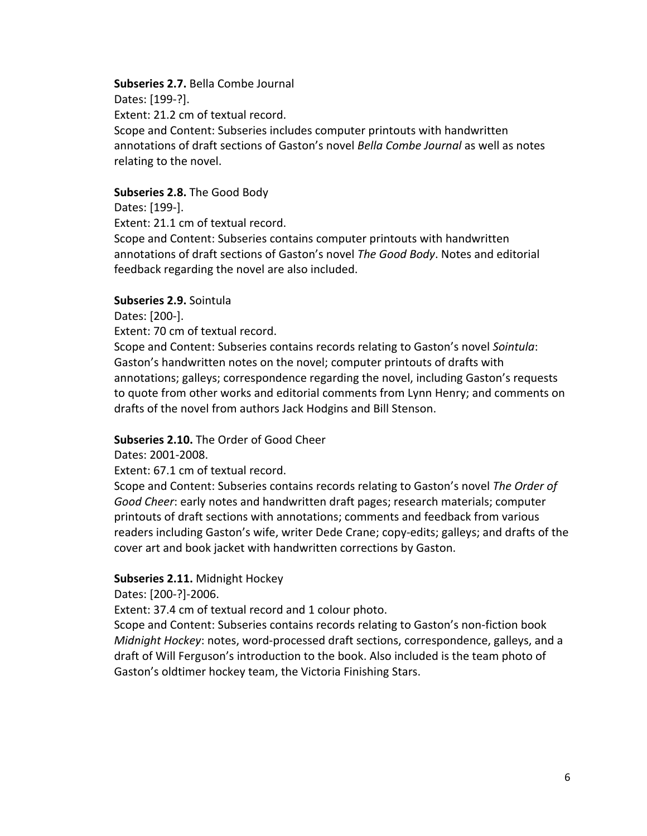#### **Subseries 2.7.** Bella Combe Journal

Dates: [199-?].

Extent: 21.2 cm of textual record.

Scope and Content: Subseries includes computer printouts with handwritten annotations of draft sections of Gaston's novel *Bella Combe Journal* as well as notes relating to the novel.

## **Subseries 2.8.** The Good Body

Dates: [199-].

Extent: 21.1 cm of textual record.

Scope and Content: Subseries contains computer printouts with handwritten annotations of draft sections of Gaston's novel *The Good Body*. Notes and editorial feedback regarding the novel are also included.

## **Subseries 2.9.** Sointula

Dates: [200-].

Extent: 70 cm of textual record.

Scope and Content: Subseries contains records relating to Gaston's novel *Sointula*: Gaston's handwritten notes on the novel; computer printouts of drafts with annotations; galleys; correspondence regarding the novel, including Gaston's requests to quote from other works and editorial comments from Lynn Henry; and comments on drafts of the novel from authors Jack Hodgins and Bill Stenson.

## **Subseries 2.10.** The Order of Good Cheer

Dates: 2001-2008.

Extent: 67.1 cm of textual record.

Scope and Content: Subseries contains records relating to Gaston's novel *The Order of Good Cheer*: early notes and handwritten draft pages; research materials; computer printouts of draft sections with annotations; comments and feedback from various readers including Gaston's wife, writer Dede Crane; copy-edits; galleys; and drafts of the cover art and book jacket with handwritten corrections by Gaston.

## **Subseries 2.11.** Midnight Hockey

Dates: [200-?]-2006.

Extent: 37.4 cm of textual record and 1 colour photo.

Scope and Content: Subseries contains records relating to Gaston's non-fiction book *Midnight Hockey*: notes, word-processed draft sections, correspondence, galleys, and a draft of Will Ferguson's introduction to the book. Also included is the team photo of Gaston's oldtimer hockey team, the Victoria Finishing Stars.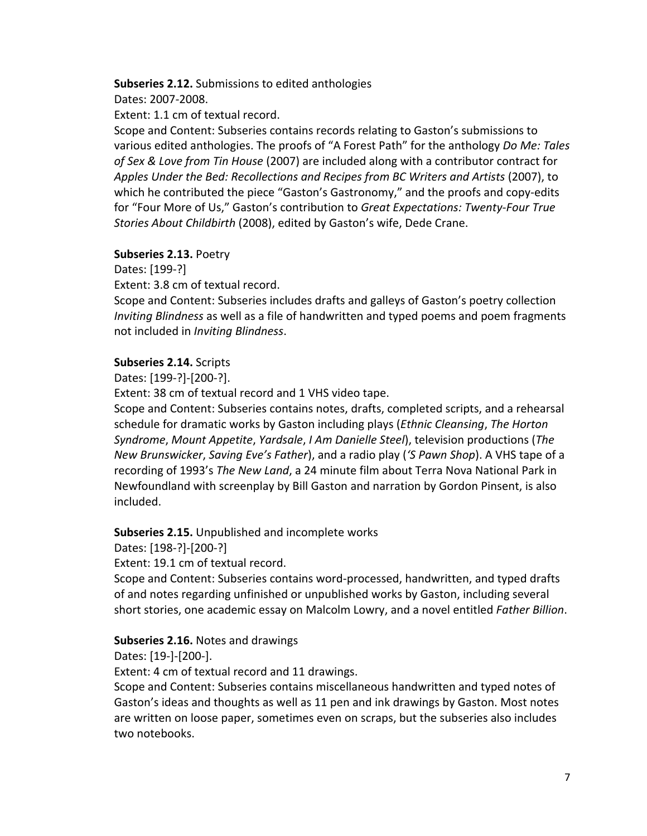## **Subseries 2.12.** Submissions to edited anthologies

Dates: 2007-2008.

Extent: 1.1 cm of textual record.

Scope and Content: Subseries contains records relating to Gaston's submissions to various edited anthologies. The proofs of "A Forest Path" for the anthology *Do Me: Tales of Sex & Love from Tin House* (2007) are included along with a contributor contract for *Apples Under the Bed: Recollections and Recipes from BC Writers and Artists* (2007), to which he contributed the piece "Gaston's Gastronomy," and the proofs and copy-edits for "Four More of Us," Gaston's contribution to *Great Expectations: Twenty-Four True Stories About Childbirth* (2008), edited by Gaston's wife, Dede Crane.

## **Subseries 2.13.** Poetry

Dates: [199-?]

Extent: 3.8 cm of textual record.

Scope and Content: Subseries includes drafts and galleys of Gaston's poetry collection *Inviting Blindness* as well as a file of handwritten and typed poems and poem fragments not included in *Inviting Blindness*.

## **Subseries 2.14.** Scripts

Dates: [199-?]-[200-?].

Extent: 38 cm of textual record and 1 VHS video tape.

Scope and Content: Subseries contains notes, drafts, completed scripts, and a rehearsal schedule for dramatic works by Gaston including plays (*Ethnic Cleansing*, *The Horton Syndrome*, *Mount Appetite*, *Yardsale*, *I Am Danielle Steel*), television productions (*The New Brunswicker*, *Saving Eve's Father*), and a radio play (*'S Pawn Shop*). A VHS tape of a recording of 1993's *The New Land*, a 24 minute film about Terra Nova National Park in Newfoundland with screenplay by Bill Gaston and narration by Gordon Pinsent, is also included.

**Subseries 2.15.** Unpublished and incomplete works

Dates: [198-?]-[200-?]

Extent: 19.1 cm of textual record.

Scope and Content: Subseries contains word-processed, handwritten, and typed drafts of and notes regarding unfinished or unpublished works by Gaston, including several short stories, one academic essay on Malcolm Lowry, and a novel entitled *Father Billion*.

## **Subseries 2.16.** Notes and drawings

Dates: [19-]-[200-].

Extent: 4 cm of textual record and 11 drawings.

Scope and Content: Subseries contains miscellaneous handwritten and typed notes of Gaston's ideas and thoughts as well as 11 pen and ink drawings by Gaston. Most notes are written on loose paper, sometimes even on scraps, but the subseries also includes two notebooks.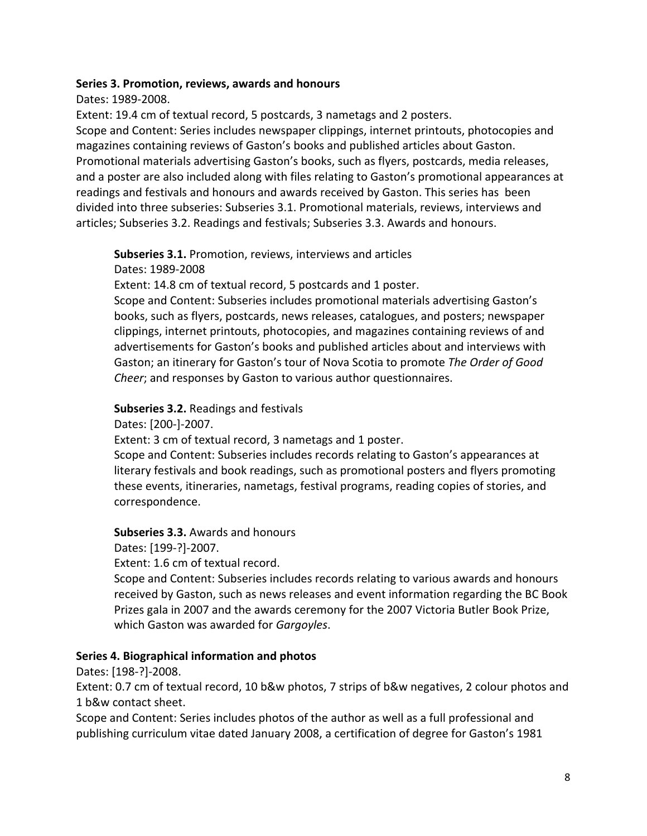## **Series 3. Promotion, reviews, awards and honours**

Dates: 1989-2008.

Extent: 19.4 cm of textual record, 5 postcards, 3 nametags and 2 posters.

Scope and Content: Series includes newspaper clippings, internet printouts, photocopies and magazines containing reviews of Gaston's books and published articles about Gaston. Promotional materials advertising Gaston's books, such as flyers, postcards, media releases, and a poster are also included along with files relating to Gaston's promotional appearances at readings and festivals and honours and awards received by Gaston. This series has been divided into three subseries: Subseries 3.1. Promotional materials, reviews, interviews and articles; Subseries 3.2. Readings and festivals; Subseries 3.3. Awards and honours.

**Subseries 3.1.** Promotion, reviews, interviews and articles Dates: 1989-2008

Extent: 14.8 cm of textual record, 5 postcards and 1 poster.

Scope and Content: Subseries includes promotional materials advertising Gaston's books, such as flyers, postcards, news releases, catalogues, and posters; newspaper clippings, internet printouts, photocopies, and magazines containing reviews of and advertisements for Gaston's books and published articles about and interviews with Gaston; an itinerary for Gaston's tour of Nova Scotia to promote *The Order of Good Cheer*; and responses by Gaston to various author questionnaires.

## **Subseries 3.2.** Readings and festivals

Dates: [200-]-2007.

Extent: 3 cm of textual record, 3 nametags and 1 poster.

Scope and Content: Subseries includes records relating to Gaston's appearances at literary festivals and book readings, such as promotional posters and flyers promoting these events, itineraries, nametags, festival programs, reading copies of stories, and correspondence.

## **Subseries 3.3.** Awards and honours

Dates: [199-?]-2007.

Extent: 1.6 cm of textual record.

Scope and Content: Subseries includes records relating to various awards and honours received by Gaston, such as news releases and event information regarding the BC Book Prizes gala in 2007 and the awards ceremony for the 2007 Victoria Butler Book Prize, which Gaston was awarded for *Gargoyles*.

## **Series 4. Biographical information and photos**

Dates: [198-?]-2008.

Extent: 0.7 cm of textual record, 10 b&w photos, 7 strips of b&w negatives, 2 colour photos and 1 b&w contact sheet.

Scope and Content: Series includes photos of the author as well as a full professional and publishing curriculum vitae dated January 2008, a certification of degree for Gaston's 1981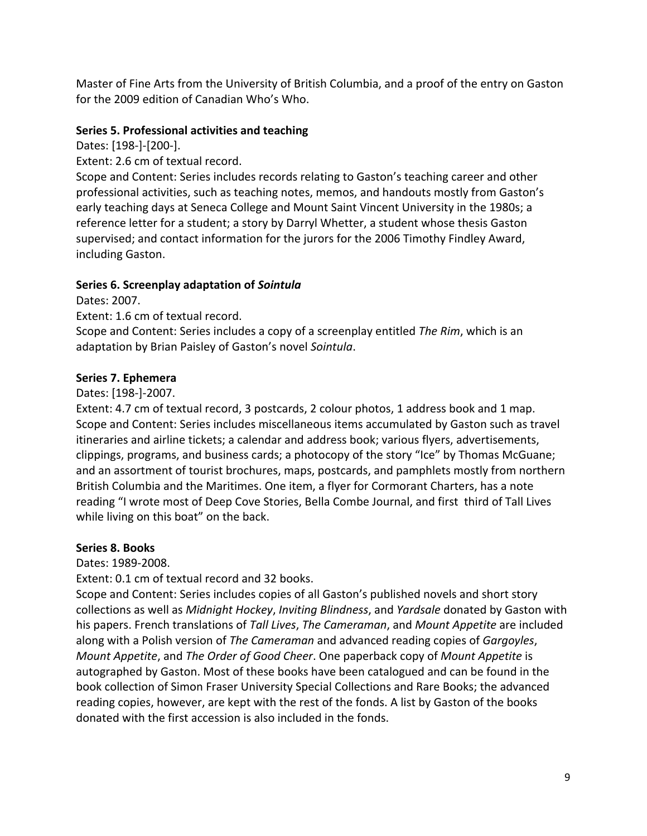Master of Fine Arts from the University of British Columbia, and a proof of the entry on Gaston for the 2009 edition of Canadian Who's Who.

## **Series 5. Professional activities and teaching**

Dates: [198-]-[200-].

Extent: 2.6 cm of textual record.

Scope and Content: Series includes records relating to Gaston's teaching career and other professional activities, such as teaching notes, memos, and handouts mostly from Gaston's early teaching days at Seneca College and Mount Saint Vincent University in the 1980s; a reference letter for a student; a story by Darryl Whetter, a student whose thesis Gaston supervised; and contact information for the jurors for the 2006 Timothy Findley Award, including Gaston.

## **Series 6. Screenplay adaptation of** *Sointula*

Dates: 2007.

Extent: 1.6 cm of textual record.

Scope and Content: Series includes a copy of a screenplay entitled *The Rim*, which is an adaptation by Brian Paisley of Gaston's novel *Sointula*.

## **Series 7. Ephemera**

Dates: [198-]-2007.

Extent: 4.7 cm of textual record, 3 postcards, 2 colour photos, 1 address book and 1 map. Scope and Content: Series includes miscellaneous items accumulated by Gaston such as travel itineraries and airline tickets; a calendar and address book; various flyers, advertisements, clippings, programs, and business cards; a photocopy of the story "Ice" by Thomas McGuane; and an assortment of tourist brochures, maps, postcards, and pamphlets mostly from northern British Columbia and the Maritimes. One item, a flyer for Cormorant Charters, has a note reading "I wrote most of Deep Cove Stories, Bella Combe Journal, and first third of Tall Lives while living on this boat" on the back.

## **Series 8. Books**

Dates: 1989-2008.

Extent: 0.1 cm of textual record and 32 books.

Scope and Content: Series includes copies of all Gaston's published novels and short story collections as well as *Midnight Hockey*, *Inviting Blindness*, and *Yardsale* donated by Gaston with his papers. French translations of *Tall Lives*, *The Cameraman*, and *Mount Appetite* are included along with a Polish version of *The Cameraman* and advanced reading copies of *Gargoyles*, *Mount Appetite*, and *The Order of Good Cheer*. One paperback copy of *Mount Appetite* is autographed by Gaston. Most of these books have been catalogued and can be found in the book collection of Simon Fraser University Special Collections and Rare Books; the advanced reading copies, however, are kept with the rest of the fonds. A list by Gaston of the books donated with the first accession is also included in the fonds.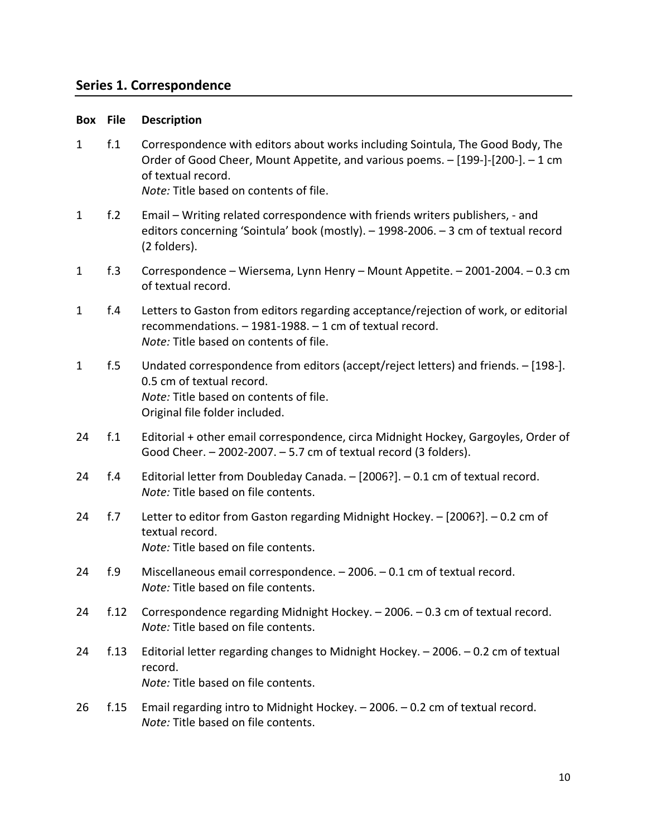## **Series 1. Correspondence**

#### **Box File Description**

1 f.1 Correspondence with editors about works including Sointula, The Good Body, The Order of Good Cheer, Mount Appetite, and various poems. – [199-]-[200-]. – 1 cm of textual record.

*Note:* Title based on contents of file.

- 1 f.2 Email Writing related correspondence with friends writers publishers, and editors concerning 'Sointula' book (mostly). – 1998-2006. – 3 cm of textual record (2 folders).
- 1 f.3 Correspondence Wiersema, Lynn Henry Mount Appetite. 2001-2004. 0.3 cm of textual record.
- 1 f.4 Letters to Gaston from editors regarding acceptance/rejection of work, or editorial recommendations. – 1981-1988. – 1 cm of textual record. *Note:* Title based on contents of file.
- 1 f.5 Undated correspondence from editors (accept/reject letters) and friends. [198-]. 0.5 cm of textual record. *Note:* Title based on contents of file. Original file folder included.
- 24 f.1 Editorial + other email correspondence, circa Midnight Hockey, Gargoyles, Order of Good Cheer. – 2002-2007. – 5.7 cm of textual record (3 folders).
- 24 f.4 Editorial letter from Doubleday Canada. [2006?]. 0.1 cm of textual record. *Note:* Title based on file contents.
- 24 f.7 Letter to editor from Gaston regarding Midnight Hockey. [2006?]. 0.2 cm of textual record. *Note:* Title based on file contents.
- 24 f.9 Miscellaneous email correspondence. 2006. 0.1 cm of textual record. *Note:* Title based on file contents.
- 24 f.12 Correspondence regarding Midnight Hockey. 2006. 0.3 cm of textual record. *Note:* Title based on file contents.
- 24 f.13 Editorial letter regarding changes to Midnight Hockey. 2006. 0.2 cm of textual record. *Note:* Title based on file contents.
- 26 f.15 Email regarding intro to Midnight Hockey. 2006. 0.2 cm of textual record. *Note:* Title based on file contents.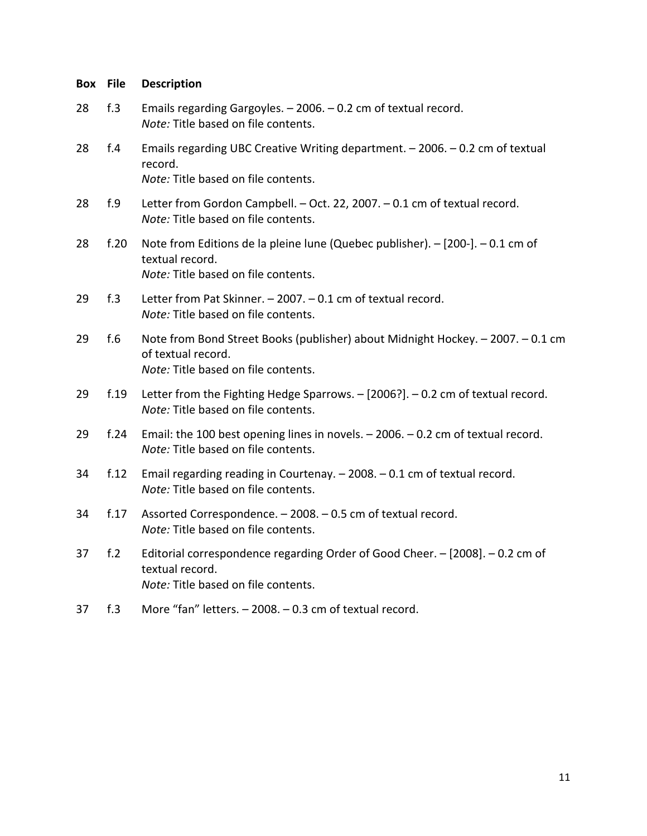| Box | <b>File</b> | <b>Description</b>                                                                                                                           |
|-----|-------------|----------------------------------------------------------------------------------------------------------------------------------------------|
| 28  | f.3         | Emails regarding Gargoyles. - 2006. - 0.2 cm of textual record.<br>Note: Title based on file contents.                                       |
| 28  | f.4         | Emails regarding UBC Creative Writing department. - 2006. - 0.2 cm of textual<br>record.<br>Note: Title based on file contents.              |
| 28  | f.9         | Letter from Gordon Campbell. - Oct. 22, 2007. - 0.1 cm of textual record.<br>Note: Title based on file contents.                             |
| 28  | f.20        | Note from Editions de la pleine lune (Quebec publisher). - [200-]. - 0.1 cm of<br>textual record.<br>Note: Title based on file contents.     |
| 29  | f.3         | Letter from Pat Skinner. - 2007. - 0.1 cm of textual record.<br>Note: Title based on file contents.                                          |
| 29  | f.6         | Note from Bond Street Books (publisher) about Midnight Hockey. - 2007. - 0.1 cm<br>of textual record.<br>Note: Title based on file contents. |
| 29  | f.19        | Letter from the Fighting Hedge Sparrows. $-$ [2006?]. $-$ 0.2 cm of textual record.<br>Note: Title based on file contents.                   |
| 29  | f.24        | Email: the 100 best opening lines in novels. - 2006. - 0.2 cm of textual record.<br>Note: Title based on file contents.                      |
| 34  | f.12        | Email regarding reading in Courtenay. - 2008. - 0.1 cm of textual record.<br>Note: Title based on file contents.                             |
| 34  | f.17        | Assorted Correspondence. - 2008. - 0.5 cm of textual record.<br>Note: Title based on file contents.                                          |
| 37  | f.2         | Editorial correspondence regarding Order of Good Cheer. - [2008]. - 0.2 cm of<br>textual record.<br>Note: Title based on file contents.      |
| 37  | f.3         | More "fan" letters. - 2008. - 0.3 cm of textual record.                                                                                      |
|     |             |                                                                                                                                              |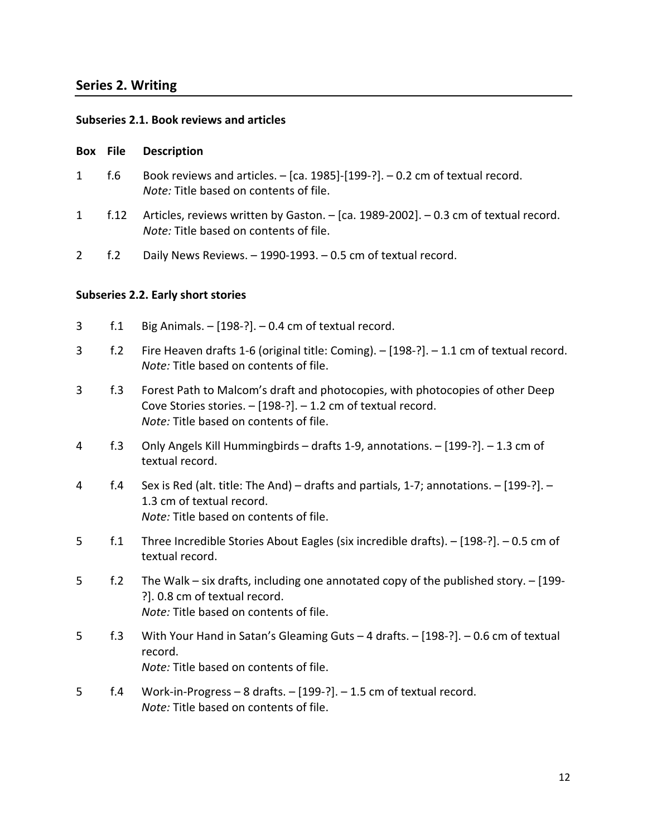## **Series 2. Writing**

## **Subseries 2.1. Book reviews and articles**

#### **Box File Description**

- 1 f.6 Book reviews and articles. [ca. 1985]-[199-?]. 0.2 cm of textual record. *Note:* Title based on contents of file.
- 1 f.12 Articles, reviews written by Gaston. [ca. 1989-2002]. 0.3 cm of textual record. *Note:* Title based on contents of file.
- 2 f.2 Daily News Reviews. 1990-1993. 0.5 cm of textual record.

## **Subseries 2.2. Early short stories**

- 3 f.1 Big Animals. [198-?]. 0.4 cm of textual record.
- 3 f.2 Fire Heaven drafts 1-6 (original title: Coming). [198-?]. 1.1 cm of textual record. *Note:* Title based on contents of file.
- 3 f.3 Forest Path to Malcom's draft and photocopies, with photocopies of other Deep Cove Stories stories. – [198-?]. – 1.2 cm of textual record. *Note:* Title based on contents of file.
- 4 f.3 Only Angels Kill Hummingbirds drafts 1-9, annotations. [199-?]. 1.3 cm of textual record.
- 4 f.4 Sex is Red (alt. title: The And) drafts and partials, 1-7; annotations. [199-?]. 1.3 cm of textual record. *Note:* Title based on contents of file.
- 5 f.1 Three Incredible Stories About Eagles (six incredible drafts). [198-?]. 0.5 cm of textual record.
- 5 f.2 The Walk six drafts, including one annotated copy of the published story. [199- ?]. 0.8 cm of textual record. *Note:* Title based on contents of file.
- 5 f.3 With Your Hand in Satan's Gleaming Guts 4 drafts. [198-?]. 0.6 cm of textual record. *Note:* Title based on contents of file.
- 5 f.4 Work-in-Progress 8 drafts. [199-?]. 1.5 cm of textual record. *Note:* Title based on contents of file.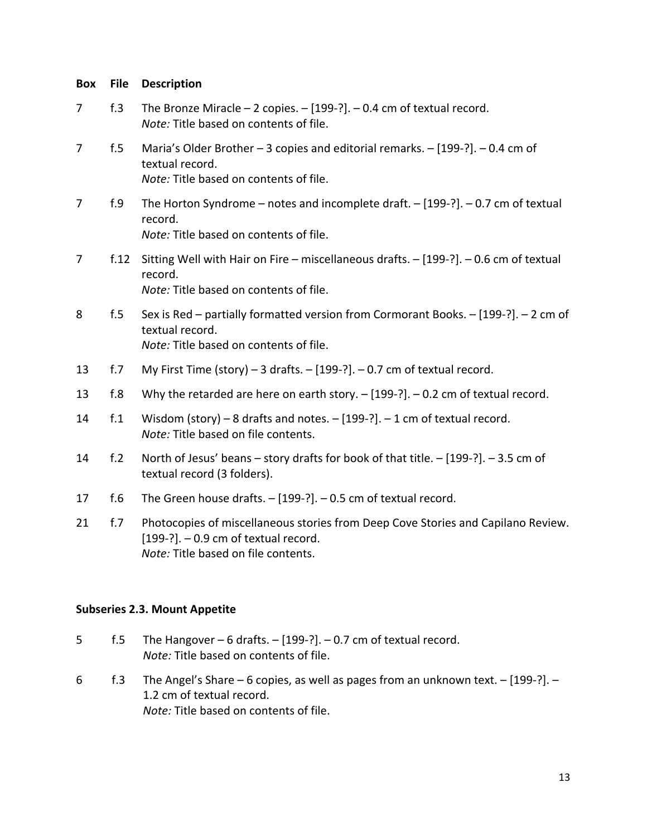| <b>Box</b>     | <b>File</b>     | <b>Description</b>                                                                                                                                                  |
|----------------|-----------------|---------------------------------------------------------------------------------------------------------------------------------------------------------------------|
| 7              | f.3             | The Bronze Miracle $-2$ copies. $-[199-?]$ . $-0.4$ cm of textual record.<br>Note: Title based on contents of file.                                                 |
| $\overline{7}$ | f.5             | Maria's Older Brother - 3 copies and editorial remarks. - [199-?]. - 0.4 cm of<br>textual record.<br>Note: Title based on contents of file.                         |
| 7              | f.9             | The Horton Syndrome – notes and incomplete draft. $-$ [199-?]. – 0.7 cm of textual<br>record.<br>Note: Title based on contents of file.                             |
| 7              | f.12            | Sitting Well with Hair on Fire - miscellaneous drafts. - [199-?]. - 0.6 cm of textual<br>record.<br>Note: Title based on contents of file.                          |
| 8              | f.5             | Sex is Red - partially formatted version from Cormorant Books. - [199-?]. - 2 cm of<br>textual record.<br>Note: Title based on contents of file.                    |
| 13             | f.7             | My First Time (story) - 3 drafts. $-$ [199-?]. $-$ 0.7 cm of textual record.                                                                                        |
| 13             | f.8             | Why the retarded are here on earth story. $-[199-?]$ . $- 0.2$ cm of textual record.                                                                                |
| 14             | f <sub>.1</sub> | Wisdom (story) - 8 drafts and notes. $-$ [199-?]. $-$ 1 cm of textual record.<br>Note: Title based on file contents.                                                |
| 14             | f.2             | North of Jesus' beans - story drafts for book of that title. - [199-?]. - 3.5 cm of<br>textual record (3 folders).                                                  |
| 17             | f.6             | The Green house drafts. $-$ [199-?]. $-$ 0.5 cm of textual record.                                                                                                  |
| 21             | f.7             | Photocopies of miscellaneous stories from Deep Cove Stories and Capilano Review.<br>$[199-?]$ . $-0.9$ cm of textual record.<br>Note: Title based on file contents. |

## **Subseries 2.3. Mount Appetite**

- 5 f.5 The Hangover  $-6$  drafts.  $-[199-?]$ .  $-0.7$  cm of textual record. *Note:* Title based on contents of file.
- 6 f.3 The Angel's Share 6 copies, as well as pages from an unknown text. [199-?]. 1.2 cm of textual record. *Note:* Title based on contents of file.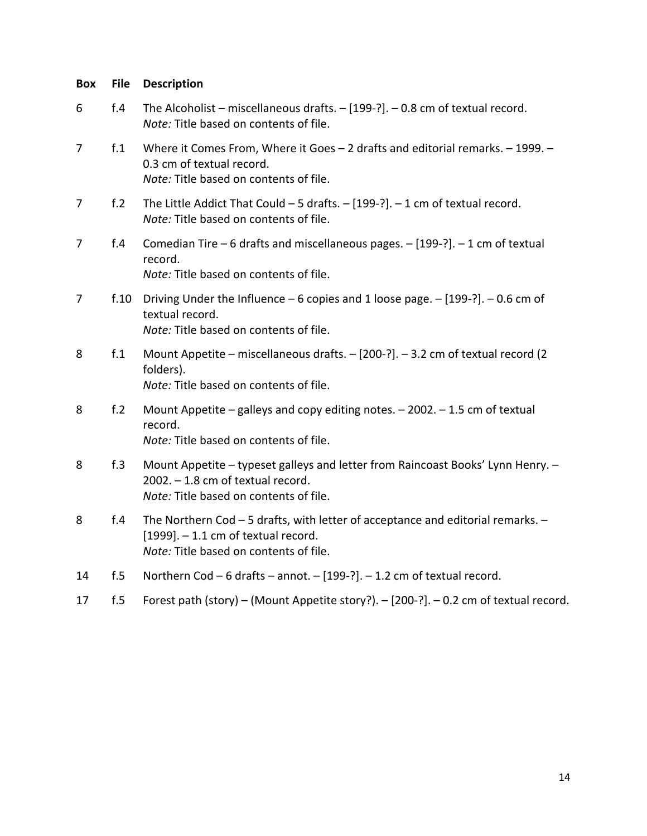| <b>Box</b>     | <b>File</b>     | <b>Description</b>                                                                                                                                                  |
|----------------|-----------------|---------------------------------------------------------------------------------------------------------------------------------------------------------------------|
| 6              | f.4             | The Alcoholist - miscellaneous drafts. $-$ [199-?]. - 0.8 cm of textual record.<br>Note: Title based on contents of file.                                           |
| $\overline{7}$ | f.1             | Where it Comes From, Where it Goes - 2 drafts and editorial remarks. - 1999. -<br>0.3 cm of textual record.<br>Note: Title based on contents of file.               |
| 7              | f <sub>.2</sub> | The Little Addict That Could $-5$ drafts. $-[199-?]$ . $-1$ cm of textual record.<br>Note: Title based on contents of file.                                         |
| 7              | f.4             | Comedian Tire - 6 drafts and miscellaneous pages. - [199-?]. - 1 cm of textual<br>record.<br>Note: Title based on contents of file.                                 |
| 7              | f.10            | Driving Under the Influence – 6 copies and 1 loose page. $-$ [199-?]. – 0.6 cm of<br>textual record.<br>Note: Title based on contents of file.                      |
| 8              | f.1             | Mount Appetite - miscellaneous drafts. - [200-?]. - 3.2 cm of textual record (2<br>folders).<br>Note: Title based on contents of file.                              |
| 8              | f.2             | Mount Appetite - galleys and copy editing notes. - 2002. - 1.5 cm of textual<br>record.<br>Note: Title based on contents of file.                                   |
| 8              | f.3             | Mount Appetite - typeset galleys and letter from Raincoast Books' Lynn Henry. -<br>$2002. - 1.8$ cm of textual record.<br>Note: Title based on contents of file.    |
| 8              | f.4             | The Northern Cod - 5 drafts, with letter of acceptance and editorial remarks. -<br>$[1999]$ . - 1.1 cm of textual record.<br>Note: Title based on contents of file. |
| 14             | f.5             | Northern Cod - 6 drafts - annot. - [199-?]. - 1.2 cm of textual record.                                                                                             |
| 17             | f.5             | Forest path (story) - (Mount Appetite story?). - [200-?]. - 0.2 cm of textual record.                                                                               |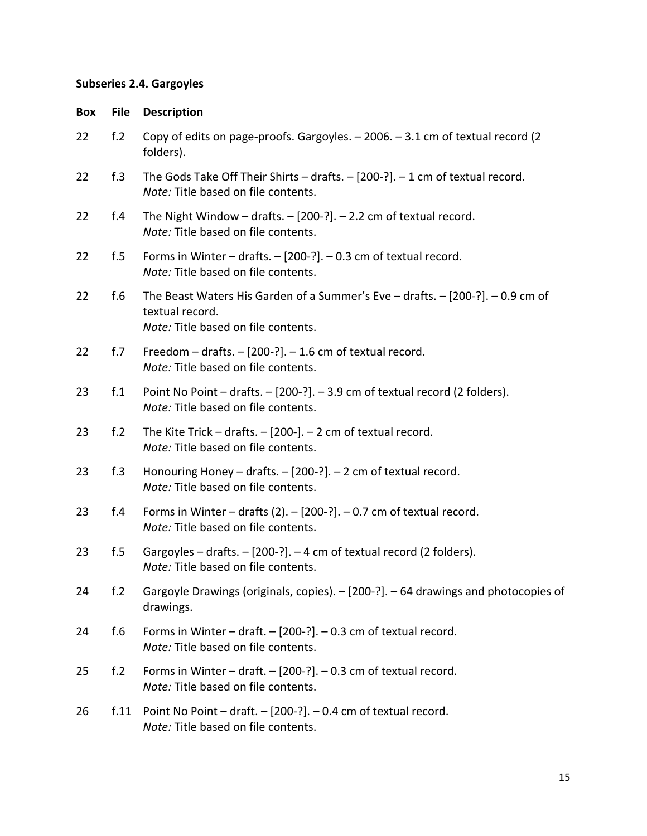## **Subseries 2.4. Gargoyles**

| <b>Box</b> | <b>File</b>     | <b>Description</b>                                                                                                                           |
|------------|-----------------|----------------------------------------------------------------------------------------------------------------------------------------------|
| 22         | f <sub>.2</sub> | Copy of edits on page-proofs. Gargoyles. - 2006. - 3.1 cm of textual record (2<br>folders).                                                  |
| 22         | f.3             | The Gods Take Off Their Shirts - drafts. $-$ [200-?]. $-$ 1 cm of textual record.<br>Note: Title based on file contents.                     |
| 22         | f.4             | The Night Window - drafts. $-$ [200-?]. $-$ 2.2 cm of textual record.<br>Note: Title based on file contents.                                 |
| 22         | f.5             | Forms in Winter – drafts. $-$ [200-?]. – 0.3 cm of textual record.<br>Note: Title based on file contents.                                    |
| 22         | f.6             | The Beast Waters His Garden of a Summer's Eve - drafts. $-$ [200-?]. $-$ 0.9 cm of<br>textual record.<br>Note: Title based on file contents. |
| 22         | f.7             | Freedom $-$ drafts. $-$ [200-?]. $-$ 1.6 cm of textual record.<br>Note: Title based on file contents.                                        |
| 23         | $f_{.1}$        | Point No Point - drafts. - [200-?]. - 3.9 cm of textual record (2 folders).<br>Note: Title based on file contents.                           |
| 23         | f.2             | The Kite Trick - drafts. $-$ [200-]. $-$ 2 cm of textual record.<br>Note: Title based on file contents.                                      |
| 23         | f.3             | Honouring Honey $-$ drafts. $-$ [200-?]. $-$ 2 cm of textual record.<br>Note: Title based on file contents.                                  |
| 23         | f.4             | Forms in Winter – drafts (2). $-$ [200-?]. $-$ 0.7 cm of textual record.<br>Note: Title based on file contents.                              |
| 23         | f.5             | Gargoyles – drafts. – [200-?]. – 4 cm of textual record (2 folders).<br>Note: Title based on file contents.                                  |
| 24         | f.2             | Gargoyle Drawings (originals, copies). - [200-?]. - 64 drawings and photocopies of<br>drawings.                                              |
| 24         | f.6             | Forms in Winter – draft. $-$ [200-?]. – 0.3 cm of textual record.<br>Note: Title based on file contents.                                     |
| 25         | f.2             | Forms in Winter – draft. $-$ [200-?]. – 0.3 cm of textual record.<br>Note: Title based on file contents.                                     |
| 26         | f.11            | Point No Point $-$ draft. $-$ [200-?]. $-$ 0.4 cm of textual record.<br>Note: Title based on file contents.                                  |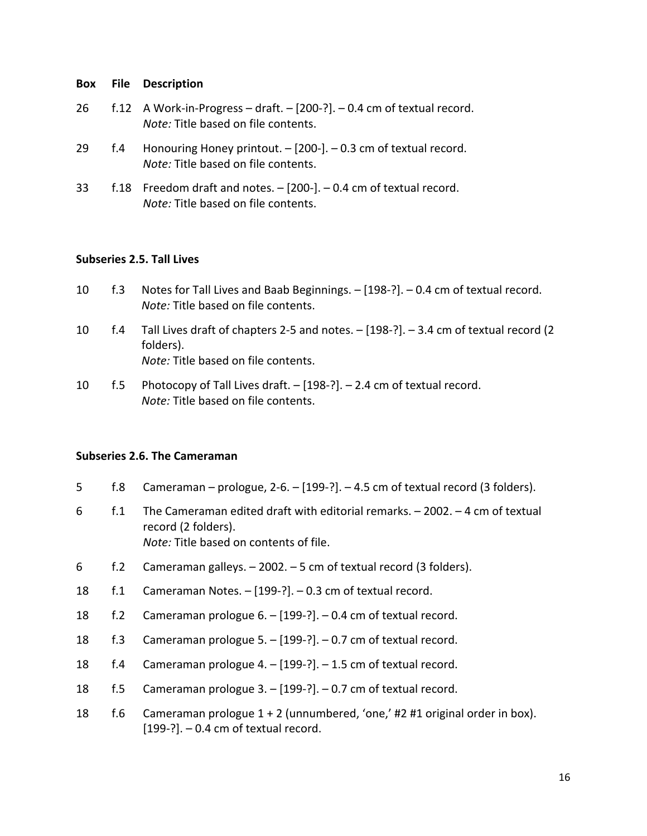- 26 f.12 A Work-in-Progress draft. [200-?]. 0.4 cm of textual record. *Note:* Title based on file contents.
- 29 f.4 Honouring Honey printout. [200-]. 0.3 cm of textual record. *Note:* Title based on file contents.
- 33 f.18 Freedom draft and notes. [200-]. 0.4 cm of textual record. *Note:* Title based on file contents.

## **Subseries 2.5. Tall Lives**

- 10 f.3 Notes for Tall Lives and Baab Beginnings. [198-?]. 0.4 cm of textual record. *Note:* Title based on file contents.
- 10 f.4 Tall Lives draft of chapters 2-5 and notes. [198-?]. 3.4 cm of textual record (2 folders). *Note:* Title based on file contents.
- 10 f.5 Photocopy of Tall Lives draft. [198-?]. 2.4 cm of textual record. *Note:* Title based on file contents.

## **Subseries 2.6. The Cameraman**

- 5 f.8 Cameraman prologue, 2-6. [199-?]. 4.5 cm of textual record (3 folders).
- 6 f.1 The Cameraman edited draft with editorial remarks. 2002. 4 cm of textual record (2 folders). *Note:* Title based on contents of file.
- 6 f.2 Cameraman galleys. 2002. 5 cm of textual record (3 folders).
- 18 f.1 Cameraman Notes. [199-?]. 0.3 cm of textual record.
- 18 f.2 Cameraman prologue 6. [199-?]. 0.4 cm of textual record.
- 18 f.3 Cameraman prologue 5. [199-?]. 0.7 cm of textual record.
- 18 f.4 Cameraman prologue 4. [199-?]. 1.5 cm of textual record.
- 18 f.5 Cameraman prologue 3. [199-?]. 0.7 cm of textual record.
- 18 f.6 Cameraman prologue 1 + 2 (unnumbered, 'one,' #2 #1 original order in box).  $[199-?]$ . – 0.4 cm of textual record.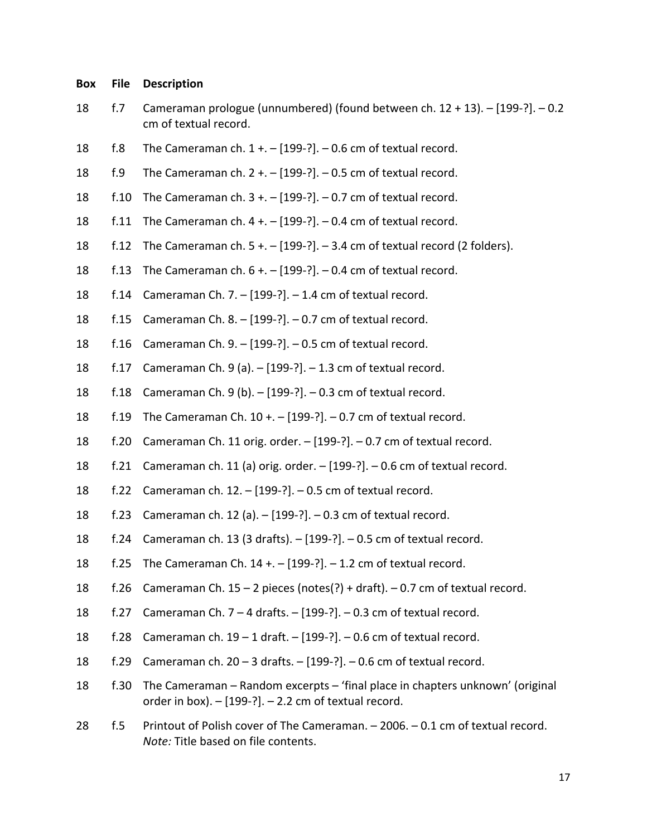- 18 f.7 Cameraman prologue (unnumbered) (found between ch. 12 + 13). [199-?]. 0.2 cm of textual record.
- 18  $f.8$  The Cameraman ch.  $1 + (-199-?) 0.6$  cm of textual record.
- 18  $f.9$  The Cameraman ch.  $2 + (-199-?) 0.5$  cm of textual record.
- 18 f.10 The Cameraman ch. 3 +. [199-?]. 0.7 cm of textual record.
- 18 f.11 The Cameraman ch.  $4 + -$  [199-?]. 0.4 cm of textual record.
- 18 f.12 The Cameraman ch. 5 +. [199-?]. 3.4 cm of textual record (2 folders).
- 18 f.13 The Cameraman ch. 6 +. [199-?]. 0.4 cm of textual record.
- 18 f.14 Cameraman Ch. 7. [199-?]. 1.4 cm of textual record.
- 18 f.15 Cameraman Ch. 8. [199-?]. 0.7 cm of textual record.
- 18 f.16 Cameraman Ch. 9. [199-?]. 0.5 cm of textual record.
- 18 f.17 Cameraman Ch. 9 (a). [199-?]. 1.3 cm of textual record.
- 18 f.18 Cameraman Ch. 9 (b). [199-?]. 0.3 cm of textual record.
- 18 f.19 The Cameraman Ch. 10 +. [199-?]. 0.7 cm of textual record.
- 18 f.20 Cameraman Ch. 11 orig. order. [199-?]. 0.7 cm of textual record.
- 18 f.21 Cameraman ch. 11 (a) orig. order. [199-?]. 0.6 cm of textual record.
- 18 f.22 Cameraman ch. 12. [199-?]. 0.5 cm of textual record.
- 18 f.23 Cameraman ch. 12 (a). [199-?]. 0.3 cm of textual record.
- 18 f.24 Cameraman ch. 13 (3 drafts). [199-?]. 0.5 cm of textual record.
- 18 f.25 The Cameraman Ch. 14 +. [199-?]. 1.2 cm of textual record.
- 18 f.26 Cameraman Ch. 15 2 pieces (notes(?) + draft). 0.7 cm of textual record.
- 18 f.27 Cameraman Ch. 7 4 drafts. [199-?]. 0.3 cm of textual record.
- 18 f.28 Cameraman ch. 19 1 draft. [199-?]. 0.6 cm of textual record.
- 18 f.29 Cameraman ch. 20 3 drafts. [199-?]. 0.6 cm of textual record.
- 18 f.30 The Cameraman Random excerpts 'final place in chapters unknown' (original order in box).  $-$  [199-?].  $-$  2.2 cm of textual record.
- 28 f.5 Printout of Polish cover of The Cameraman. 2006. 0.1 cm of textual record. *Note:* Title based on file contents.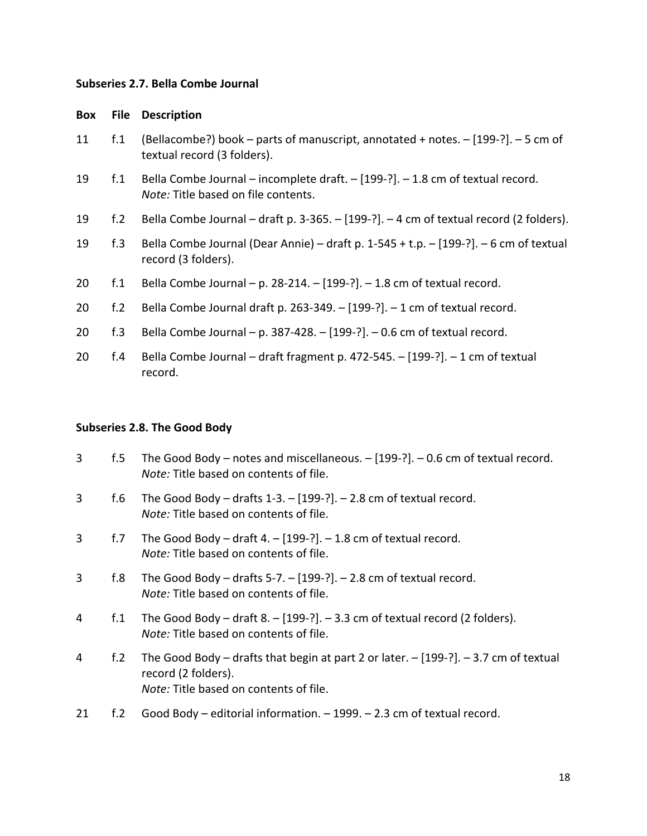#### **Subseries 2.7. Bella Combe Journal**

#### **Box File Description**

- 11 f.1 (Bellacombe?) book parts of manuscript, annotated + notes. [199-?]. 5 cm of textual record (3 folders).
- 19 f.1 Bella Combe Journal incomplete draft. [199-?]. 1.8 cm of textual record. *Note:* Title based on file contents.
- 19 f.2 Bella Combe Journal draft p. 3-365. [199-?]. 4 cm of textual record (2 folders).
- 19 f.3 Bella Combe Journal (Dear Annie) draft p. 1-545 + t.p. [199-?]. 6 cm of textual record (3 folders).
- 20 f.1 Bella Combe Journal p. 28-214. [199-?]. 1.8 cm of textual record.
- 20 f.2 Bella Combe Journal draft p. 263-349. [199-?]. 1 cm of textual record.
- 20 f.3 Bella Combe Journal p. 387-428. [199-?]. 0.6 cm of textual record.
- 20 f.4 Bella Combe Journal draft fragment p. 472-545. [199-?]. 1 cm of textual record.

#### **Subseries 2.8. The Good Body**

- 3 f.5 The Good Body notes and miscellaneous. [199-?]. 0.6 cm of textual record. *Note:* Title based on contents of file.
- 3 f.6 The Good Body drafts 1-3. [199-?]. 2.8 cm of textual record. *Note:* Title based on contents of file.
- 3 f.7 The Good Body draft 4. [199-?]. 1.8 cm of textual record. *Note:* Title based on contents of file.
- 3 f.8 The Good Body drafts 5-7. [199-?]. 2.8 cm of textual record. *Note:* Title based on contents of file.
- 4 f.1 The Good Body draft 8. [199-?]. 3.3 cm of textual record (2 folders). *Note:* Title based on contents of file.
- 4 f.2 The Good Body drafts that begin at part 2 or later. [199-?]. 3.7 cm of textual record (2 folders). *Note:* Title based on contents of file.
- 21 f.2 Good Body editorial information. 1999. 2.3 cm of textual record.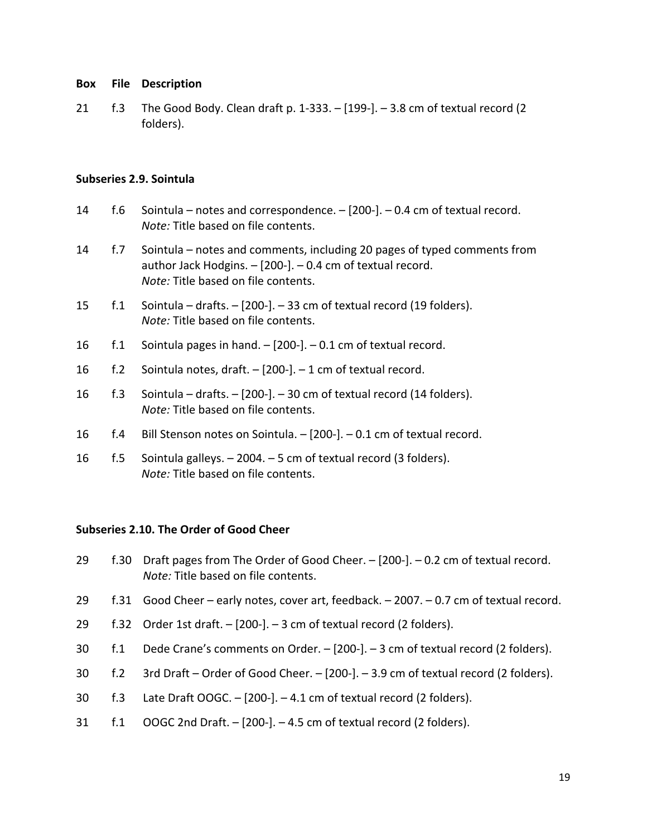21 f.3 The Good Body. Clean draft p. 1-333. – [199-]. – 3.8 cm of textual record (2 folders).

## **Subseries 2.9. Sointula**

- 14 f.6 Sointula notes and correspondence. [200-]. 0.4 cm of textual record. *Note:* Title based on file contents.
- 14 f.7 Sointula notes and comments, including 20 pages of typed comments from author Jack Hodgins. – [200-]. – 0.4 cm of textual record. *Note:* Title based on file contents.
- 15 f.1 Sointula drafts. [200-]. 33 cm of textual record (19 folders). *Note:* Title based on file contents.
- 16 f.1 Sointula pages in hand. [200-]. 0.1 cm of textual record.
- 16 f.2 Sointula notes, draft. [200-]. 1 cm of textual record.
- 16 f.3 Sointula drafts. [200-]. 30 cm of textual record (14 folders). *Note:* Title based on file contents.
- 16 f.4 Bill Stenson notes on Sointula. [200-]. 0.1 cm of textual record.
- 16 f.5 Sointula galleys. 2004. 5 cm of textual record (3 folders). *Note:* Title based on file contents.

## **Subseries 2.10. The Order of Good Cheer**

- 29 f.30 Draft pages from The Order of Good Cheer. [200-]. 0.2 cm of textual record. *Note:* Title based on file contents.
- 29 f.31 Good Cheer early notes, cover art, feedback. 2007. 0.7 cm of textual record.
- 29  $f.32$  Order 1st draft.  $-$  [200-].  $-3$  cm of textual record (2 folders).
- 30 f.1 Dede Crane's comments on Order. [200-]. 3 cm of textual record (2 folders).
- 30 f.2 3rd Draft Order of Good Cheer. [200-]. 3.9 cm of textual record (2 folders).
- 30  $f.3$  Late Draft OOGC.  $[200$ - $]$ . 4.1 cm of textual record (2 folders).
- 31 f.1 OOGC 2nd Draft. [200-]. 4.5 cm of textual record (2 folders).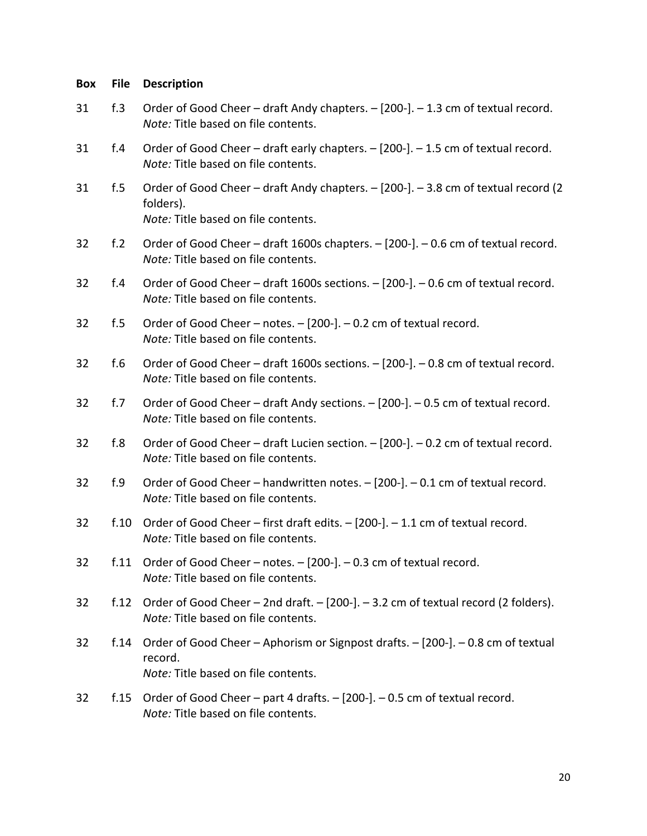| <b>Box</b> | File            | <b>Description</b>                                                                                                                     |
|------------|-----------------|----------------------------------------------------------------------------------------------------------------------------------------|
| 31         | f.3             | Order of Good Cheer - draft Andy chapters. - [200-]. - 1.3 cm of textual record.<br>Note: Title based on file contents.                |
| 31         | f.4             | Order of Good Cheer - draft early chapters. - [200-]. - 1.5 cm of textual record.<br>Note: Title based on file contents.               |
| 31         | f.5             | Order of Good Cheer - draft Andy chapters. - [200-]. - 3.8 cm of textual record (2<br>folders).<br>Note: Title based on file contents. |
| 32         | f <sub>.2</sub> | Order of Good Cheer - draft 1600s chapters. - [200-]. - 0.6 cm of textual record.<br>Note: Title based on file contents.               |
| 32         | f.4             | Order of Good Cheer - draft 1600s sections. - [200-]. - 0.6 cm of textual record.<br>Note: Title based on file contents.               |
| 32         | f.5             | Order of Good Cheer - notes. - [200-]. - 0.2 cm of textual record.<br>Note: Title based on file contents.                              |
| 32         | f.6             | Order of Good Cheer - draft 1600s sections. - [200-]. - 0.8 cm of textual record.<br>Note: Title based on file contents.               |
| 32         | f.7             | Order of Good Cheer - draft Andy sections. - [200-]. - 0.5 cm of textual record.<br>Note: Title based on file contents.                |
| 32         | f.8             | Order of Good Cheer - draft Lucien section. - [200-]. - 0.2 cm of textual record.<br>Note: Title based on file contents.               |
| 32         | f.9             | Order of Good Cheer - handwritten notes. - [200-]. - 0.1 cm of textual record.<br>Note: Title based on file contents.                  |
| 32         | f.10            | Order of Good Cheer – first draft edits. – [200-]. – 1.1 cm of textual record.<br>Note: Title based on file contents.                  |
| 32         | f.11            | Order of Good Cheer - notes. - [200-]. - 0.3 cm of textual record.<br>Note: Title based on file contents.                              |
| 32         | f.12            | Order of Good Cheer - 2nd draft. - [200-]. - 3.2 cm of textual record (2 folders).<br>Note: Title based on file contents.              |
| 32         | f.14            | Order of Good Cheer - Aphorism or Signpost drafts. - [200-]. - 0.8 cm of textual<br>record.<br>Note: Title based on file contents.     |
| 32         | f.15            | Order of Good Cheer - part 4 drafts. - [200-]. - 0.5 cm of textual record.<br>Note: Title based on file contents.                      |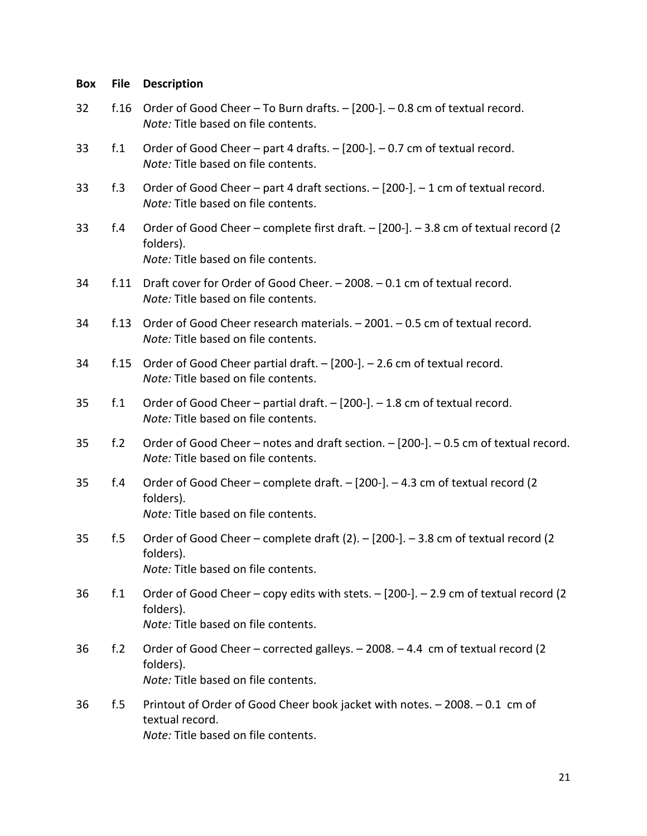| Box | File           | <b>Description</b>                                                                                                                       |
|-----|----------------|------------------------------------------------------------------------------------------------------------------------------------------|
| 32  | f.16           | Order of Good Cheer - To Burn drafts. - [200-]. - 0.8 cm of textual record.<br>Note: Title based on file contents.                       |
| 33  | f <sub>1</sub> | Order of Good Cheer - part 4 drafts. - [200-]. - 0.7 cm of textual record.<br>Note: Title based on file contents.                        |
| 33  | f.3            | Order of Good Cheer - part 4 draft sections. - [200-]. - 1 cm of textual record.<br>Note: Title based on file contents.                  |
| 33  | f.4            | Order of Good Cheer - complete first draft. - [200-]. - 3.8 cm of textual record (2<br>folders).<br>Note: Title based on file contents.  |
| 34  | f.11           | Draft cover for Order of Good Cheer. - 2008. - 0.1 cm of textual record.<br>Note: Title based on file contents.                          |
| 34  | f.13           | Order of Good Cheer research materials. - 2001. - 0.5 cm of textual record.<br>Note: Title based on file contents.                       |
| 34  | f.15           | Order of Good Cheer partial draft. - [200-]. - 2.6 cm of textual record.<br>Note: Title based on file contents.                          |
| 35  | f <sub>1</sub> | Order of Good Cheer - partial draft. - [200-]. - 1.8 cm of textual record.<br>Note: Title based on file contents.                        |
| 35  | f.2            | Order of Good Cheer - notes and draft section. - [200-]. - 0.5 cm of textual record.<br>Note: Title based on file contents.              |
| 35  | f.4            | Order of Good Cheer - complete draft. - [200-]. - 4.3 cm of textual record (2<br>folders).<br>Note: Title based on file contents.        |
| 35  | f.5            | Order of Good Cheer - complete draft (2). - [200-]. - 3.8 cm of textual record (2<br>folders).<br>Note: Title based on file contents.    |
| 36  | f.1            | Order of Good Cheer – copy edits with stets. – [200-]. – 2.9 cm of textual record (2<br>folders).<br>Note: Title based on file contents. |
| 36  | f.2            | Order of Good Cheer – corrected galleys. – 2008. – 4.4 cm of textual record (2<br>folders).<br>Note: Title based on file contents.       |
| 36  | f.5            | Printout of Order of Good Cheer book jacket with notes. - 2008. - 0.1 cm of<br>textual record.<br>Note: Title based on file contents.    |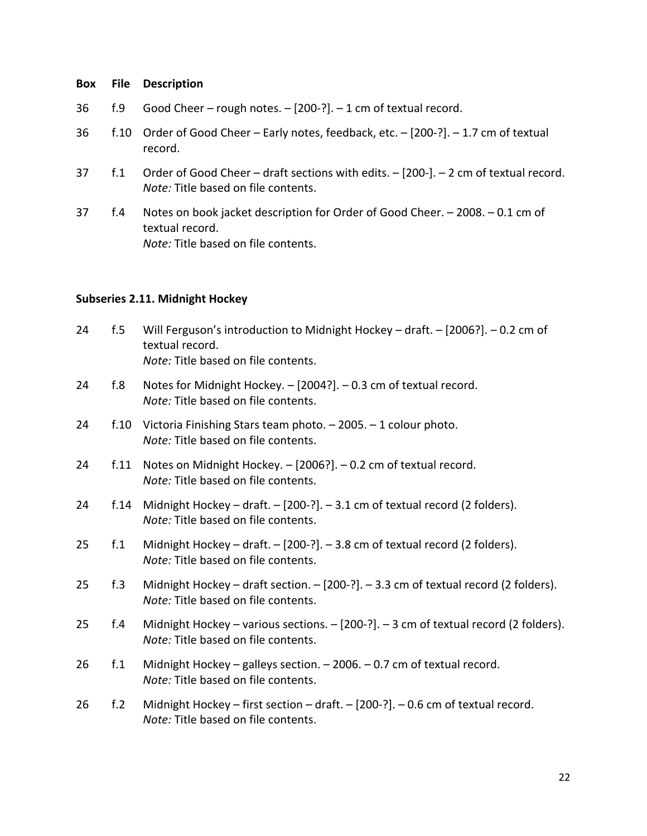- 36 f.9 Good Cheer rough notes. [200-?]. 1 cm of textual record.
- 36 f.10 Order of Good Cheer Early notes, feedback, etc. [200-?]. 1.7 cm of textual record.
- 37 f.1 Order of Good Cheer draft sections with edits. [200-]. 2 cm of textual record. *Note:* Title based on file contents.
- 37 f.4 Notes on book jacket description for Order of Good Cheer. 2008. 0.1 cm of textual record. *Note:* Title based on file contents.

## **Subseries 2.11. Midnight Hockey**

- 24 f.5 Will Ferguson's introduction to Midnight Hockey draft. [2006?]. 0.2 cm of textual record. *Note:* Title based on file contents.
- 24 f.8 Notes for Midnight Hockey. [2004?]. 0.3 cm of textual record. *Note:* Title based on file contents.
- 24 f.10 Victoria Finishing Stars team photo. 2005. 1 colour photo. *Note:* Title based on file contents.
- 24 f.11 Notes on Midnight Hockey. [2006?]. 0.2 cm of textual record. *Note:* Title based on file contents.
- 24 f.14 Midnight Hockey draft. [200-?]. 3.1 cm of textual record (2 folders). *Note:* Title based on file contents.
- 25 f.1 Midnight Hockey draft. [200-?]. 3.8 cm of textual record (2 folders). *Note:* Title based on file contents.
- 25 f.3 Midnight Hockey draft section. [200-?]. 3.3 cm of textual record (2 folders). *Note:* Title based on file contents.
- 25 f.4 Midnight Hockey various sections. [200-?]. 3 cm of textual record (2 folders). *Note:* Title based on file contents.
- 26 f.1 Midnight Hockey galleys section. 2006. 0.7 cm of textual record. *Note:* Title based on file contents.
- 26 f.2 Midnight Hockey first section draft. [200-?]. 0.6 cm of textual record. *Note:* Title based on file contents.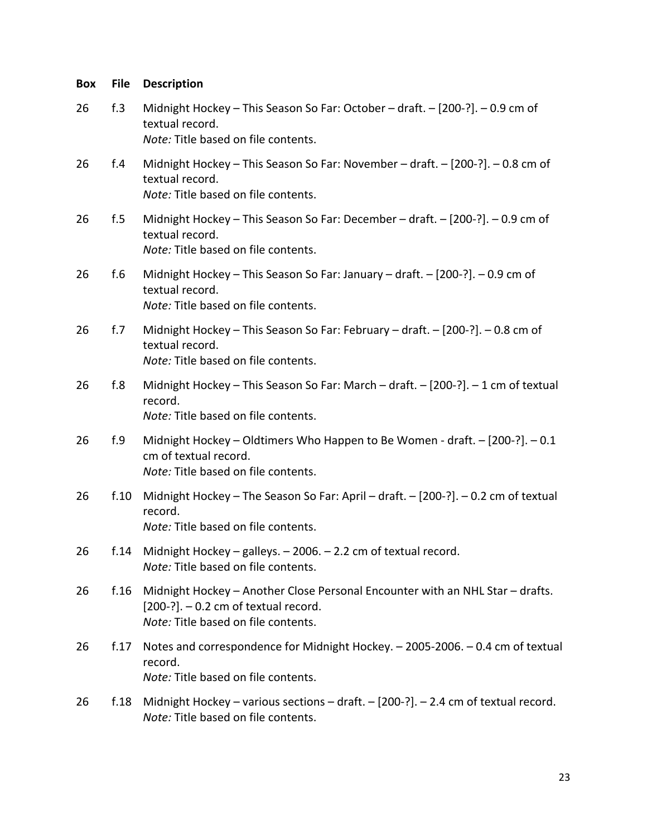| <b>Box</b> | <b>File</b> | <b>Description</b>                                                                                                                                              |
|------------|-------------|-----------------------------------------------------------------------------------------------------------------------------------------------------------------|
| 26         | f.3         | Midnight Hockey - This Season So Far: October - draft. - [200-?]. - 0.9 cm of<br>textual record.<br>Note: Title based on file contents.                         |
| 26         | f.4         | Midnight Hockey - This Season So Far: November - draft. - [200-?]. - 0.8 cm of<br>textual record.<br>Note: Title based on file contents.                        |
| 26         | f.5         | Midnight Hockey - This Season So Far: December - draft. - [200-?]. - 0.9 cm of<br>textual record.<br>Note: Title based on file contents.                        |
| 26         | f.6         | Midnight Hockey - This Season So Far: January - draft. - [200-?]. - 0.9 cm of<br>textual record.<br>Note: Title based on file contents.                         |
| 26         | f.7         | Midnight Hockey - This Season So Far: February - draft. - [200-?]. - 0.8 cm of<br>textual record.<br>Note: Title based on file contents.                        |
| 26         | f.8         | Midnight Hockey - This Season So Far: March - draft. - [200-?]. - 1 cm of textual<br>record.<br>Note: Title based on file contents.                             |
| 26         | f.9         | Midnight Hockey - Oldtimers Who Happen to Be Women - draft. - [200-?]. - 0.1<br>cm of textual record.<br>Note: Title based on file contents.                    |
| 26         | f.10        | Midnight Hockey - The Season So Far: April - draft. - [200-?]. - 0.2 cm of textual<br>record.<br>Note: Title based on file contents.                            |
| 26         |             | f.14 Midnight Hockey - galleys. - 2006. - 2.2 cm of textual record.<br>Note: Title based on file contents.                                                      |
| 26         | f.16        | Midnight Hockey - Another Close Personal Encounter with an NHL Star - drafts.<br>$[200-?]$ . - 0.2 cm of textual record.<br>Note: Title based on file contents. |
| 26         | f.17        | Notes and correspondence for Midnight Hockey. - 2005-2006. - 0.4 cm of textual<br>record.<br>Note: Title based on file contents.                                |
| 26         | f.18        | Midnight Hockey – various sections – draft. – $[200-?]$ . – 2.4 cm of textual record.<br>Note: Title based on file contents.                                    |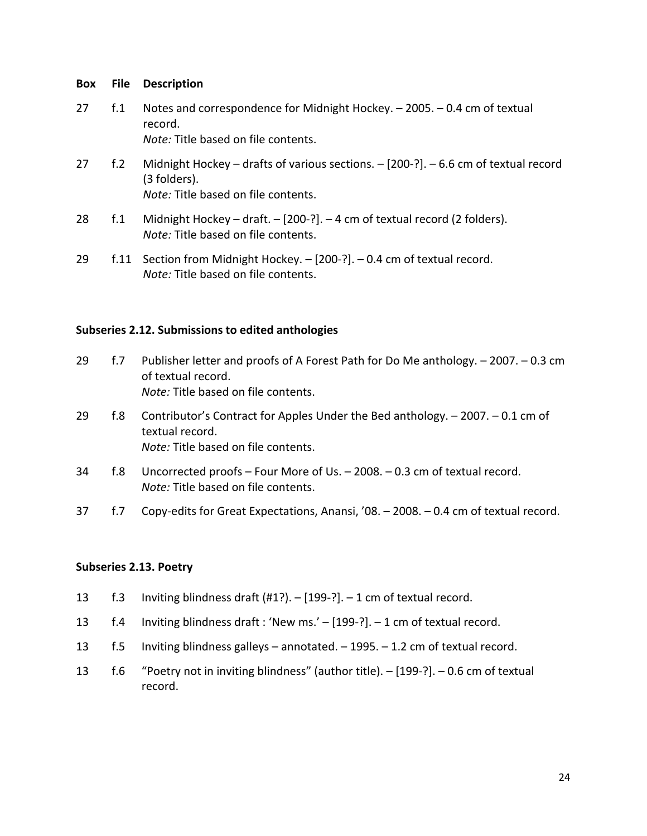27 f.1 Notes and correspondence for Midnight Hockey. – 2005. – 0.4 cm of textual record. *Note:* Title based on file contents.

27 f.2 Midnight Hockey – drafts of various sections. – [200-?]. – 6.6 cm of textual record (3 folders).

*Note:* Title based on file contents.

- 28 f.1 Midnight Hockey draft. [200-?]. 4 cm of textual record (2 folders). *Note:* Title based on file contents.
- 29 f.11 Section from Midnight Hockey. [200-?]. 0.4 cm of textual record. *Note:* Title based on file contents.

## **Subseries 2.12. Submissions to edited anthologies**

- 29 f.7 Publisher letter and proofs of A Forest Path for Do Me anthology. 2007. 0.3 cm of textual record. *Note:* Title based on file contents.
- 29 f.8 Contributor's Contract for Apples Under the Bed anthology. 2007. 0.1 cm of textual record. *Note:* Title based on file contents.
- 34 f.8 Uncorrected proofs Four More of Us. 2008. 0.3 cm of textual record. *Note:* Title based on file contents.
- 37 f.7 Copy-edits for Great Expectations, Anansi, '08. 2008. 0.4 cm of textual record.

## **Subseries 2.13. Poetry**

- 13 f.3 Inviting blindness draft (#1?). [199-?]. 1 cm of textual record.
- 13 f.4 Inviting blindness draft : 'New ms.' [199-?]. 1 cm of textual record.
- 13 f.5 Inviting blindness galleys annotated. 1995. 1.2 cm of textual record.
- 13 f.6 "Poetry not in inviting blindness" (author title). [199-?]. 0.6 cm of textual record.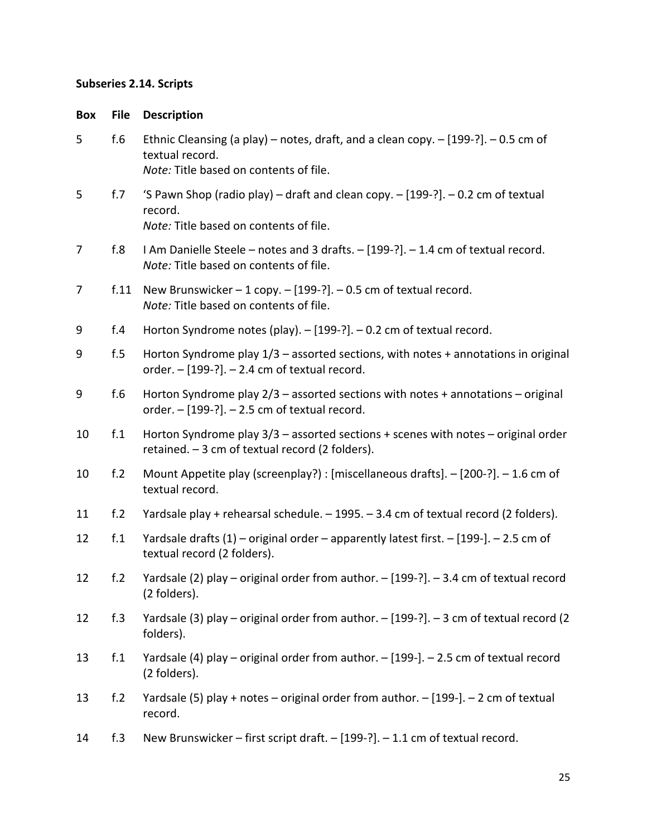## **Subseries 2.14. Scripts**

## **Box File Description**

| 5  | f.6  | Ethnic Cleansing (a play) – notes, draft, and a clean copy. $-$ [199-?]. $-$ 0.5 cm of<br>textual record.<br>Note: Title based on contents of file. |
|----|------|-----------------------------------------------------------------------------------------------------------------------------------------------------|
| 5  | f.7  | 'S Pawn Shop (radio play) – draft and clean copy. $-$ [199-?]. $-$ 0.2 cm of textual<br>record.<br>Note: Title based on contents of file.           |
| 7  | f.8  | I Am Danielle Steele - notes and 3 drafts. - [199-?]. - 1.4 cm of textual record.<br>Note: Title based on contents of file.                         |
| 7  | f.11 | New Brunswicker $-1$ copy. $-[199-?]$ . $-0.5$ cm of textual record.<br>Note: Title based on contents of file.                                      |
| 9  | f.4  | Horton Syndrome notes (play). - [199-?]. - 0.2 cm of textual record.                                                                                |
| 9  | f.5  | Horton Syndrome play $1/3$ – assorted sections, with notes + annotations in original<br>order. - [199-?]. - 2.4 cm of textual record.               |
| 9  | f.6  | Horton Syndrome play $2/3$ – assorted sections with notes + annotations – original<br>order. $-$ [199-?]. $-$ 2.5 cm of textual record.             |
| 10 | f.1  | Horton Syndrome play $3/3$ – assorted sections + scenes with notes – original order<br>retained. - 3 cm of textual record (2 folders).              |
| 10 | f.2  | Mount Appetite play (screenplay?) : [miscellaneous drafts]. - [200-?]. - 1.6 cm of<br>textual record.                                               |
| 11 | f.2  | Yardsale play + rehearsal schedule. - 1995. - 3.4 cm of textual record (2 folders).                                                                 |
| 12 | f.1  | Yardsale drafts (1) - original order - apparently latest first. - [199-]. - 2.5 cm of<br>textual record (2 folders).                                |
| 12 | f.2  | Yardsale (2) play – original order from author. $-$ [199-?]. $-$ 3.4 cm of textual record<br>(2 folders).                                           |
| 12 | f.3  | Yardsale (3) play - original order from author. - [199-?]. - 3 cm of textual record (2<br>folders).                                                 |
| 13 | f.1  | Yardsale (4) play - original order from author. - [199-]. - 2.5 cm of textual record<br>(2 folders).                                                |
| 13 | f.2  | Yardsale (5) play + notes - original order from author. - [199-]. - 2 cm of textual<br>record.                                                      |
| 14 | f.3  | New Brunswicker - first script draft. - [199-?]. - 1.1 cm of textual record.                                                                        |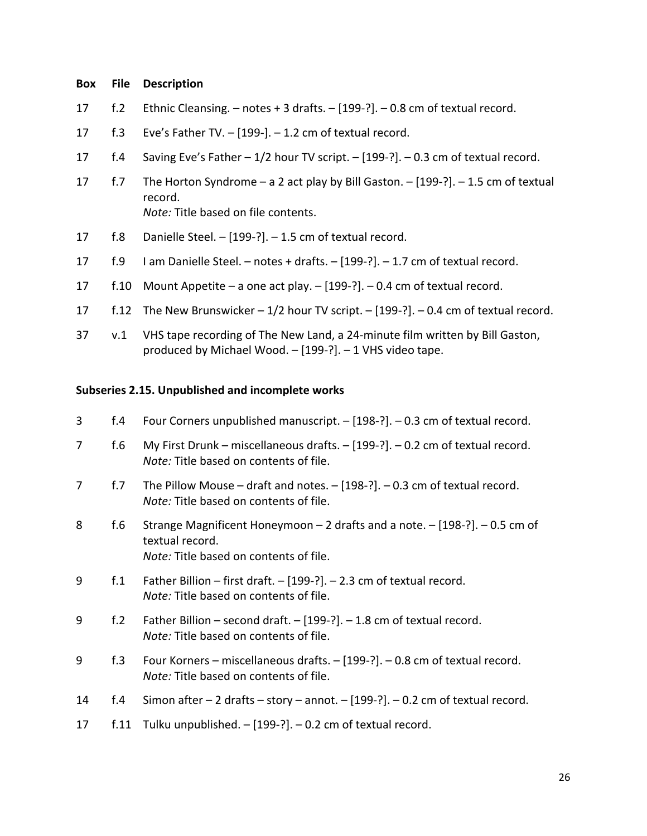- 17 f.2 Ethnic Cleansing. notes + 3 drafts. [199-?]. 0.8 cm of textual record.
- 17 f.3 Eve's Father TV. [199-]. 1.2 cm of textual record.
- 17 f.4 Saving Eve's Father 1/2 hour TV script. [199-?]. 0.3 cm of textual record.
- 17 f.7 The Horton Syndrome a 2 act play by Bill Gaston. [199-?]. 1.5 cm of textual record. *Note:* Title based on file contents.
- 17 f.8 Danielle Steel. [199-?]. 1.5 cm of textual record.
- 17 f.9 I am Danielle Steel. notes + drafts. [199-?]. 1.7 cm of textual record.
- 17 f.10 Mount Appetite a one act play. [199-?]. 0.4 cm of textual record.
- 17 f.12 The New Brunswicker 1/2 hour TV script. [199-?]. 0.4 cm of textual record.
- 37 v.1 VHS tape recording of The New Land, a 24-minute film written by Bill Gaston, produced by Michael Wood. – [199-?]. – 1 VHS video tape.

## **Subseries 2.15. Unpublished and incomplete works**

| 3  | f.4  | Four Corners unpublished manuscript. - [198-?]. - 0.3 cm of textual record.                                                                         |
|----|------|-----------------------------------------------------------------------------------------------------------------------------------------------------|
| 7  | f.6  | My First Drunk – miscellaneous drafts. $-$ [199-?]. – 0.2 cm of textual record.<br>Note: Title based on contents of file.                           |
| 7  | f.7  | The Pillow Mouse – draft and notes. $-$ [198-?]. $-$ 0.3 cm of textual record.<br>Note: Title based on contents of file.                            |
| 8  | f.6  | Strange Magnificent Honeymoon $-2$ drafts and a note. $-[198-?]$ . $-0.5$ cm of<br>textual record.<br><i>Note:</i> Title based on contents of file. |
| 9  | f.1  | Father Billion – first draft. – $[199-?]$ . – 2.3 cm of textual record.<br>Note: Title based on contents of file.                                   |
| 9  | f.2  | Father Billion – second draft. $-$ [199-?]. $-$ 1.8 cm of textual record.<br>Note: Title based on contents of file.                                 |
| 9  | f.3  | Four Korners – miscellaneous drafts. $-$ [199-?]. $-$ 0.8 cm of textual record.<br>Note: Title based on contents of file.                           |
| 14 | f.4  | Simon after $-2$ drafts $-$ story $-$ annot. $-[199-?]$ . $-0.2$ cm of textual record.                                                              |
| 17 | f.11 | Tulku unpublished. $-$ [199-?]. $-$ 0.2 cm of textual record.                                                                                       |
|    |      |                                                                                                                                                     |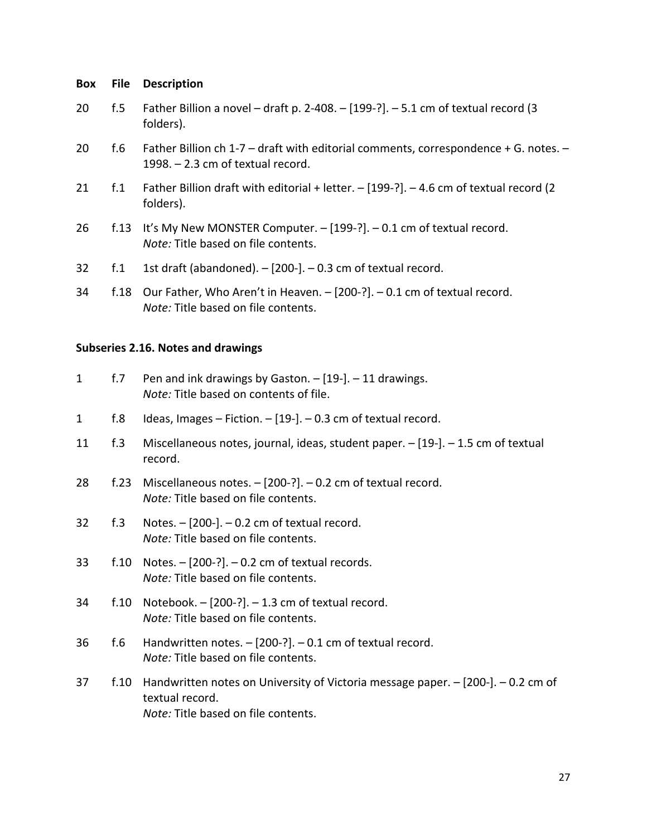- 20 f.5 Father Billion a novel draft p. 2-408. [199-?]. 5.1 cm of textual record (3 folders).
- 20 f.6 Father Billion ch 1-7 draft with editorial comments, correspondence + G. notes. 1998. – 2.3 cm of textual record.
- 21 f.1 Father Billion draft with editorial + letter. [199-?]. 4.6 cm of textual record (2 folders).
- 26 f.13 It's My New MONSTER Computer. [199-?]. 0.1 cm of textual record. *Note:* Title based on file contents.
- 32  $f.1$  1st draft (abandoned).  $-$  [200-].  $-$  0.3 cm of textual record.
- 34 f.18 Our Father, Who Aren't in Heaven. [200-?]. 0.1 cm of textual record. *Note:* Title based on file contents.

## **Subseries 2.16. Notes and drawings**

| $\mathbf{1}$ | f.7  | Pen and ink drawings by Gaston. $-$ [19-]. $-$ 11 drawings.<br>Note: Title based on contents of file.                                      |
|--------------|------|--------------------------------------------------------------------------------------------------------------------------------------------|
| 1            | f.8  | Ideas, Images - Fiction. - [19-]. - 0.3 cm of textual record.                                                                              |
| 11           | f.3  | Miscellaneous notes, journal, ideas, student paper. - [19-]. - 1.5 cm of textual<br>record.                                                |
| 28           | f.23 | Miscellaneous notes. $-$ [200-?]. $-$ 0.2 cm of textual record.<br>Note: Title based on file contents.                                     |
| 32           | f.3  | Notes. $-$ [200-]. $-$ 0.2 cm of textual record.<br>Note: Title based on file contents.                                                    |
| 33           | f.10 | Notes. $-$ [200-?]. $-$ 0.2 cm of textual records.<br>Note: Title based on file contents.                                                  |
| 34           | f.10 | Notebook. $-$ [200-?]. $-$ 1.3 cm of textual record.<br>Note: Title based on file contents.                                                |
| 36           | f.6  | Handwritten notes. $-$ [200-?]. $-$ 0.1 cm of textual record.<br>Note: Title based on file contents.                                       |
| 37           | f.10 | Handwritten notes on University of Victoria message paper. - [200-]. - 0.2 cm of<br>textual record.<br>Note: Title based on file contents. |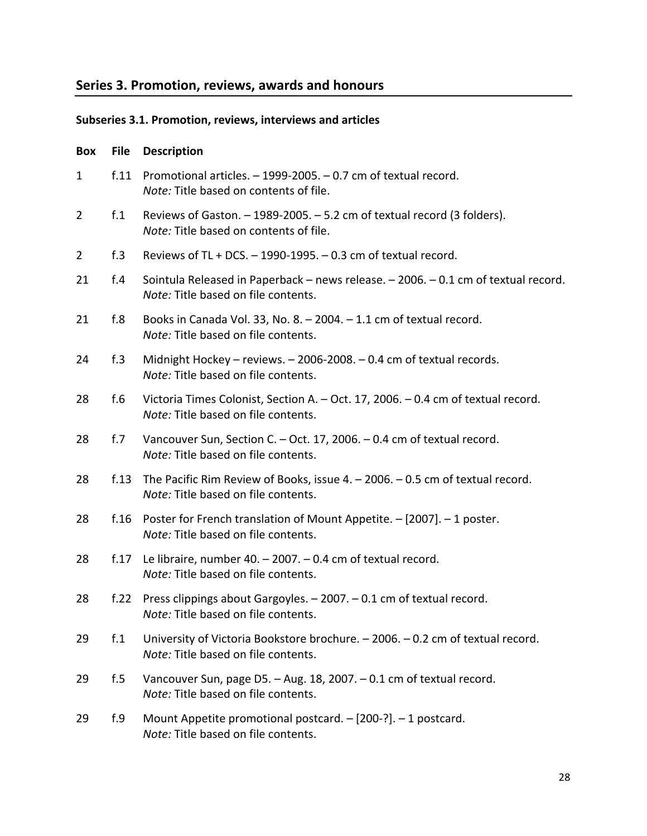## **Series 3. Promotion, reviews, awards and honours**

## **Subseries 3.1. Promotion, reviews, interviews and articles**

## **Box File Description**

| $\mathbf{1}$   | f.11     | Promotional articles. - 1999-2005. - 0.7 cm of textual record.<br>Note: Title based on contents of file.                  |
|----------------|----------|---------------------------------------------------------------------------------------------------------------------------|
| $\overline{2}$ | $f_{.1}$ | Reviews of Gaston. - 1989-2005. - 5.2 cm of textual record (3 folders).<br>Note: Title based on contents of file.         |
| $\overline{2}$ | f.3      | Reviews of TL + DCS. $-$ 1990-1995. $-$ 0.3 cm of textual record.                                                         |
| 21             | f.4      | Sointula Released in Paperback - news release. - 2006. - 0.1 cm of textual record.<br>Note: Title based on file contents. |
| 21             | f.8      | Books in Canada Vol. 33, No. 8. $-$ 2004. $-$ 1.1 cm of textual record.<br>Note: Title based on file contents.            |
| 24             | f.3      | Midnight Hockey - reviews. - 2006-2008. - 0.4 cm of textual records.<br>Note: Title based on file contents.               |
| 28             | f.6      | Victoria Times Colonist, Section A. - Oct. 17, 2006. - 0.4 cm of textual record.<br>Note: Title based on file contents.   |
| 28             | f.7      | Vancouver Sun, Section C. - Oct. 17, 2006. - 0.4 cm of textual record.<br>Note: Title based on file contents.             |
| 28             | f.13     | The Pacific Rim Review of Books, issue 4. - 2006. - 0.5 cm of textual record.<br>Note: Title based on file contents.      |
| 28             | f.16     | Poster for French translation of Mount Appetite. - [2007]. - 1 poster.<br>Note: Title based on file contents.             |
| 28             | f.17     | Le libraire, number 40. $-$ 2007. $-$ 0.4 cm of textual record.<br>Note: Title based on file contents.                    |
| 28             | f.22     | Press clippings about Gargoyles. - 2007. - 0.1 cm of textual record.<br>Note: Title based on file contents.               |
| 29             | f.1      | University of Victoria Bookstore brochure. - 2006. - 0.2 cm of textual record.<br>Note: Title based on file contents.     |
| 29             | f.5      | Vancouver Sun, page D5. - Aug. 18, 2007. - 0.1 cm of textual record.<br>Note: Title based on file contents.               |
| 29             | f.9      | Mount Appetite promotional postcard. - [200-?]. - 1 postcard.<br>Note: Title based on file contents.                      |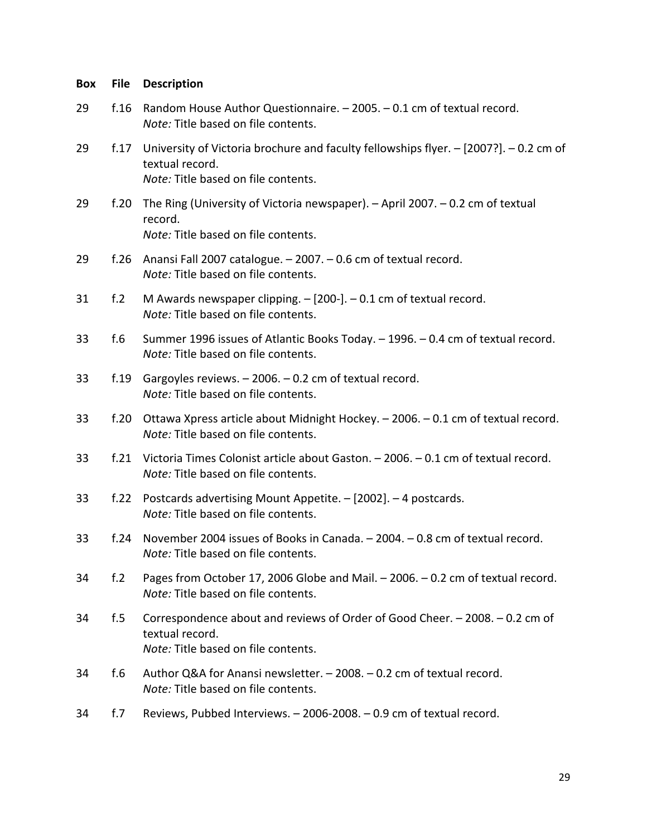| <b>Box</b> | <b>File</b>     | <b>Description</b>                                                                                                                                  |
|------------|-----------------|-----------------------------------------------------------------------------------------------------------------------------------------------------|
| 29         | f.16            | Random House Author Questionnaire. - 2005. - 0.1 cm of textual record.<br>Note: Title based on file contents.                                       |
| 29         | f.17            | University of Victoria brochure and faculty fellowships flyer. $-$ [2007?]. $-$ 0.2 cm of<br>textual record.<br>Note: Title based on file contents. |
| 29         | f.20            | The Ring (University of Victoria newspaper). - April 2007. - 0.2 cm of textual<br>record.<br>Note: Title based on file contents.                    |
| 29         | f.26            | Anansi Fall 2007 catalogue. - 2007. - 0.6 cm of textual record.<br>Note: Title based on file contents.                                              |
| 31         | f <sub>.2</sub> | M Awards newspaper clipping. $-$ [200-]. $-$ 0.1 cm of textual record.<br>Note: Title based on file contents.                                       |
| 33         | f.6             | Summer 1996 issues of Atlantic Books Today. - 1996. - 0.4 cm of textual record.<br>Note: Title based on file contents.                              |
| 33         | f.19            | Gargoyles reviews. $-2006. -0.2$ cm of textual record.<br>Note: Title based on file contents.                                                       |
| 33         | f.20            | Ottawa Xpress article about Midnight Hockey. - 2006. - 0.1 cm of textual record.<br>Note: Title based on file contents.                             |
| 33         | f.21            | Victoria Times Colonist article about Gaston. - 2006. - 0.1 cm of textual record.<br>Note: Title based on file contents.                            |
| 33         | f.22            | Postcards advertising Mount Appetite. - [2002]. - 4 postcards.<br>Note: Title based on file contents.                                               |
| 33         | f.24            | November 2004 issues of Books in Canada. - 2004. - 0.8 cm of textual record.<br>Note: Title based on file contents.                                 |
| 34         | f.2             | Pages from October 17, 2006 Globe and Mail. - 2006. - 0.2 cm of textual record.<br>Note: Title based on file contents.                              |
| 34         | f.5             | Correspondence about and reviews of Order of Good Cheer. - 2008. - 0.2 cm of<br>textual record.<br>Note: Title based on file contents.              |
| 34         | f.6             | Author Q&A for Anansi newsletter. - 2008. - 0.2 cm of textual record.<br>Note: Title based on file contents.                                        |
| 34         | f.7             | Reviews, Pubbed Interviews. - 2006-2008. - 0.9 cm of textual record.                                                                                |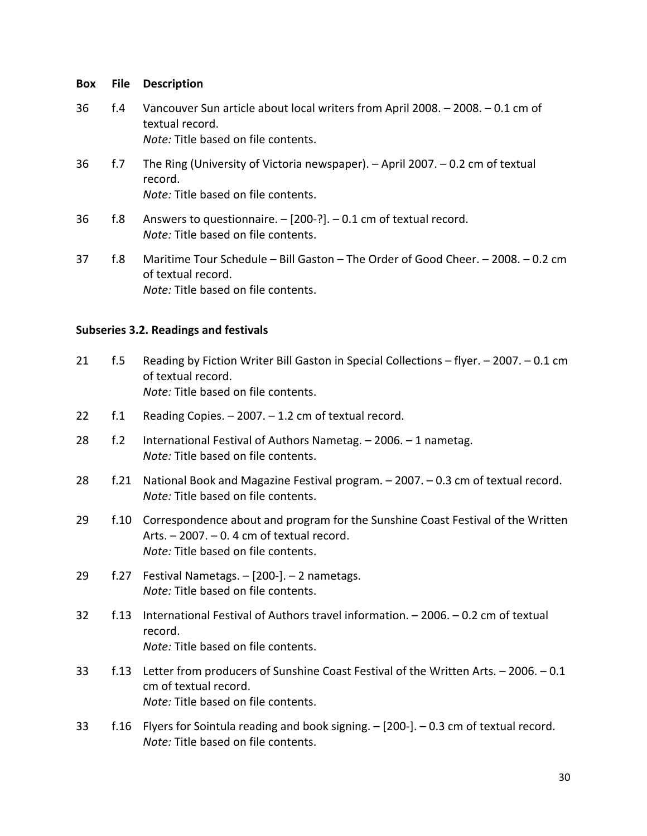- 36 f.4 Vancouver Sun article about local writers from April 2008. 2008. 0.1 cm of textual record. *Note:* Title based on file contents.
- 36 f.7 The Ring (University of Victoria newspaper). April 2007. 0.2 cm of textual record. *Note:* Title based on file contents.
- 36 f.8 Answers to questionnaire. [200-?]. 0.1 cm of textual record. *Note:* Title based on file contents.
- 37 f.8 Maritime Tour Schedule Bill Gaston The Order of Good Cheer. 2008. 0.2 cm of textual record. *Note:* Title based on file contents.

## **Subseries 3.2. Readings and festivals**

- 21 f.5 Reading by Fiction Writer Bill Gaston in Special Collections flyer. 2007. 0.1 cm of textual record. *Note:* Title based on file contents.
- 22 f.1 Reading Copies. 2007. 1.2 cm of textual record.
- 28 f.2 International Festival of Authors Nametag. 2006. 1 nametag. *Note:* Title based on file contents.
- 28 f.21 National Book and Magazine Festival program. 2007. 0.3 cm of textual record. *Note:* Title based on file contents.
- 29 f.10 Correspondence about and program for the Sunshine Coast Festival of the Written Arts. – 2007. – 0. 4 cm of textual record. *Note:* Title based on file contents.
- 29 f.27 Festival Nametags. [200-]. 2 nametags. *Note:* Title based on file contents.
- 32 f.13 International Festival of Authors travel information. 2006. 0.2 cm of textual record. *Note:* Title based on file contents.
- 33 f.13 Letter from producers of Sunshine Coast Festival of the Written Arts. 2006. 0.1 cm of textual record. *Note:* Title based on file contents.
- 33 f.16 Flyers for Sointula reading and book signing. [200-]. 0.3 cm of textual record. *Note:* Title based on file contents.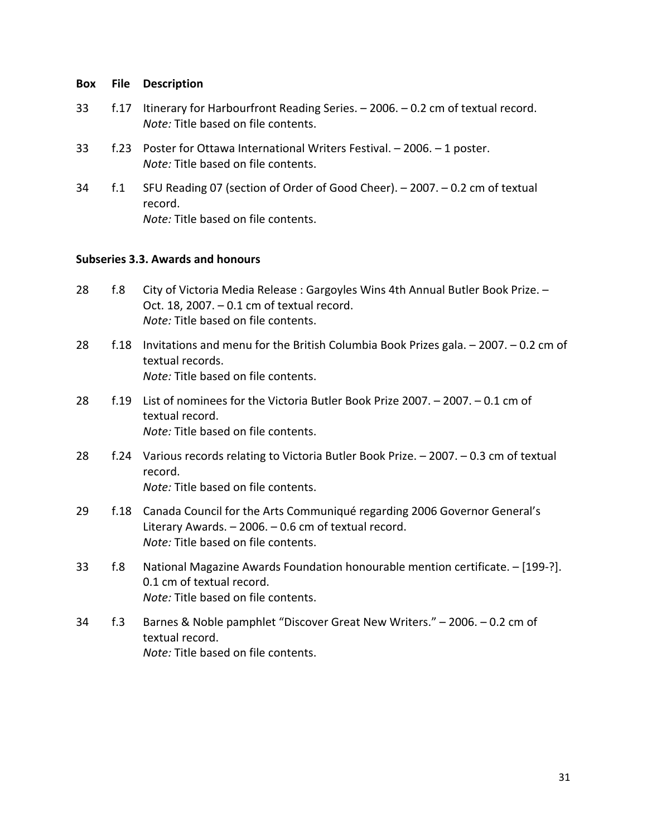- 33 f.17 Itinerary for Harbourfront Reading Series. 2006. 0.2 cm of textual record. *Note:* Title based on file contents.
- 33 f.23 Poster for Ottawa International Writers Festival. 2006. 1 poster. *Note:* Title based on file contents.
- 34 f.1 SFU Reading 07 (section of Order of Good Cheer). 2007. 0.2 cm of textual record. *Note:* Title based on file contents.

## **Subseries 3.3. Awards and honours**

- 28 f.8 City of Victoria Media Release : Gargoyles Wins 4th Annual Butler Book Prize. Oct. 18, 2007. – 0.1 cm of textual record. *Note:* Title based on file contents.
- 28 f.18 Invitations and menu for the British Columbia Book Prizes gala. 2007. 0.2 cm of textual records. *Note:* Title based on file contents.
- 28 f.19 List of nominees for the Victoria Butler Book Prize 2007. 2007. 0.1 cm of textual record. *Note:* Title based on file contents.
- 28 f.24 Various records relating to Victoria Butler Book Prize. 2007. 0.3 cm of textual record. *Note:* Title based on file contents.
- 29 f.18 Canada Council for the Arts Communiqué regarding 2006 Governor General's Literary Awards. – 2006. – 0.6 cm of textual record. *Note:* Title based on file contents.
- 33 f.8 National Magazine Awards Foundation honourable mention certificate. [199-?]. 0.1 cm of textual record. *Note:* Title based on file contents.
- 34 f.3 Barnes & Noble pamphlet "Discover Great New Writers." 2006. 0.2 cm of textual record. *Note:* Title based on file contents.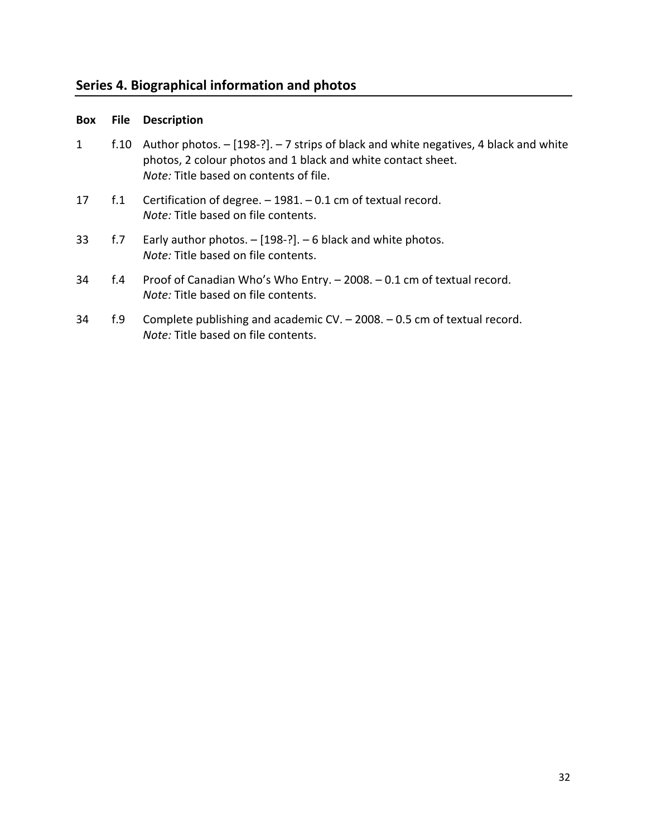# **Series 4. Biographical information and photos**

| Box | <b>File</b> | <b>Description</b>                                                                                                                                                                                    |
|-----|-------------|-------------------------------------------------------------------------------------------------------------------------------------------------------------------------------------------------------|
| 1   | f.10        | Author photos. - [198-?]. - 7 strips of black and white negatives, 4 black and white<br>photos, 2 colour photos and 1 black and white contact sheet.<br><i>Note:</i> Title based on contents of file. |
| 17  | f.1         | Certification of degree. $-1981. -0.1$ cm of textual record.<br><i>Note:</i> Title based on file contents.                                                                                            |
| 33  | f.7         | Early author photos. $-$ [198-?]. $-$ 6 black and white photos.<br><i>Note:</i> Title based on file contents.                                                                                         |
| 34  | f.4         | Proof of Canadian Who's Who Entry. - 2008. - 0.1 cm of textual record.<br><i>Note:</i> Title based on file contents.                                                                                  |
| 34  | f.9         | Complete publishing and academic CV. $-$ 2008. $-$ 0.5 cm of textual record.<br>Note: Title based on file contents.                                                                                   |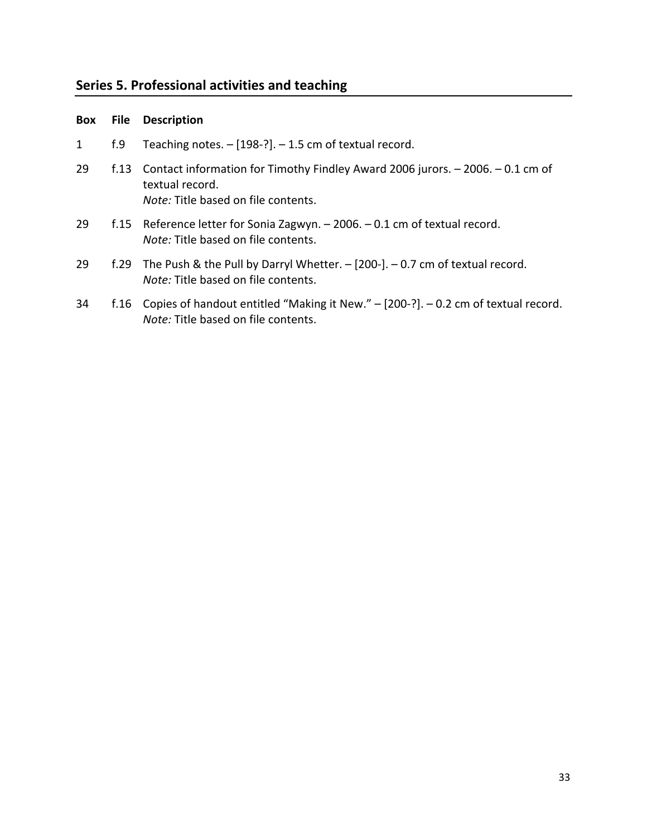# **Series 5. Professional activities and teaching**

| Box | File     | <b>Description</b>                                                                                                                              |
|-----|----------|-------------------------------------------------------------------------------------------------------------------------------------------------|
| 1   | f.9      | Teaching notes. $-[198-?]$ . $-1.5$ cm of textual record.                                                                                       |
| 29  | f. $131$ | Contact information for Timothy Findley Award 2006 jurors. - 2006. - 0.1 cm of<br>textual record.<br><i>Note:</i> Title based on file contents. |
| 29  |          | f.15 Reference letter for Sonia Zagwyn. $-$ 2006. $-$ 0.1 cm of textual record.<br><i>Note:</i> Title based on file contents.                   |
| 29  | f.29     | The Push & the Pull by Darryl Whetter. $-$ [200-]. $-$ 0.7 cm of textual record.<br><i>Note:</i> Title based on file contents.                  |
| 34  |          | f.16 Copies of handout entitled "Making it New." - [200-?]. - 0.2 cm of textual record.<br><i>Note:</i> Title based on file contents.           |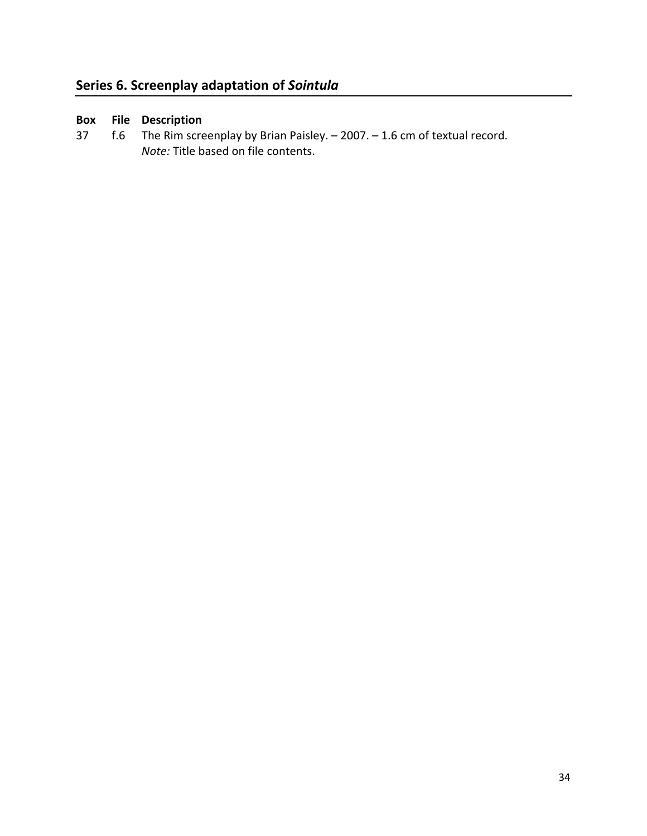## **Series 6. Screenplay adaptation of** *Sointula*

# **Box File Description**

37 f.6 The Rim screenplay by Brian Paisley. – 2007. – 1.6 cm of textual record. *Note:* Title based on file contents.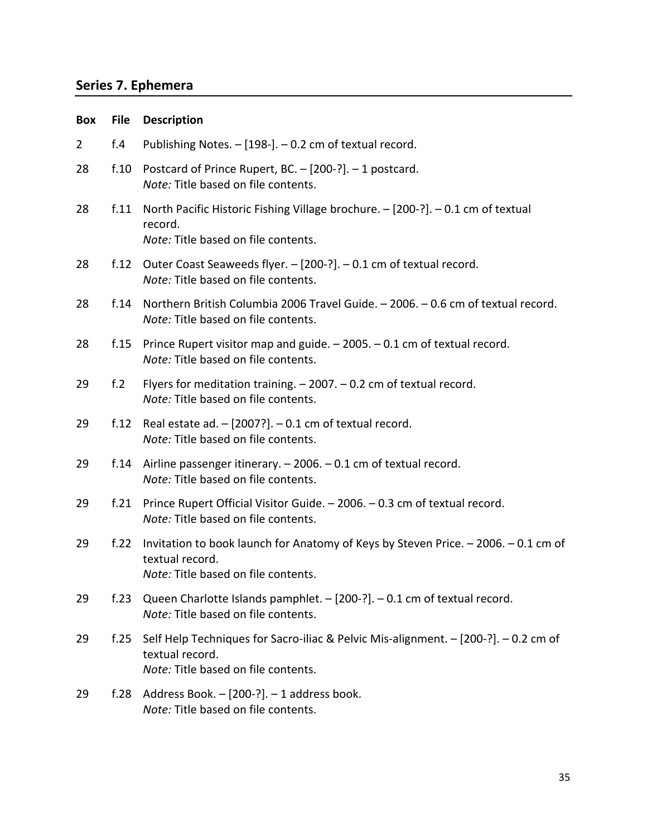# **Series 7. Ephemera**

| <b>Box</b>     | <b>File</b> | <b>Description</b>                                                                                                                            |
|----------------|-------------|-----------------------------------------------------------------------------------------------------------------------------------------------|
| $\overline{2}$ | f.4         | Publishing Notes. - [198-]. - 0.2 cm of textual record.                                                                                       |
| 28             | f.10        | Postcard of Prince Rupert, BC. - [200-?]. - 1 postcard.<br>Note: Title based on file contents.                                                |
| 28             | f.11        | North Pacific Historic Fishing Village brochure. - [200-?]. - 0.1 cm of textual<br>record.<br>Note: Title based on file contents.             |
| 28             | f.12        | Outer Coast Seaweeds flyer. - [200-?]. - 0.1 cm of textual record.<br>Note: Title based on file contents.                                     |
| 28             | f.14        | Northern British Columbia 2006 Travel Guide. - 2006. - 0.6 cm of textual record.<br>Note: Title based on file contents.                       |
| 28             | f.15        | Prince Rupert visitor map and guide. $-2005. -0.1$ cm of textual record.<br>Note: Title based on file contents.                               |
| 29             | f.2         | Flyers for meditation training. $-2007. -0.2$ cm of textual record.<br>Note: Title based on file contents.                                    |
| 29             | f.12        | Real estate ad. $-$ [2007?]. $-$ 0.1 cm of textual record.<br>Note: Title based on file contents.                                             |
| 29             | f.14        | Airline passenger itinerary. $-2006. -0.1$ cm of textual record.<br>Note: Title based on file contents.                                       |
| 29             | f.21        | Prince Rupert Official Visitor Guide. - 2006. - 0.3 cm of textual record.<br>Note: Title based on file contents.                              |
| 29             | f.22        | Invitation to book launch for Anatomy of Keys by Steven Price. - 2006. - 0.1 cm of<br>textual record.<br>Note: Title based on file contents.  |
| 29             | f.23        | Queen Charlotte Islands pamphlet. - [200-?]. - 0.1 cm of textual record.<br>Note: Title based on file contents.                               |
| 29             | f.25        | Self Help Techniques for Sacro-iliac & Pelvic Mis-alignment. - [200-?]. - 0.2 cm of<br>textual record.<br>Note: Title based on file contents. |
| 29             | f.28        | Address Book. - [200-?]. - 1 address book.<br>Note: Title based on file contents.                                                             |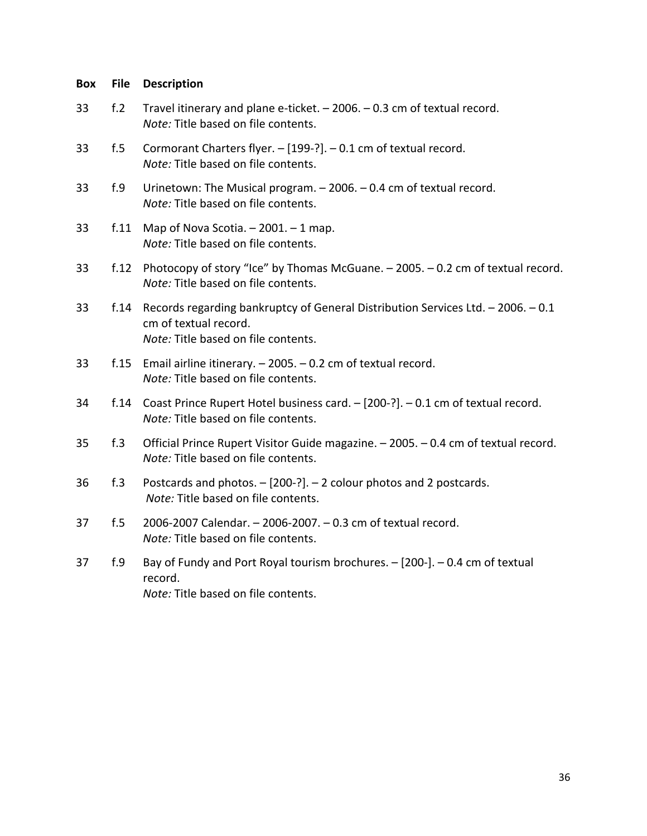# **Box File Description**  33 f.2 Travel itinerary and plane e-ticket. – 2006. – 0.3 cm of textual record. *Note:* Title based on file contents. 33 f.5 Cormorant Charters flyer. – [199-?]. – 0.1 cm of textual record. *Note:* Title based on file contents. 33 f.9 Urinetown: The Musical program. – 2006. – 0.4 cm of textual record. *Note:* Title based on file contents. 33  $f.11$  Map of Nova Scotia.  $-2001$ .  $-1$  map. *Note:* Title based on file contents. 33 f.12 Photocopy of story "Ice" by Thomas McGuane. – 2005. – 0.2 cm of textual record. *Note:* Title based on file contents. 33 f.14 Records regarding bankruptcy of General Distribution Services Ltd. – 2006. – 0.1 cm of textual record. *Note:* Title based on file contents. 33 f.15 Email airline itinerary. – 2005. – 0.2 cm of textual record. *Note:* Title based on file contents. 34 f.14 Coast Prince Rupert Hotel business card. – [200-?]. – 0.1 cm of textual record. *Note:* Title based on file contents. 35 f.3 Official Prince Rupert Visitor Guide magazine. – 2005. – 0.4 cm of textual record. *Note:* Title based on file contents. 36 f.3 Postcards and photos. – [200-?]. – 2 colour photos and 2 postcards. *Note:* Title based on file contents. 37 f.5 2006-2007 Calendar. – 2006-2007. – 0.3 cm of textual record. *Note:* Title based on file contents. 37 f.9 Bay of Fundy and Port Royal tourism brochures. – [200-]. – 0.4 cm of textual record. *Note:* Title based on file contents.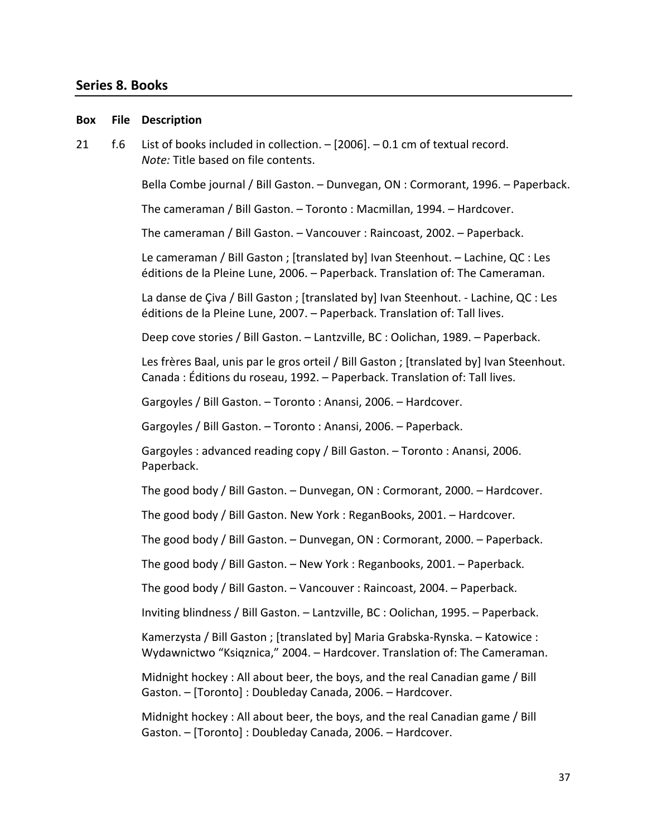## **Series 8. Books**

# **Box File Description**  21 f.6 List of books included in collection. – [2006]. – 0.1 cm of textual record. *Note:* Title based on file contents. Bella Combe journal / Bill Gaston. – Dunvegan, ON : Cormorant, 1996. – Paperback. The cameraman / Bill Gaston. – Toronto : Macmillan, 1994. – Hardcover. The cameraman / Bill Gaston. – Vancouver : Raincoast, 2002. – Paperback. Le cameraman / Bill Gaston ; [translated by] Ivan Steenhout. – Lachine, QC : Les éditions de la Pleine Lune, 2006. – Paperback. Translation of: The Cameraman. La danse de Çiva / Bill Gaston ; [translated by] Ivan Steenhout. - Lachine, QC : Les éditions de la Pleine Lune, 2007. – Paperback. Translation of: Tall lives. Deep cove stories / Bill Gaston. – Lantzville, BC : Oolichan, 1989. – Paperback. Les frères Baal, unis par le gros orteil / Bill Gaston ; [translated by] Ivan Steenhout. Canada : Éditions du roseau, 1992. – Paperback. Translation of: Tall lives. Gargoyles / Bill Gaston. – Toronto : Anansi, 2006. – Hardcover. Gargoyles / Bill Gaston. – Toronto : Anansi, 2006. – Paperback. Gargoyles : advanced reading copy / Bill Gaston. – Toronto : Anansi, 2006. Paperback. The good body / Bill Gaston. – Dunvegan, ON : Cormorant, 2000. – Hardcover. The good body / Bill Gaston. New York : ReganBooks, 2001. – Hardcover. The good body / Bill Gaston. – Dunvegan, ON : Cormorant, 2000. – Paperback. The good body / Bill Gaston. – New York : Reganbooks, 2001. – Paperback. The good body / Bill Gaston. – Vancouver : Raincoast, 2004. – Paperback. Inviting blindness / Bill Gaston. – Lantzville, BC : Oolichan, 1995. – Paperback. Kamerzysta / Bill Gaston ; [translated by] Maria Grabska-Rynska. – Katowice : Wydawnictwo "Ksiqznica," 2004. – Hardcover. Translation of: The Cameraman. Midnight hockey : All about beer, the boys, and the real Canadian game / Bill Gaston. – [Toronto] : Doubleday Canada, 2006. – Hardcover. Midnight hockey : All about beer, the boys, and the real Canadian game / Bill

Gaston. – [Toronto] : Doubleday Canada, 2006. – Hardcover.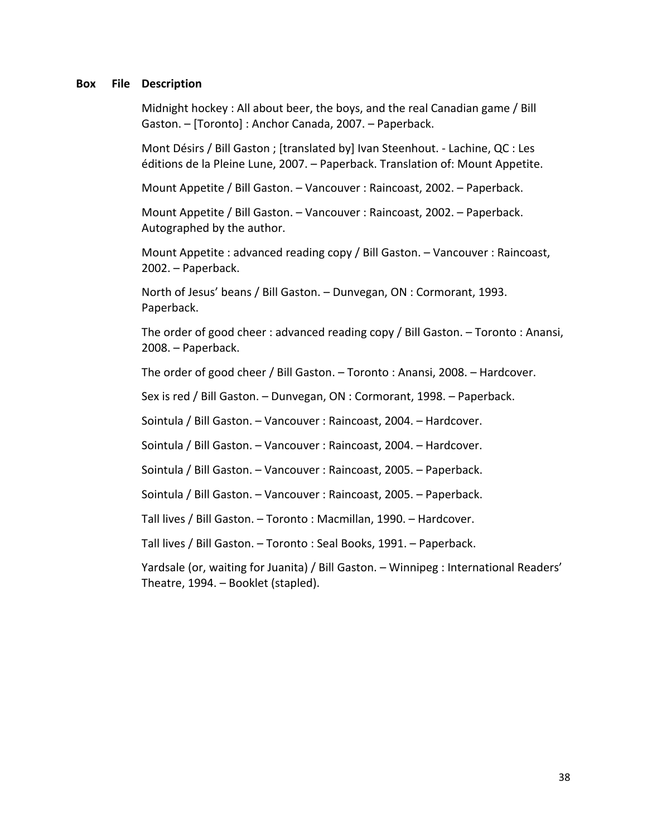Midnight hockey : All about beer, the boys, and the real Canadian game / Bill Gaston. – [Toronto] : Anchor Canada, 2007. – Paperback.

 Mont Désirs / Bill Gaston ; [translated by] Ivan Steenhout. - Lachine, QC : Les éditions de la Pleine Lune, 2007. – Paperback. Translation of: Mount Appetite.

Mount Appetite / Bill Gaston. – Vancouver : Raincoast, 2002. – Paperback.

 Mount Appetite / Bill Gaston. – Vancouver : Raincoast, 2002. – Paperback. Autographed by the author.

 Mount Appetite : advanced reading copy / Bill Gaston. – Vancouver : Raincoast, 2002. – Paperback.

 North of Jesus' beans / Bill Gaston. – Dunvegan, ON : Cormorant, 1993. Paperback.

 The order of good cheer : advanced reading copy / Bill Gaston. – Toronto : Anansi, 2008. – Paperback.

The order of good cheer / Bill Gaston. – Toronto : Anansi, 2008. – Hardcover.

Sex is red / Bill Gaston. – Dunvegan, ON : Cormorant, 1998. – Paperback.

Sointula / Bill Gaston. – Vancouver : Raincoast, 2004. – Hardcover.

Sointula / Bill Gaston. – Vancouver : Raincoast, 2004. – Hardcover.

Sointula / Bill Gaston. – Vancouver : Raincoast, 2005. – Paperback.

Sointula / Bill Gaston. – Vancouver : Raincoast, 2005. – Paperback.

Tall lives / Bill Gaston. – Toronto : Macmillan, 1990. – Hardcover.

Tall lives / Bill Gaston. – Toronto : Seal Books, 1991. – Paperback.

 Yardsale (or, waiting for Juanita) / Bill Gaston. – Winnipeg : International Readers' Theatre, 1994. – Booklet (stapled).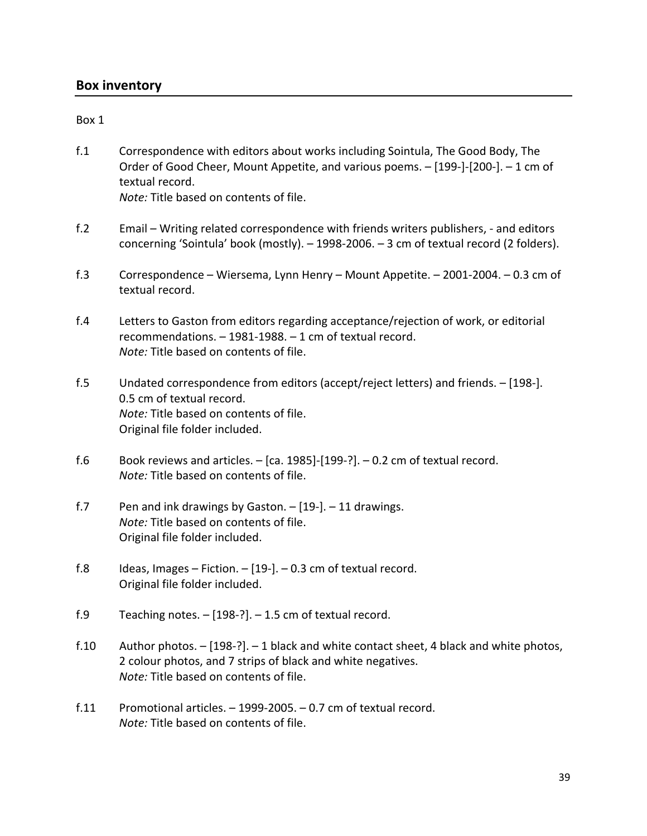## **Box inventory**

## Box 1

f.1 Correspondence with editors about works including Sointula, The Good Body, The Order of Good Cheer, Mount Appetite, and various poems. – [199-]-[200-]. – 1 cm of textual record.

*Note:* Title based on contents of file.

- f.2 Email Writing related correspondence with friends writers publishers, and editors concerning 'Sointula' book (mostly). – 1998-2006. – 3 cm of textual record (2 folders).
- f.3 Correspondence Wiersema, Lynn Henry Mount Appetite. 2001-2004. 0.3 cm of textual record.
- f.4 Letters to Gaston from editors regarding acceptance/rejection of work, or editorial recommendations. – 1981-1988. – 1 cm of textual record. *Note:* Title based on contents of file.
- f.5 Undated correspondence from editors (accept/reject letters) and friends. [198-]. 0.5 cm of textual record. *Note:* Title based on contents of file. Original file folder included.
- f.6 Book reviews and articles. [ca. 1985]-[199-?]. 0.2 cm of textual record. *Note:* Title based on contents of file.
- f.7 Pen and ink drawings by Gaston. [19-]. 11 drawings. *Note:* Title based on contents of file. Original file folder included.
- f.8 Ideas, Images Fiction.  $[19-]$ . 0.3 cm of textual record. Original file folder included.
- f.9 Teaching notes. [198-?]. 1.5 cm of textual record.
- f.10 Author photos. [198-?]. 1 black and white contact sheet, 4 black and white photos, 2 colour photos, and 7 strips of black and white negatives. *Note:* Title based on contents of file.
- f.11 Promotional articles.  $-$  1999-2005.  $-$  0.7 cm of textual record. *Note:* Title based on contents of file.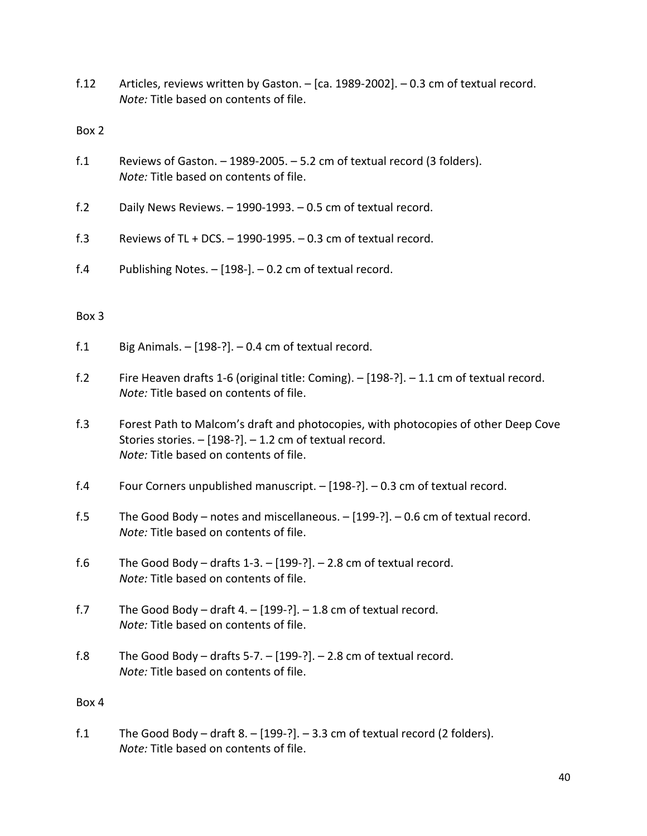f.12 Articles, reviews written by Gaston. – [ca. 1989-2002]. – 0.3 cm of textual record. *Note:* Title based on contents of file.

Box 2

- f.1 Reviews of Gaston. 1989-2005. 5.2 cm of textual record (3 folders). *Note:* Title based on contents of file.
- f.2 Daily News Reviews. 1990-1993. 0.5 cm of textual record.
- f.3 Reviews of TL + DCS.  $-$  1990-1995.  $-$  0.3 cm of textual record.
- f.4 Publishing Notes. [198-]. 0.2 cm of textual record.

## Box 3

- f.1 Big Animals.  $-$  [198-?].  $-$  0.4 cm of textual record.
- f.2 Fire Heaven drafts 1-6 (original title: Coming). [198-?]. 1.1 cm of textual record. *Note:* Title based on contents of file.
- f.3 Forest Path to Malcom's draft and photocopies, with photocopies of other Deep Cove Stories stories. – [198-?]. – 1.2 cm of textual record. *Note:* Title based on contents of file.
- f.4 Four Corners unpublished manuscript. [198-?]. 0.3 cm of textual record.
- f.5 The Good Body notes and miscellaneous. [199-?]. 0.6 cm of textual record. *Note:* Title based on contents of file.
- f.6 The Good Body drafts  $1-3. [199-?]$ . 2.8 cm of textual record. *Note:* Title based on contents of file.
- f.7 The Good Body draft 4.  $[199-?]$ . 1.8 cm of textual record. *Note:* Title based on contents of file.
- f.8 The Good Body drafts 5-7.  $[199-?]$ . 2.8 cm of textual record. *Note:* Title based on contents of file.

## Box 4

f.1 The Good Body – draft  $8. - [199-?]$ . – 3.3 cm of textual record (2 folders). *Note:* Title based on contents of file.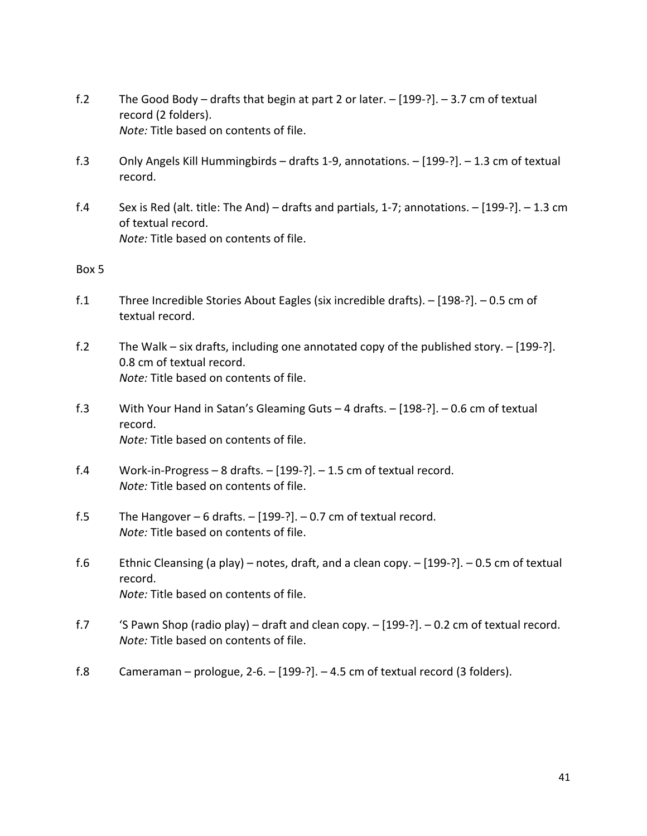- f.2 The Good Body drafts that begin at part 2 or later. [199-?]. 3.7 cm of textual record (2 folders). *Note:* Title based on contents of file.
- f.3 Only Angels Kill Hummingbirds drafts 1-9, annotations. [199-?]. 1.3 cm of textual record.
- f.4 Sex is Red (alt. title: The And) drafts and partials, 1-7; annotations. [199-?]. 1.3 cm of textual record. *Note:* Title based on contents of file.

- f.1 Three Incredible Stories About Eagles (six incredible drafts). [198-?]. 0.5 cm of textual record.
- f.2 The Walk six drafts, including one annotated copy of the published story. [199-?]. 0.8 cm of textual record. *Note:* Title based on contents of file.
- f.3 With Your Hand in Satan's Gleaming Guts 4 drafts. [198-?]. 0.6 cm of textual record. *Note:* Title based on contents of file.
- f.4 Work-in-Progress 8 drafts. [199-?]. 1.5 cm of textual record. *Note:* Title based on contents of file.
- f.5 The Hangover 6 drafts. [199-?]. 0.7 cm of textual record. *Note:* Title based on contents of file.
- f.6 Ethnic Cleansing (a play) notes, draft, and a clean copy. [199-?]. 0.5 cm of textual record. *Note:* Title based on contents of file.
- f.7 'S Pawn Shop (radio play) draft and clean copy. [199-?]. 0.2 cm of textual record. *Note:* Title based on contents of file.
- f.8 Cameraman prologue, 2-6. [199-?]. 4.5 cm of textual record (3 folders).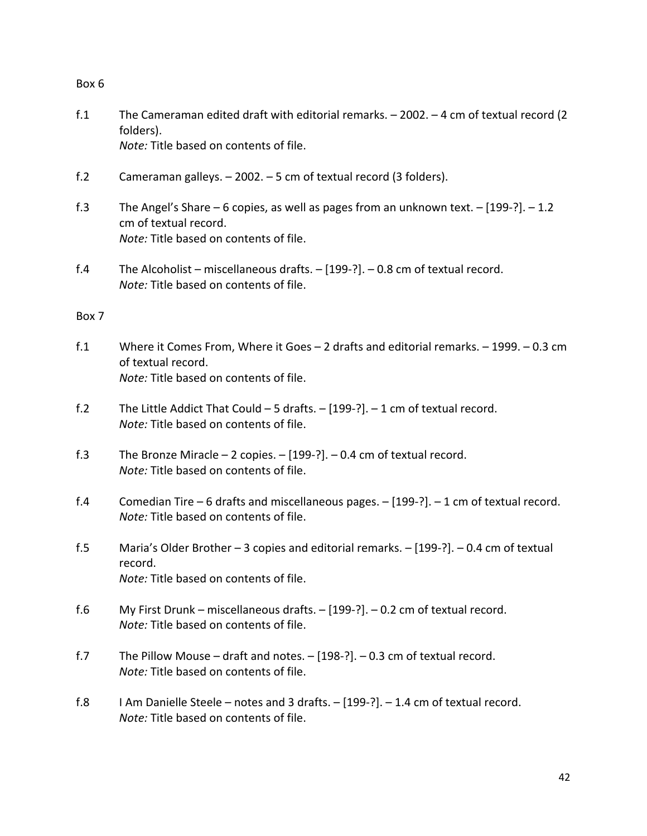- f.1 The Cameraman edited draft with editorial remarks. 2002. 4 cm of textual record (2 folders). *Note:* Title based on contents of file.
- f.2 Cameraman galleys. 2002. 5 cm of textual record (3 folders).
- f.3 The Angel's Share 6 copies, as well as pages from an unknown text. [199-?]. 1.2 cm of textual record. *Note:* Title based on contents of file.
- f.4 The Alcoholist miscellaneous drafts. [199-?]. 0.8 cm of textual record. *Note:* Title based on contents of file.

- f.1 Where it Comes From, Where it Goes 2 drafts and editorial remarks. 1999. 0.3 cm of textual record. *Note:* Title based on contents of file.
- f.2 The Little Addict That Could 5 drafts. [199-?]. 1 cm of textual record. *Note:* Title based on contents of file.
- f.3 The Bronze Miracle 2 copies. [199-?]. 0.4 cm of textual record. *Note:* Title based on contents of file.
- f.4 Comedian Tire 6 drafts and miscellaneous pages. [199-?]. 1 cm of textual record. *Note:* Title based on contents of file.
- f.5 Maria's Older Brother 3 copies and editorial remarks. [199-?]. 0.4 cm of textual record. *Note:* Title based on contents of file.
- f.6 My First Drunk miscellaneous drafts. [199-?]. 0.2 cm of textual record. *Note:* Title based on contents of file.
- f.7 The Pillow Mouse draft and notes. [198-?]. 0.3 cm of textual record. *Note:* Title based on contents of file.
- f.8 I Am Danielle Steele notes and 3 drafts. [199-?]. 1.4 cm of textual record. *Note:* Title based on contents of file.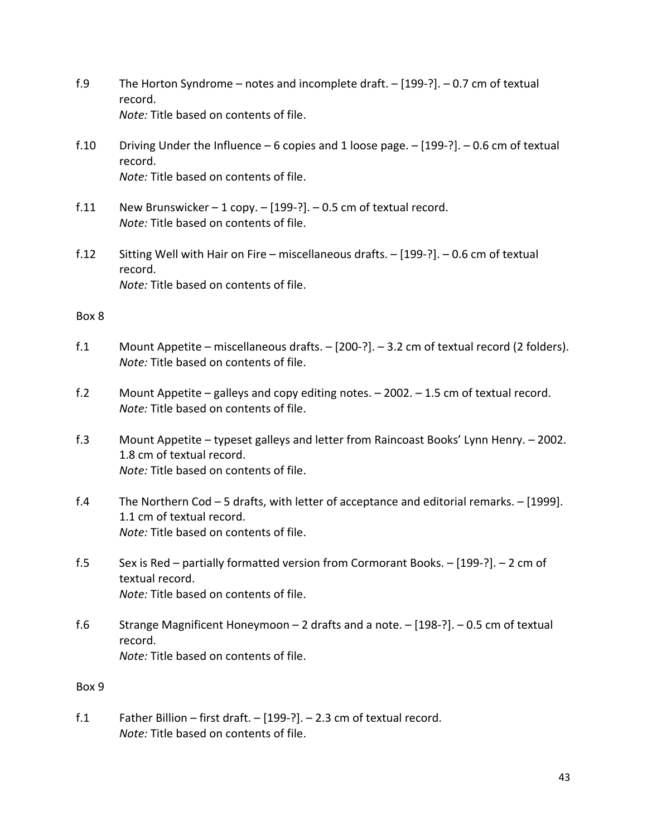- f.9 The Horton Syndrome notes and incomplete draft. [199-?]. 0.7 cm of textual record. *Note:* Title based on contents of file.
- f.10 Driving Under the Influence  $-6$  copies and 1 loose page.  $-$  [199-?].  $-0.6$  cm of textual record. *Note:* Title based on contents of file.
- f.11 New Brunswicker 1 copy.  $-[199-?]$ . 0.5 cm of textual record. *Note:* Title based on contents of file.
- f.12 Sitting Well with Hair on Fire miscellaneous drafts. [199-?]. 0.6 cm of textual record. *Note:* Title based on contents of file.

- f.1 Mount Appetite miscellaneous drafts. [200-?]. 3.2 cm of textual record (2 folders). *Note:* Title based on contents of file.
- f.2 Mount Appetite galleys and copy editing notes. 2002. 1.5 cm of textual record. *Note:* Title based on contents of file.
- f.3 Mount Appetite typeset galleys and letter from Raincoast Books' Lynn Henry. 2002. 1.8 cm of textual record. *Note:* Title based on contents of file.
- f.4 The Northern Cod 5 drafts, with letter of acceptance and editorial remarks. [1999]. 1.1 cm of textual record. *Note:* Title based on contents of file.
- f.5 Sex is Red partially formatted version from Cormorant Books. [199-?]. 2 cm of textual record. *Note:* Title based on contents of file.
- f.6 Strange Magnificent Honeymoon 2 drafts and a note. [198-?]. 0.5 cm of textual record. *Note:* Title based on contents of file.

## Box 9

f.1 Father Billion – first draft. – [199-?]. – 2.3 cm of textual record. *Note:* Title based on contents of file.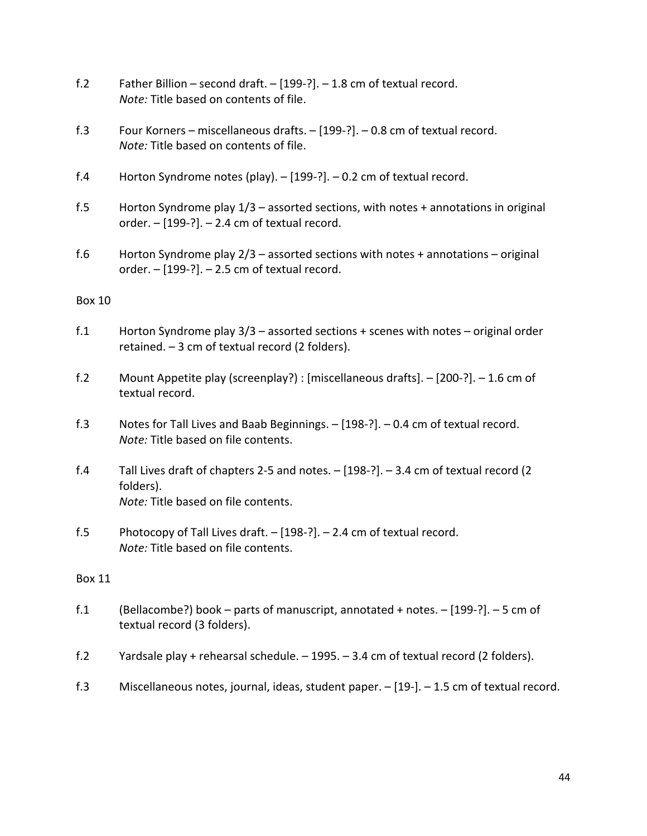- f.2 Father Billion second draft. [199-?]. 1.8 cm of textual record. *Note:* Title based on contents of file.
- f.3 Four Korners miscellaneous drafts. [199-?]. 0.8 cm of textual record. *Note:* Title based on contents of file.
- f.4 Horton Syndrome notes (play). [199-?]. 0.2 cm of textual record.
- f.5 Horton Syndrome play 1/3 assorted sections, with notes + annotations in original order. – [199-?]. – 2.4 cm of textual record.
- f.6 Horton Syndrome play 2/3 assorted sections with notes + annotations original order. – [199-?]. – 2.5 cm of textual record.

- f.1 Horton Syndrome play 3/3 assorted sections + scenes with notes original order retained. – 3 cm of textual record (2 folders).
- f.2 Mount Appetite play (screenplay?) : [miscellaneous drafts]. [200-?]. 1.6 cm of textual record.
- f.3 Notes for Tall Lives and Baab Beginnings. [198-?]. 0.4 cm of textual record. *Note:* Title based on file contents.
- f.4 Tall Lives draft of chapters 2-5 and notes. [198-?]. 3.4 cm of textual record (2 folders). *Note:* Title based on file contents.
- f.5 Photocopy of Tall Lives draft. [198-?]. 2.4 cm of textual record. *Note:* Title based on file contents.

- f.1 (Bellacombe?) book parts of manuscript, annotated + notes. [199-?]. 5 cm of textual record (3 folders).
- f.2 Yardsale play + rehearsal schedule. 1995. 3.4 cm of textual record (2 folders).
- f.3 Miscellaneous notes, journal, ideas, student paper. [19-]. 1.5 cm of textual record.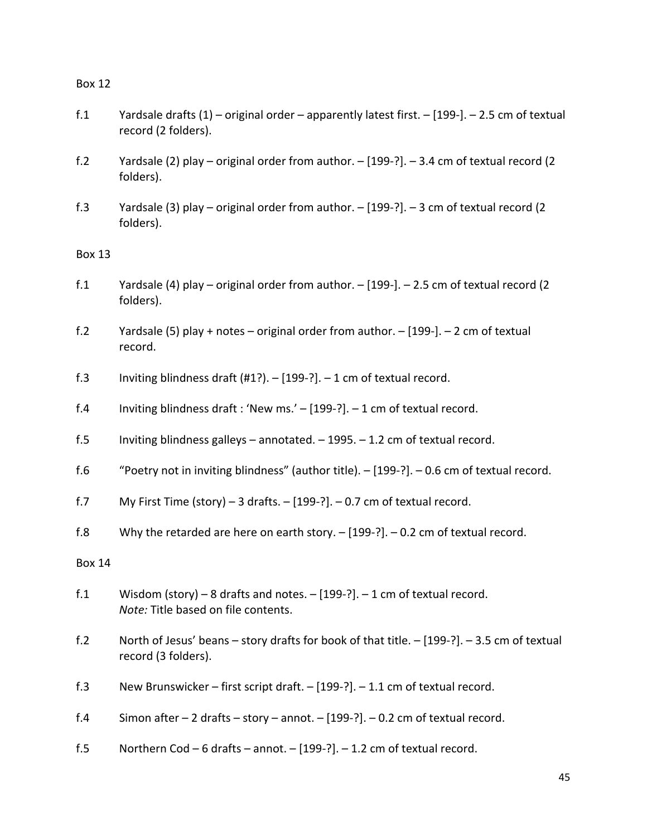- f.1 Yardsale drafts (1) original order apparently latest first. [199-]. 2.5 cm of textual record (2 folders).
- f.2 Yardsale (2) play original order from author. [199-?]. 3.4 cm of textual record (2 folders).
- f.3 Yardsale (3) play original order from author. [199-?]. 3 cm of textual record (2 folders).

Box 13

- f.1 Yardsale (4) play original order from author. [199-]. 2.5 cm of textual record (2 folders).
- f.2 Yardsale (5) play + notes original order from author. [199-]. 2 cm of textual record.
- f.3 Inviting blindness draft  $(H1?) [199-?] 1$  cm of textual record.
- f.4 Inviting blindness draft : 'New ms.' [199-?]. 1 cm of textual record.
- f.5 Inviting blindness galleys annotated. 1995. 1.2 cm of textual record.
- f.6 "Poetry not in inviting blindness" (author title). [199-?]. 0.6 cm of textual record.
- f.7 My First Time (story) 3 drafts.  $-$  [199-?]. 0.7 cm of textual record.
- f.8 Why the retarded are here on earth story. [199-?]. 0.2 cm of textual record.

- f.1 Wisdom (story) 8 drafts and notes. [199-?]. 1 cm of textual record. *Note:* Title based on file contents.
- f.2 North of Jesus' beans story drafts for book of that title. [199-?]. 3.5 cm of textual record (3 folders).
- f.3 New Brunswicker first script draft. [199-?]. 1.1 cm of textual record.
- f.4 Simon after 2 drafts story annot. [199-?]. 0.2 cm of textual record.
- f.5 Northern Cod 6 drafts annot. [199-?]. 1.2 cm of textual record.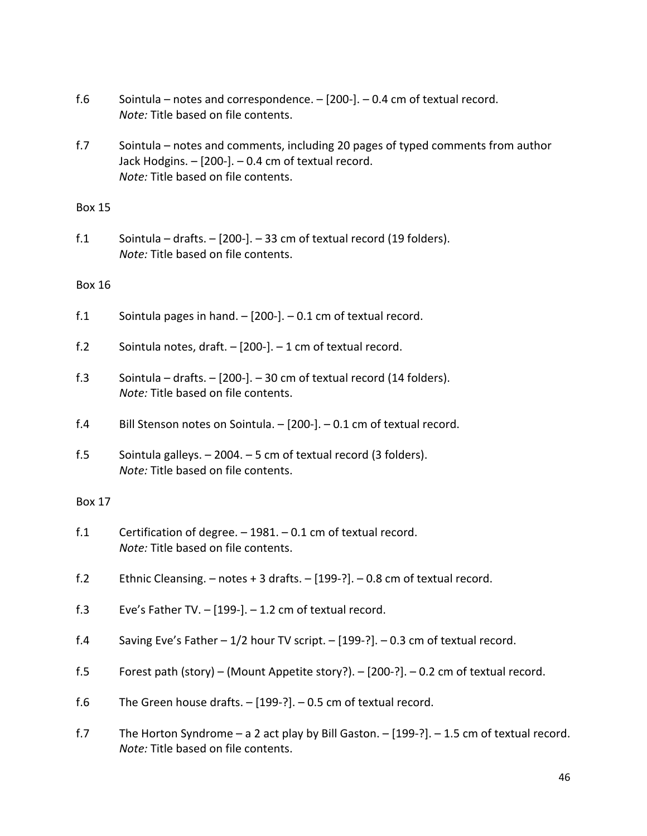- f.6 Sointula notes and correspondence.  $-$  [200-]. 0.4 cm of textual record. *Note:* Title based on file contents.
- f.7 Sointula notes and comments, including 20 pages of typed comments from author Jack Hodgins. – [200-]. – 0.4 cm of textual record. *Note:* Title based on file contents.

f.1 Sointula – drafts.  $-$  [200-]. – 33 cm of textual record (19 folders). *Note:* Title based on file contents.

## Box 16

- f.1 Sointula pages in hand.  $-$  [200-].  $-$  0.1 cm of textual record.
- f.2 Sointula notes, draft. [200-]. 1 cm of textual record.
- f.3 Sointula drafts.  $-$  [200-]. 30 cm of textual record (14 folders). *Note:* Title based on file contents.
- f.4 Bill Stenson notes on Sointula. [200-]. 0.1 cm of textual record.
- f.5 Sointula galleys.  $-2004. 5$  cm of textual record (3 folders). *Note:* Title based on file contents.

- f.1 Certification of degree. 1981. 0.1 cm of textual record. *Note:* Title based on file contents.
- f.2 Ethnic Cleansing. notes + 3 drafts. [199-?]. 0.8 cm of textual record.
- f.3 Eve's Father TV. [199-]. 1.2 cm of textual record.
- f.4 Saving Eve's Father 1/2 hour TV script. [199-?]. 0.3 cm of textual record.
- f.5 Forest path (story) (Mount Appetite story?). [200-?]. 0.2 cm of textual record.
- f.6 The Green house drafts.  $-$  [199-?].  $-$  0.5 cm of textual record.
- f.7 The Horton Syndrome a 2 act play by Bill Gaston. [199-?]. 1.5 cm of textual record. *Note:* Title based on file contents.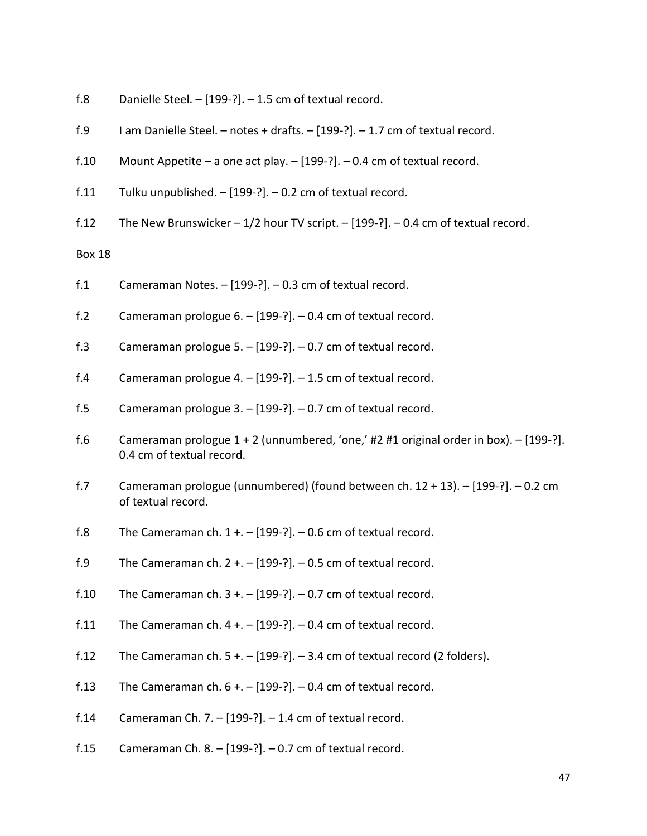- f.8 Danielle Steel. [199-?]. 1.5 cm of textual record.
- f.9 I am Danielle Steel. notes + drafts. [199-?]. 1.7 cm of textual record.
- f.10 Mount Appetite a one act play.  $-$  [199-?]. 0.4 cm of textual record.
- f.11 Tulku unpublished.  $-$  [199-?].  $-$  0.2 cm of textual record.
- f.12 The New Brunswicker  $-1/2$  hour TV script.  $-$  [199-?].  $-0.4$  cm of textual record.

- f.1 Cameraman Notes. [199-?]. 0.3 cm of textual record.
- f.2 Cameraman prologue 6. [199-?]. 0.4 cm of textual record.
- f.3 Cameraman prologue 5. [199-?]. 0.7 cm of textual record.
- f.4 Cameraman prologue 4. [199-?]. 1.5 cm of textual record.
- f.5 Cameraman prologue 3. [199-?]. 0.7 cm of textual record.
- f.6 Cameraman prologue  $1 + 2$  (unnumbered, 'one,' #2 #1 original order in box).  $-$  [199-?]. 0.4 cm of textual record.
- f.7 Cameraman prologue (unnumbered) (found between ch.  $12 + 13$ ).  $-$  [199-?].  $-$  0.2 cm of textual record.
- f.8 The Cameraman ch.  $1 + -$  [199-?].  $-$  0.6 cm of textual record.
- f.9 The Cameraman ch.  $2 + -$  [199-?].  $-0.5$  cm of textual record.
- f.10 The Cameraman ch.  $3 + -199 -$ ?. 0.7 cm of textual record.
- f.11 The Cameraman ch.  $4 + -$  [199-?].  $-0.4$  cm of textual record.
- f.12 The Cameraman ch.  $5 + -$  [199-?].  $-3.4$  cm of textual record (2 folders).
- f.13 The Cameraman ch.  $6 + -$  [199-?]. 0.4 cm of textual record.
- f.14 Cameraman Ch. 7. [199-?]. 1.4 cm of textual record.
- f.15 Cameraman Ch. 8. [199-?]. 0.7 cm of textual record.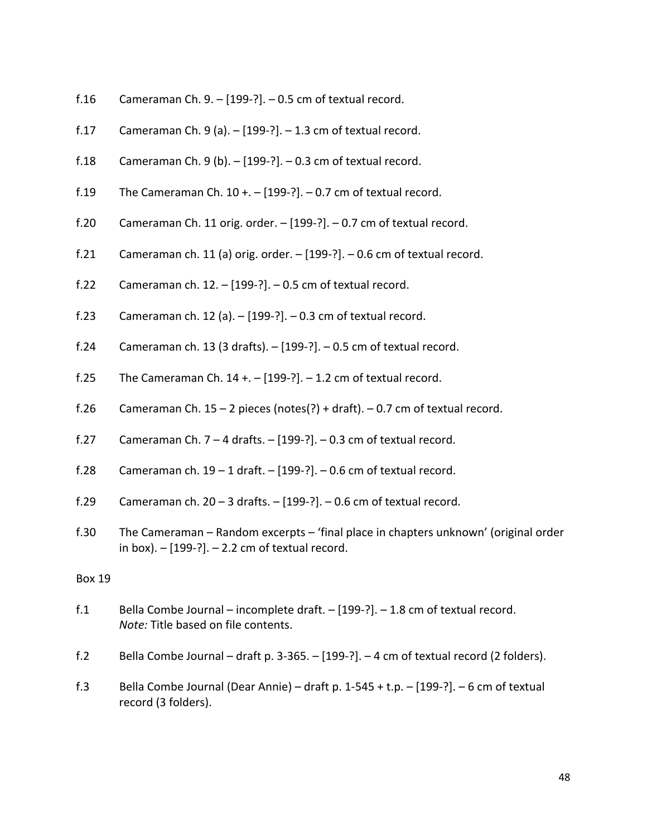- f.16 Cameraman Ch. 9.  $-$  [199-?].  $-$  0.5 cm of textual record.
- f.17 Cameraman Ch. 9 (a).  $-$  [199-?].  $-$  1.3 cm of textual record.
- f.18 Cameraman Ch. 9 (b).  $-$  [199-?].  $-$  0.3 cm of textual record.
- f.19 The Cameraman Ch.  $10 + -1$  [199-?].  $-0.7$  cm of textual record.
- f.20 Cameraman Ch. 11 orig. order. [199-?]. 0.7 cm of textual record.
- f.21 Cameraman ch. 11 (a) orig. order.  $-$  [199-?].  $-$  0.6 cm of textual record.
- f.22 Cameraman ch.  $12. [199-?]$ .  $0.5$  cm of textual record.
- f.23 Cameraman ch. 12 (a). [199-?]. 0.3 cm of textual record.
- f.24 Cameraman ch. 13 (3 drafts). [199-?]. 0.5 cm of textual record.
- f.25 The Cameraman Ch.  $14 + -$  [199-?].  $-1.2$  cm of textual record.
- f.26 Cameraman Ch.  $15 2$  pieces (notes(?) + draft).  $-0.7$  cm of textual record.
- f.27 Cameraman Ch.  $7 4$  drafts.  $-$  [199-?].  $-0.3$  cm of textual record.
- f.28 Cameraman ch.  $19 1$  draft.  $-$  [199-?].  $-0.6$  cm of textual record.
- f.29 Cameraman ch.  $20 3$  drafts.  $-$  [199-?].  $-0.6$  cm of textual record.
- f.30 The Cameraman Random excerpts 'final place in chapters unknown' (original order in box).  $-$  [199-?].  $-$  2.2 cm of textual record.

- f.1 Bella Combe Journal incomplete draft. [199-?]. 1.8 cm of textual record. *Note:* Title based on file contents.
- f.2 Bella Combe Journal draft p. 3-365. [199-?]. 4 cm of textual record (2 folders).
- f.3 Bella Combe Journal (Dear Annie) draft p. 1-545 + t.p. [199-?]. 6 cm of textual record (3 folders).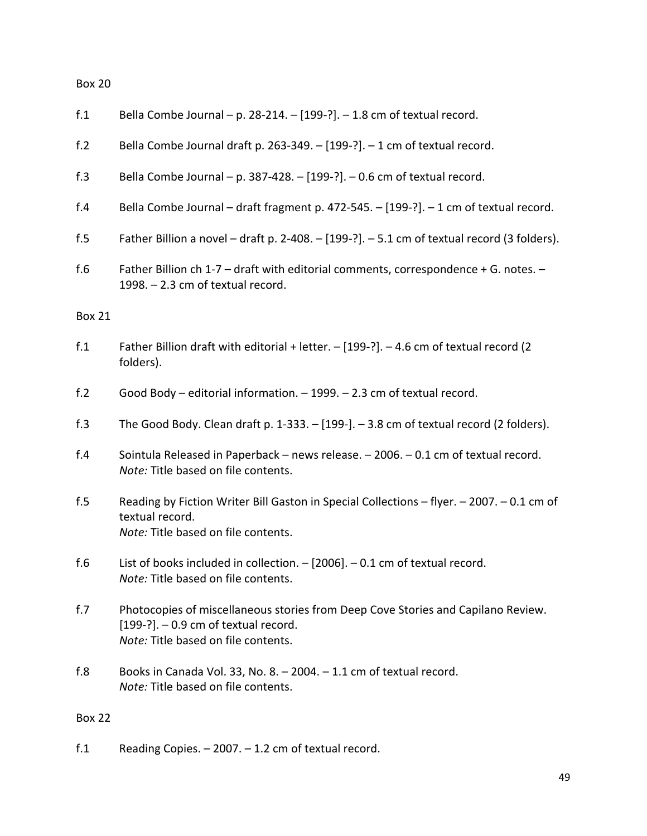| f.1             | Bella Combe Journal - p. 28-214. - [199-?]. - 1.8 cm of textual record.                                                                                            |
|-----------------|--------------------------------------------------------------------------------------------------------------------------------------------------------------------|
| f.2             | Bella Combe Journal draft p. 263-349. - [199-?]. - 1 cm of textual record.                                                                                         |
| f.3             | Bella Combe Journal - p. 387-428. - [199-?]. - 0.6 cm of textual record.                                                                                           |
| f.4             | Bella Combe Journal - draft fragment p. 472-545. - [199-?]. - 1 cm of textual record.                                                                              |
| f.5             | Father Billion a novel - draft p. 2-408. $-$ [199-?]. $-$ 5.1 cm of textual record (3 folders).                                                                    |
| f.6             | Father Billion ch 1-7 - draft with editorial comments, correspondence + G. notes. -<br>1998. - 2.3 cm of textual record.                                           |
| <b>Box 21</b>   |                                                                                                                                                                    |
| f.1             | Father Billion draft with editorial + letter. - [199-?]. - 4.6 cm of textual record (2<br>folders).                                                                |
| f.2             | Good Body - editorial information. - 1999. - 2.3 cm of textual record.                                                                                             |
| f.3             | The Good Body. Clean draft p. $1-333. - [199-]$ . $-3.8$ cm of textual record (2 folders).                                                                         |
| f.4             | Sointula Released in Paperback - news release. - 2006. - 0.1 cm of textual record.<br>Note: Title based on file contents.                                          |
| f.5             | Reading by Fiction Writer Bill Gaston in Special Collections - flyer. - 2007. - 0.1 cm of<br>textual record.<br>Note: Title based on file contents.                |
| f.6             | List of books included in collection. $-$ [2006]. $-$ 0.1 cm of textual record.<br>Note: Title based on file contents.                                             |
| f.7             | Photocopies of miscellaneous stories from Deep Cove Stories and Capilano Review.<br>$[199-?]$ . - 0.9 cm of textual record.<br>Note: Title based on file contents. |
| f.8             | Books in Canada Vol. 33, No. 8. $-$ 2004. $-$ 1.1 cm of textual record.<br>Note: Title based on file contents.                                                     |
| <b>Box 22</b>   |                                                                                                                                                                    |
| f <sub>.1</sub> | Reading Copies. $-2007. -1.2$ cm of textual record.                                                                                                                |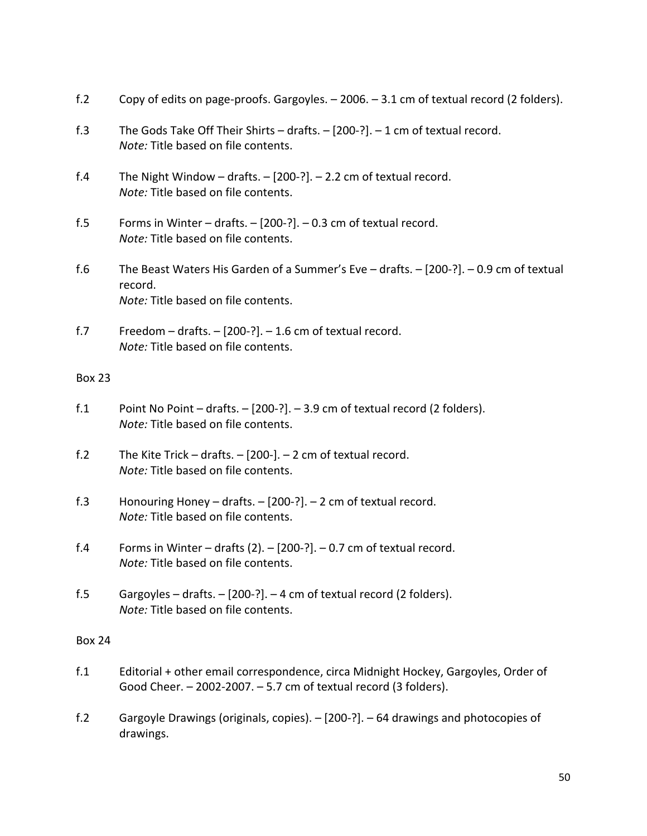| f.2           | Copy of edits on page-proofs. Gargoyles. - 2006. - 3.1 cm of textual record (2 folders).                                                                   |
|---------------|------------------------------------------------------------------------------------------------------------------------------------------------------------|
| f.3           | The Gods Take Off Their Shirts - drafts. $-$ [200-?]. $-$ 1 cm of textual record.<br>Note: Title based on file contents.                                   |
| f.4           | The Night Window - drafts. $-$ [200-?]. $-$ 2.2 cm of textual record.<br>Note: Title based on file contents.                                               |
| f.5           | Forms in Winter – drafts. $-$ [200-?]. $-$ 0.3 cm of textual record.<br>Note: Title based on file contents.                                                |
| f.6           | The Beast Waters His Garden of a Summer's Eve $-$ drafts. $-$ [200-?]. $-$ 0.9 cm of textual<br>record.<br>Note: Title based on file contents.             |
| f.7           | Freedom $-$ drafts. $-$ [200-?]. $-$ 1.6 cm of textual record.<br>Note: Title based on file contents.                                                      |
| <b>Box 23</b> |                                                                                                                                                            |
| f.1           | Point No Point – drafts. – [200-?]. – 3.9 cm of textual record (2 folders).<br>Note: Title based on file contents.                                         |
| f.2           | The Kite Trick $-$ drafts. $-$ [200-]. $-$ 2 cm of textual record.<br>Note: Title based on file contents.                                                  |
| f.3           | Honouring Honey $-$ drafts. $-$ [200-?]. $-$ 2 cm of textual record.<br>Note: Title based on file contents.                                                |
| f.4           | Forms in Winter - drafts (2). - [200-?]. - 0.7 cm of textual record.<br>Note: Title based on file contents.                                                |
| f.5           | Gargoyles – drafts. – [200-?]. – 4 cm of textual record (2 folders).<br>Note: Title based on file contents.                                                |
| <b>Box 24</b> |                                                                                                                                                            |
| f.1           | Editorial + other email correspondence, circa Midnight Hockey, Gargoyles, Order of<br>Good Cheer. $-$ 2002-2007. $-$ 5.7 cm of textual record (3 folders). |
| f.2           | Gargoyle Drawings (originals, copies). $-$ [200-?]. $-$ 64 drawings and photocopies of<br>drawings.                                                        |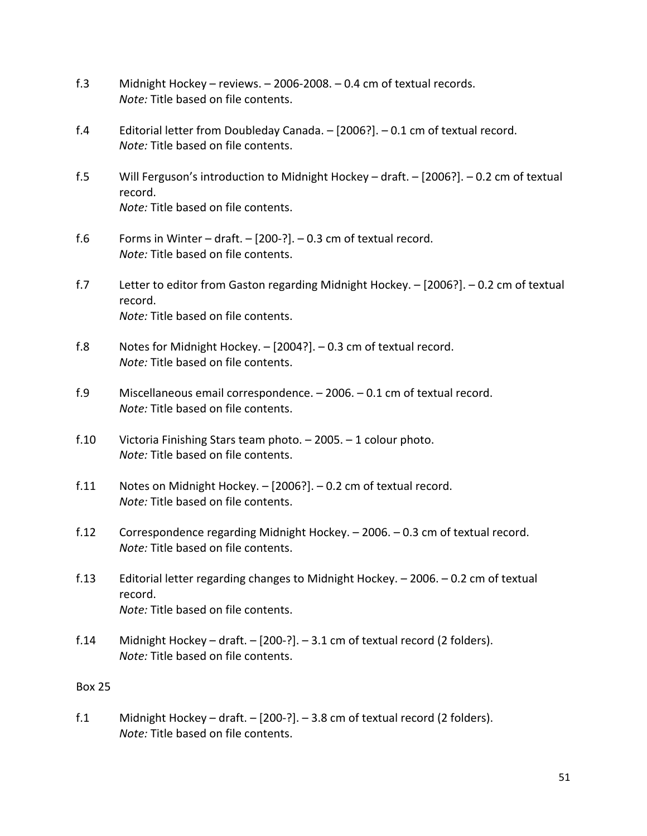- f.3 Midnight Hockey reviews. 2006-2008. 0.4 cm of textual records. *Note:* Title based on file contents.
- f.4 Editorial letter from Doubleday Canada. [2006?]. 0.1 cm of textual record. *Note:* Title based on file contents.
- f.5 Will Ferguson's introduction to Midnight Hockey draft. [2006?]. 0.2 cm of textual record. *Note:* Title based on file contents.
- f.6 Forms in Winter draft.  $-$  [200-?].  $-$  0.3 cm of textual record. *Note:* Title based on file contents.
- f.7 Letter to editor from Gaston regarding Midnight Hockey. [2006?]. 0.2 cm of textual record. *Note:* Title based on file contents.
- f.8 Notes for Midnight Hockey. [2004?]. 0.3 cm of textual record. *Note:* Title based on file contents.
- f.9 Miscellaneous email correspondence. 2006. 0.1 cm of textual record. *Note:* Title based on file contents.
- f.10 Victoria Finishing Stars team photo. 2005. 1 colour photo. *Note:* Title based on file contents.
- f.11 Notes on Midnight Hockey. [2006?]. 0.2 cm of textual record. *Note:* Title based on file contents.
- f.12 Correspondence regarding Midnight Hockey. 2006. 0.3 cm of textual record. *Note:* Title based on file contents.
- f.13 Editorial letter regarding changes to Midnight Hockey. 2006. 0.2 cm of textual record. *Note:* Title based on file contents.
- f.14 Midnight Hockey draft.  $-$  [200-?]. 3.1 cm of textual record (2 folders). *Note:* Title based on file contents.

f.1 Midnight Hockey – draft. – [200-?]. – 3.8 cm of textual record (2 folders). *Note:* Title based on file contents.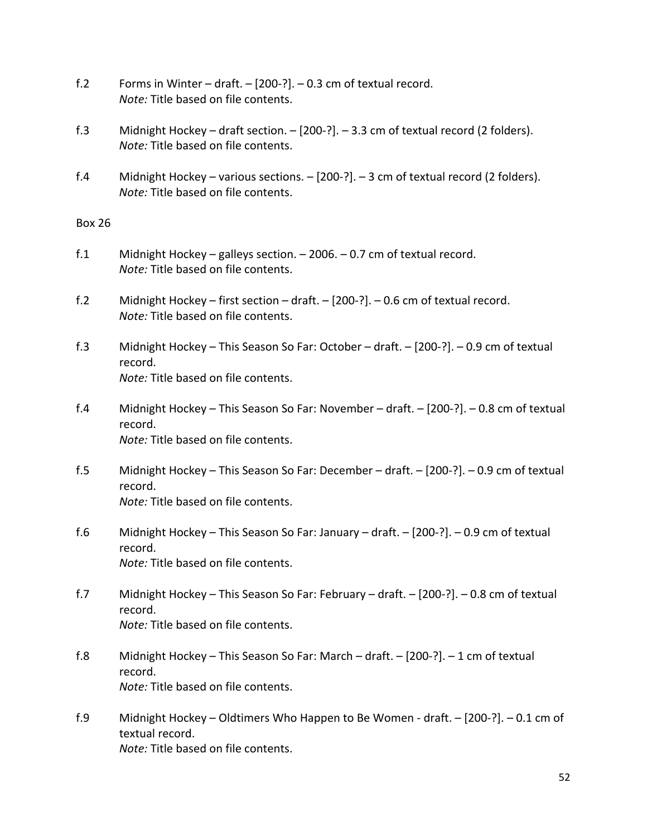- f.2 Forms in Winter draft. [200-?]. 0.3 cm of textual record. *Note:* Title based on file contents.
- f.3 Midnight Hockey draft section. [200-?]. 3.3 cm of textual record (2 folders). *Note:* Title based on file contents.
- f.4 Midnight Hockey various sections. [200-?]. 3 cm of textual record (2 folders). *Note:* Title based on file contents.

- f.1 Midnight Hockey galleys section. 2006. 0.7 cm of textual record. *Note:* Title based on file contents.
- f.2 Midnight Hockey first section draft. [200-?]. 0.6 cm of textual record. *Note:* Title based on file contents.
- f.3 Midnight Hockey This Season So Far: October draft. [200-?]. 0.9 cm of textual record. *Note:* Title based on file contents.
- f.4 Midnight Hockey This Season So Far: November draft. [200-?]. 0.8 cm of textual record. *Note:* Title based on file contents.
- f.5 Midnight Hockey This Season So Far: December draft. [200-?]. 0.9 cm of textual record. *Note:* Title based on file contents.
- f.6 Midnight Hockey This Season So Far: January draft. [200-?]. 0.9 cm of textual record. *Note:* Title based on file contents.
- f.7 Midnight Hockey This Season So Far: February draft. [200-?]. 0.8 cm of textual record. *Note:* Title based on file contents.
- f.8 Midnight Hockey This Season So Far: March draft. [200-?]. 1 cm of textual record. *Note:* Title based on file contents.
- f.9 Midnight Hockey Oldtimers Who Happen to Be Women draft. [200-?]. 0.1 cm of textual record. *Note:* Title based on file contents.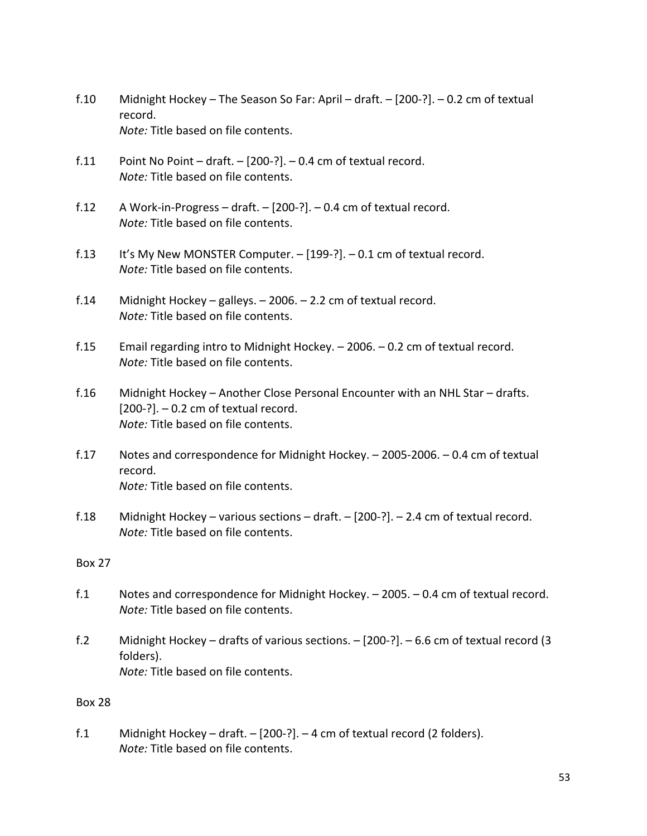- f.10 Midnight Hockey The Season So Far: April draft. [200-?]. 0.2 cm of textual record. *Note:* Title based on file contents.
- f.11 Point No Point draft.  $-$  [200-?]. 0.4 cm of textual record. *Note:* Title based on file contents.
- f.12 A Work-in-Progress draft. [200-?]. 0.4 cm of textual record. *Note:* Title based on file contents.
- f.13 It's My New MONSTER Computer. [199-?]. 0.1 cm of textual record. *Note:* Title based on file contents.
- f.14 Midnight Hockey galleys. 2006. 2.2 cm of textual record. *Note:* Title based on file contents.
- f.15 Email regarding intro to Midnight Hockey. 2006. 0.2 cm of textual record. *Note:* Title based on file contents.
- f.16 Midnight Hockey Another Close Personal Encounter with an NHL Star drafts.  $[200-?]$ . – 0.2 cm of textual record. *Note:* Title based on file contents.
- f.17 Notes and correspondence for Midnight Hockey. 2005-2006. 0.4 cm of textual record. *Note:* Title based on file contents.
- f.18 Midnight Hockey various sections draft. [200-?]. 2.4 cm of textual record. *Note:* Title based on file contents.

- f.1 Notes and correspondence for Midnight Hockey. 2005. 0.4 cm of textual record. *Note:* Title based on file contents.
- f.2 Midnight Hockey drafts of various sections. [200-?]. 6.6 cm of textual record (3 folders). *Note:* Title based on file contents.

## Box 28

f.1 Midnight Hockey – draft. – [200-?]. – 4 cm of textual record (2 folders). *Note:* Title based on file contents.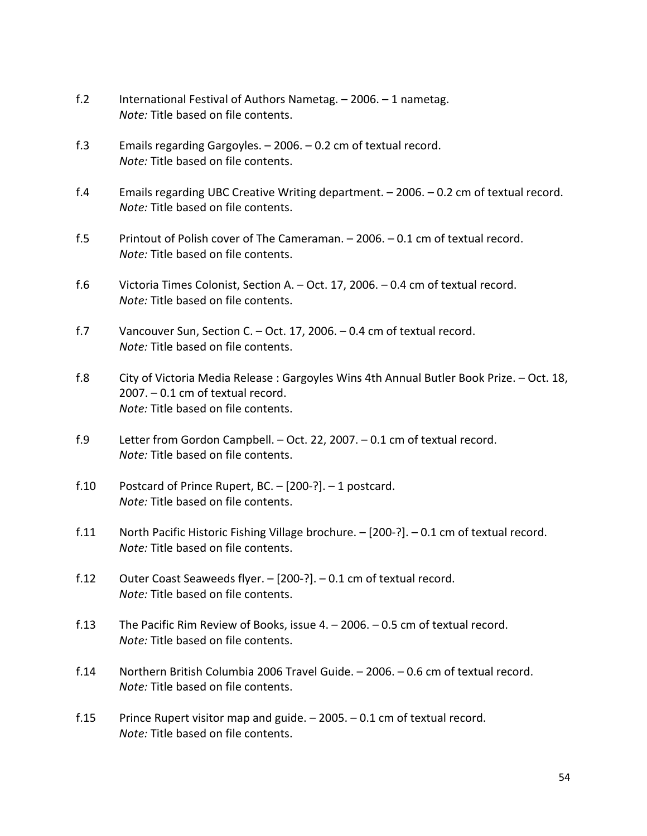- f.2 International Festival of Authors Nametag. 2006. 1 nametag. *Note:* Title based on file contents.
- f.3 Emails regarding Gargoyles. 2006. 0.2 cm of textual record. *Note:* Title based on file contents.
- f.4 Emails regarding UBC Creative Writing department. 2006. 0.2 cm of textual record. *Note:* Title based on file contents.
- f.5 Printout of Polish cover of The Cameraman. 2006. 0.1 cm of textual record. *Note:* Title based on file contents.
- f.6 Victoria Times Colonist, Section A. Oct. 17, 2006. 0.4 cm of textual record. *Note:* Title based on file contents.
- f.7 Vancouver Sun, Section C. Oct. 17, 2006. 0.4 cm of textual record. *Note:* Title based on file contents.
- f.8 City of Victoria Media Release : Gargoyles Wins 4th Annual Butler Book Prize. Oct. 18, 2007. – 0.1 cm of textual record. *Note:* Title based on file contents.
- f.9 Letter from Gordon Campbell. Oct. 22, 2007. 0.1 cm of textual record. *Note:* Title based on file contents.
- f.10 Postcard of Prince Rupert, BC. [200-?]. 1 postcard. *Note:* Title based on file contents.
- f.11 North Pacific Historic Fishing Village brochure. [200-?]. 0.1 cm of textual record. *Note:* Title based on file contents.
- f.12 Outer Coast Seaweeds flyer. [200-?]. 0.1 cm of textual record. *Note:* Title based on file contents.
- f.13 The Pacific Rim Review of Books, issue 4. 2006. 0.5 cm of textual record. *Note:* Title based on file contents.
- f.14 Northern British Columbia 2006 Travel Guide. 2006. 0.6 cm of textual record. *Note:* Title based on file contents.
- f.15 Prince Rupert visitor map and guide. 2005. 0.1 cm of textual record. *Note:* Title based on file contents.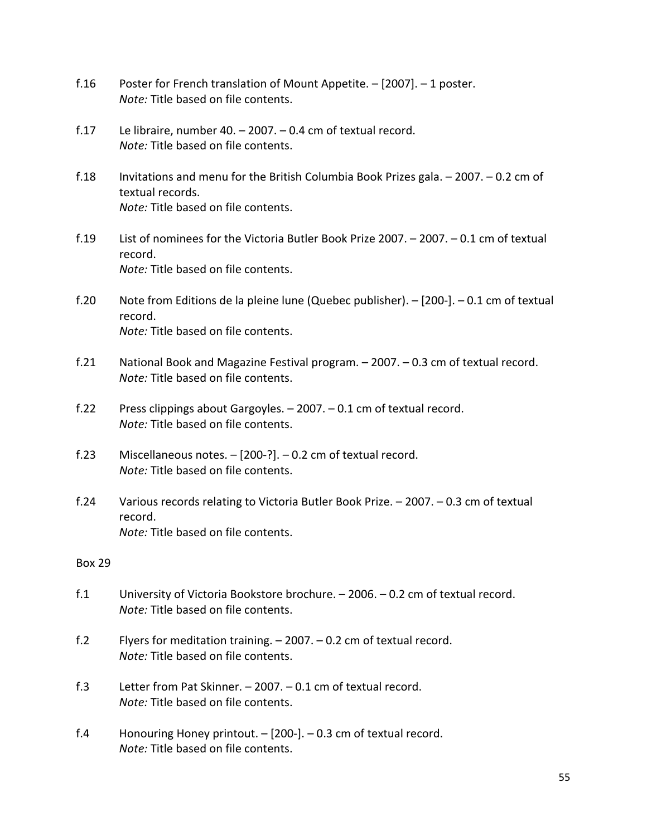- f.16 Poster for French translation of Mount Appetite. [2007]. 1 poster. *Note:* Title based on file contents.
- f.17 Le libraire, number 40. 2007. 0.4 cm of textual record. *Note:* Title based on file contents.
- f.18 Invitations and menu for the British Columbia Book Prizes gala. 2007. 0.2 cm of textual records. *Note:* Title based on file contents.
- f.19 List of nominees for the Victoria Butler Book Prize 2007. 2007. 0.1 cm of textual record. *Note:* Title based on file contents.
- f.20 Note from Editions de la pleine lune (Quebec publisher). [200-]. 0.1 cm of textual record. *Note:* Title based on file contents.
- f.21 National Book and Magazine Festival program. 2007. 0.3 cm of textual record. *Note:* Title based on file contents.
- f.22 Press clippings about Gargoyles. 2007. 0.1 cm of textual record. *Note:* Title based on file contents.
- f.23 Miscellaneous notes. [200-?]. 0.2 cm of textual record. *Note:* Title based on file contents.
- f.24 Various records relating to Victoria Butler Book Prize. 2007. 0.3 cm of textual record. *Note:* Title based on file contents.

- f.1 University of Victoria Bookstore brochure. 2006. 0.2 cm of textual record. *Note:* Title based on file contents.
- f.2 Flyers for meditation training. 2007. 0.2 cm of textual record. *Note:* Title based on file contents.
- f.3 Letter from Pat Skinner. 2007. 0.1 cm of textual record. *Note:* Title based on file contents.
- f.4 Honouring Honey printout. [200-]. 0.3 cm of textual record. *Note:* Title based on file contents.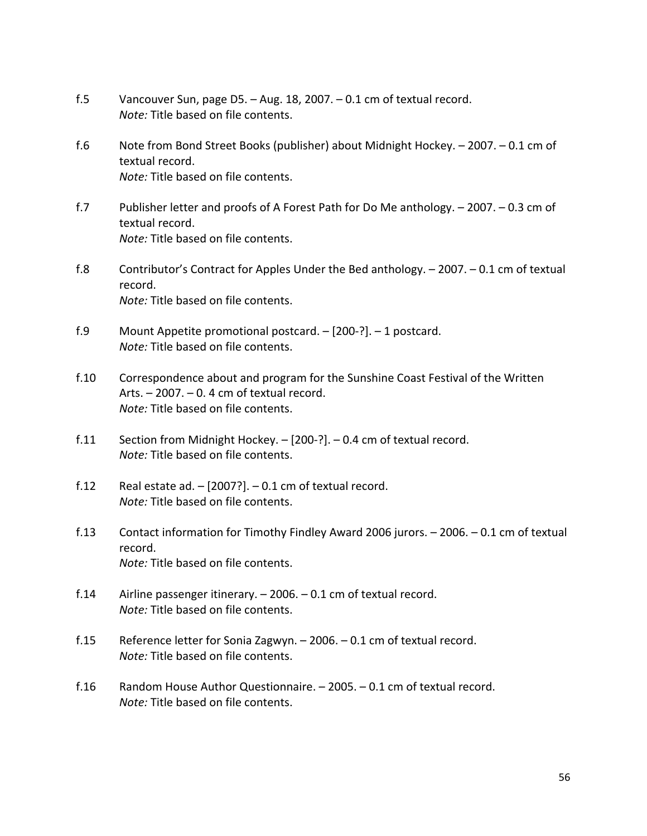- f.5 Vancouver Sun, page D5. Aug. 18, 2007. 0.1 cm of textual record. *Note:* Title based on file contents.
- f.6 Note from Bond Street Books (publisher) about Midnight Hockey. 2007. 0.1 cm of textual record. *Note:* Title based on file contents.
- f.7 Publisher letter and proofs of A Forest Path for Do Me anthology. 2007. 0.3 cm of textual record. *Note:* Title based on file contents.
- f.8 Contributor's Contract for Apples Under the Bed anthology. 2007. 0.1 cm of textual record. *Note:* Title based on file contents.
- f.9 Mount Appetite promotional postcard. [200-?]. 1 postcard. *Note:* Title based on file contents.
- f.10 Correspondence about and program for the Sunshine Coast Festival of the Written Arts. – 2007. – 0. 4 cm of textual record. *Note:* Title based on file contents.
- f.11 Section from Midnight Hockey. [200-?]. 0.4 cm of textual record. *Note:* Title based on file contents.
- f.12 Real estate ad.  $-$  [2007?].  $-$  0.1 cm of textual record. *Note:* Title based on file contents.
- f.13 Contact information for Timothy Findley Award 2006 jurors. 2006. 0.1 cm of textual record. *Note:* Title based on file contents.
- f.14 Airline passenger itinerary. 2006. 0.1 cm of textual record. *Note:* Title based on file contents.
- f.15 Reference letter for Sonia Zagwyn. 2006. 0.1 cm of textual record. *Note:* Title based on file contents.
- f.16 Random House Author Questionnaire. 2005. 0.1 cm of textual record. *Note:* Title based on file contents.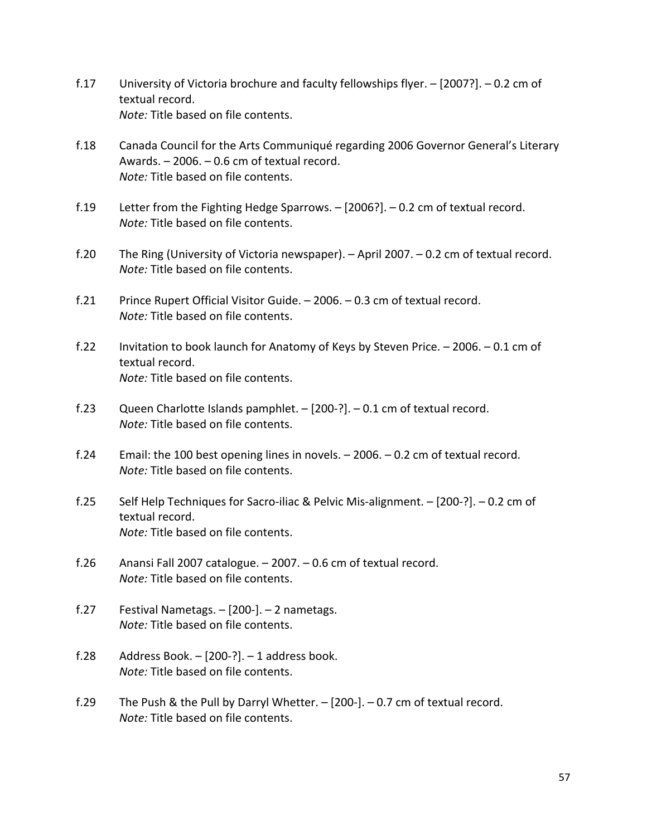- f.17 University of Victoria brochure and faculty fellowships flyer. [2007?]. 0.2 cm of textual record. *Note:* Title based on file contents.
- f.18 Canada Council for the Arts Communiqué regarding 2006 Governor General's Literary Awards. – 2006. – 0.6 cm of textual record. *Note:* Title based on file contents.
- f.19 Letter from the Fighting Hedge Sparrows. [2006?]. 0.2 cm of textual record. *Note:* Title based on file contents.
- f.20 The Ring (University of Victoria newspaper). April 2007. 0.2 cm of textual record. *Note:* Title based on file contents.
- f.21 Prince Rupert Official Visitor Guide. 2006. 0.3 cm of textual record. *Note:* Title based on file contents.
- f.22 Invitation to book launch for Anatomy of Keys by Steven Price. 2006. 0.1 cm of textual record. *Note:* Title based on file contents.
- f.23 Queen Charlotte Islands pamphlet. [200-?]. 0.1 cm of textual record. *Note:* Title based on file contents.
- f.24 Email: the 100 best opening lines in novels. 2006. 0.2 cm of textual record. *Note:* Title based on file contents.
- f.25 Self Help Techniques for Sacro-iliac & Pelvic Mis-alignment. [200-?]. 0.2 cm of textual record. *Note:* Title based on file contents.
- f.26 Anansi Fall 2007 catalogue. 2007. 0.6 cm of textual record. *Note:* Title based on file contents.
- f.27 Festival Nametags. [200-]. 2 nametags. *Note:* Title based on file contents.
- f.28 Address Book.  $[200-?]$ .  $-$  1 address book. *Note:* Title based on file contents.
- f.29 The Push & the Pull by Darryl Whetter. [200-]. 0.7 cm of textual record. *Note:* Title based on file contents.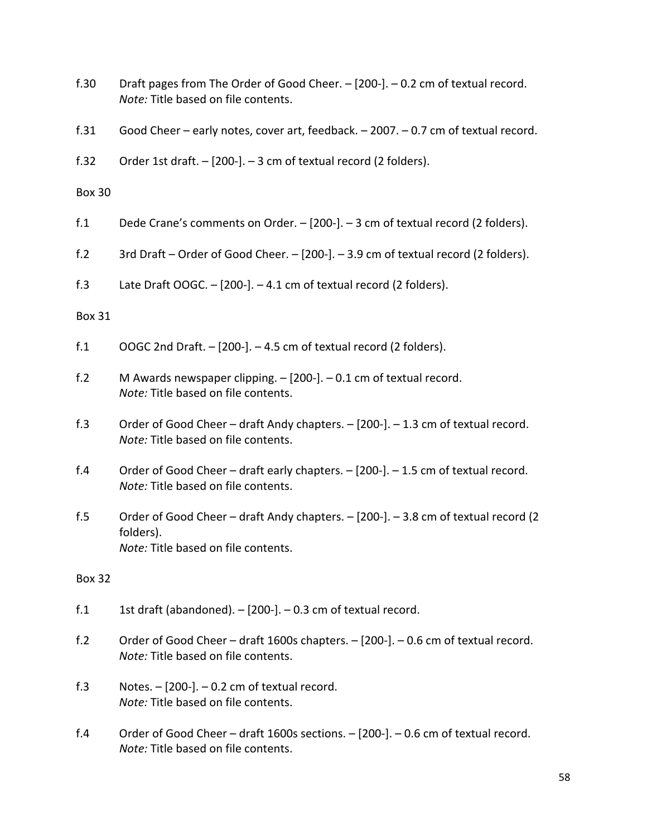| f.30          | Draft pages from The Order of Good Cheer. - [200-]. - 0.2 cm of textual record.<br>Note: Title based on file contents.                 |
|---------------|----------------------------------------------------------------------------------------------------------------------------------------|
| f.31          | Good Cheer - early notes, cover art, feedback. - 2007. - 0.7 cm of textual record.                                                     |
| f.32          | Order 1st draft. - [200-]. - 3 cm of textual record (2 folders).                                                                       |
| <b>Box 30</b> |                                                                                                                                        |
| f.1           | Dede Crane's comments on Order. $-$ [200-]. $-$ 3 cm of textual record (2 folders).                                                    |
| f.2           | 3rd Draft - Order of Good Cheer. - [200-]. - 3.9 cm of textual record (2 folders).                                                     |
| f.3           | Late Draft OOGC. $-$ [200-]. $-$ 4.1 cm of textual record (2 folders).                                                                 |
| <b>Box 31</b> |                                                                                                                                        |
| f.1           | OOGC 2nd Draft. - [200-]. - 4.5 cm of textual record (2 folders).                                                                      |
| f.2           | M Awards newspaper clipping. $-$ [200-]. $-$ 0.1 cm of textual record.<br>Note: Title based on file contents.                          |
| f.3           | Order of Good Cheer - draft Andy chapters. - [200-]. - 1.3 cm of textual record.<br>Note: Title based on file contents.                |
| f.4           | Order of Good Cheer - draft early chapters. - [200-]. - 1.5 cm of textual record.<br>Note: Title based on file contents.               |
| f.5           | Order of Good Cheer – draft Andy chapters. – [200-]. – 3.8 cm of textual record (2<br>folders).<br>Note: Title based on file contents. |
| <b>Box 32</b> |                                                                                                                                        |
| f.1           | 1st draft (abandoned). - [200-]. - 0.3 cm of textual record.                                                                           |
| f.2           | Order of Good Cheer - draft 1600s chapters. - [200-]. - 0.6 cm of textual record.<br>Note: Title based on file contents.               |
| f.3           | Notes. $-$ [200-]. $-$ 0.2 cm of textual record.<br>Note: Title based on file contents.                                                |
| f.4           | Order of Good Cheer - draft 1600s sections. - [200-]. - 0.6 cm of textual record.<br>Note: Title based on file contents.               |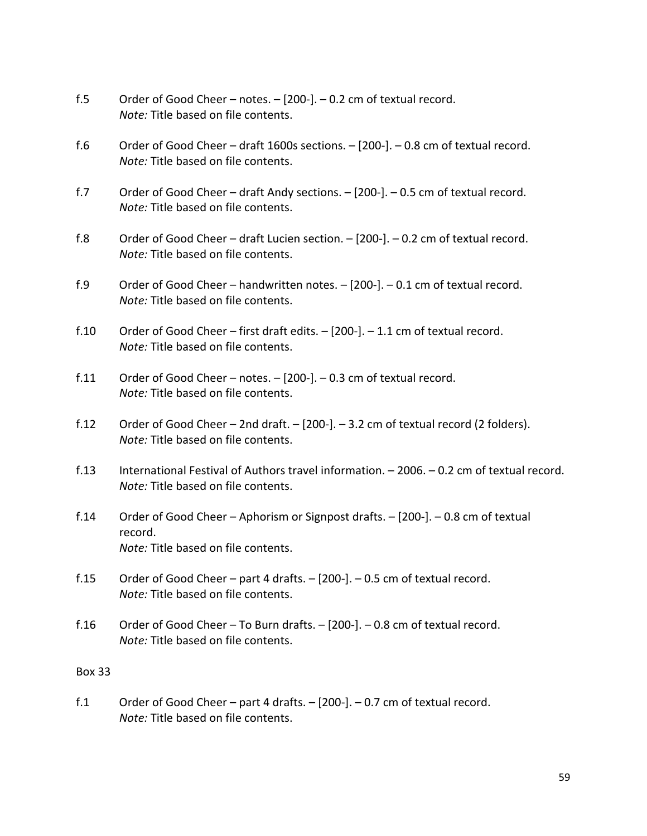- f.5 Order of Good Cheer notes. [200-]. 0.2 cm of textual record. *Note:* Title based on file contents.
- f.6 Order of Good Cheer draft 1600s sections. [200-]. 0.8 cm of textual record. *Note:* Title based on file contents.
- f.7 Order of Good Cheer draft Andy sections. [200-]. 0.5 cm of textual record. *Note:* Title based on file contents.
- f.8 Order of Good Cheer draft Lucien section. [200-]. 0.2 cm of textual record. *Note:* Title based on file contents.
- f.9 Order of Good Cheer handwritten notes. [200-]. 0.1 cm of textual record. *Note:* Title based on file contents.
- f.10 Order of Good Cheer first draft edits.  $-$  [200-].  $-$  1.1 cm of textual record. *Note:* Title based on file contents.
- f.11 Order of Good Cheer notes. [200-]. 0.3 cm of textual record. *Note:* Title based on file contents.
- f.12 Order of Good Cheer 2nd draft.  $-$  [200-].  $-$  3.2 cm of textual record (2 folders). *Note:* Title based on file contents.
- f.13 International Festival of Authors travel information. 2006. 0.2 cm of textual record. *Note:* Title based on file contents.
- f.14 Order of Good Cheer Aphorism or Signpost drafts. [200-]. 0.8 cm of textual record. *Note:* Title based on file contents.
- f.15 Order of Good Cheer part 4 drafts. [200-]. 0.5 cm of textual record. *Note:* Title based on file contents.
- f.16 Order of Good Cheer To Burn drafts. [200-]. 0.8 cm of textual record. *Note:* Title based on file contents.

f.1 Order of Good Cheer – part 4 drafts. – [200-]. – 0.7 cm of textual record. *Note:* Title based on file contents.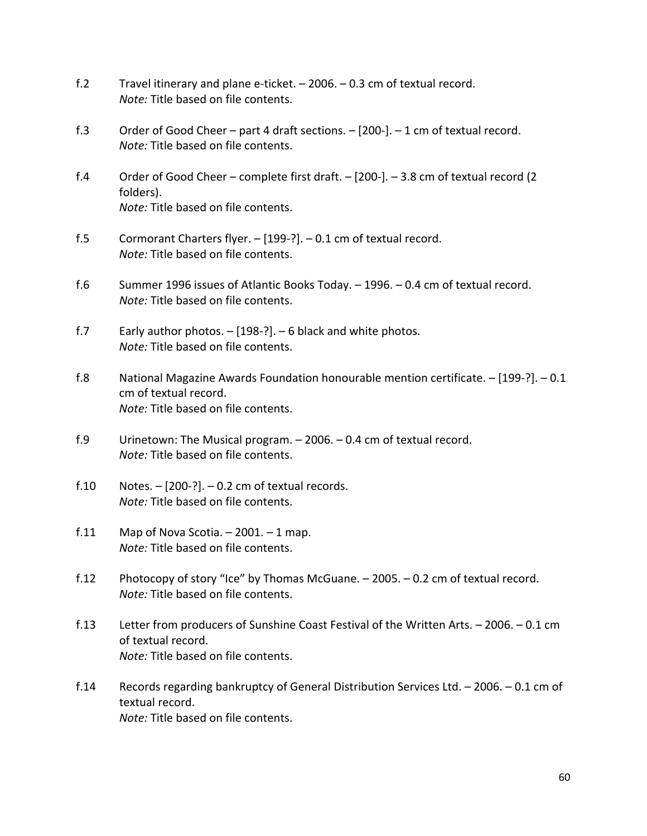- f.2 Travel itinerary and plane e-ticket. 2006. 0.3 cm of textual record. *Note:* Title based on file contents.
- f.3 Order of Good Cheer part 4 draft sections. [200-]. 1 cm of textual record. *Note:* Title based on file contents.
- f.4 Order of Good Cheer complete first draft. [200-]. 3.8 cm of textual record (2 folders). *Note:* Title based on file contents.
- f.5 Cormorant Charters flyer. [199-?]. 0.1 cm of textual record. *Note:* Title based on file contents.
- f.6 Summer 1996 issues of Atlantic Books Today. 1996. 0.4 cm of textual record. *Note:* Title based on file contents.
- f.7 Early author photos. [198-?]. 6 black and white photos. *Note:* Title based on file contents.
- f.8 National Magazine Awards Foundation honourable mention certificate. [199-?]. 0.1 cm of textual record. *Note:* Title based on file contents.
- f.9 Urinetown: The Musical program. 2006. 0.4 cm of textual record. *Note:* Title based on file contents.
- f.10 Notes. [200-?]. 0.2 cm of textual records. *Note:* Title based on file contents.
- f.11 Map of Nova Scotia.  $-2001. 1$  map. *Note:* Title based on file contents.
- f.12 Photocopy of story "Ice" by Thomas McGuane. 2005. 0.2 cm of textual record. *Note:* Title based on file contents.
- f.13 Letter from producers of Sunshine Coast Festival of the Written Arts. 2006. 0.1 cm of textual record. *Note:* Title based on file contents.
- f.14 Records regarding bankruptcy of General Distribution Services Ltd. 2006. 0.1 cm of textual record. *Note:* Title based on file contents.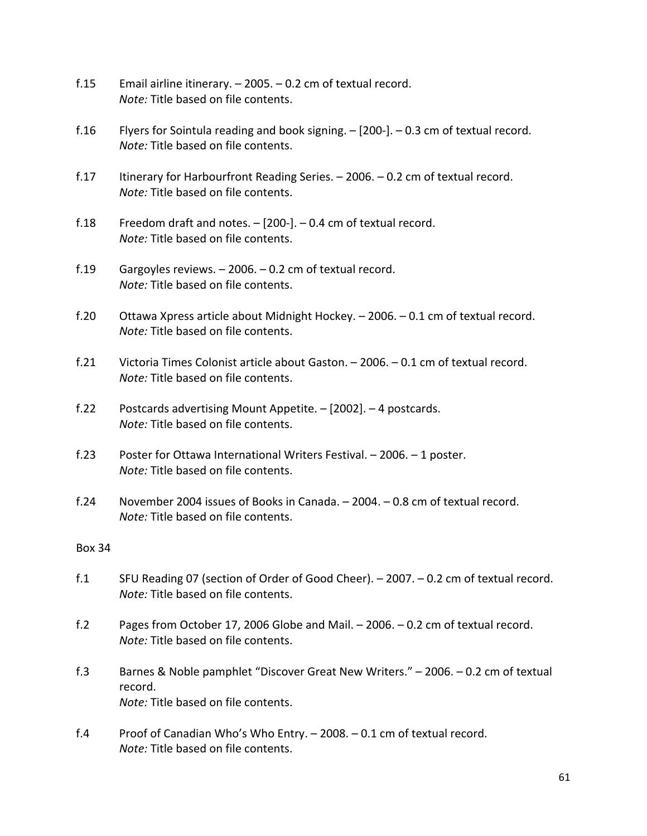- f.15 Email airline itinerary. 2005. 0.2 cm of textual record. *Note:* Title based on file contents.
- f.16 Flyers for Sointula reading and book signing. [200-]. 0.3 cm of textual record. *Note:* Title based on file contents.
- f.17 Itinerary for Harbourfront Reading Series. 2006. 0.2 cm of textual record. *Note:* Title based on file contents.
- f.18 Freedom draft and notes.  $-$  [200-].  $-$  0.4 cm of textual record. *Note:* Title based on file contents.
- f.19 Gargoyles reviews. 2006. 0.2 cm of textual record. *Note:* Title based on file contents.
- f.20 Ottawa Xpress article about Midnight Hockey. 2006. 0.1 cm of textual record. *Note:* Title based on file contents.
- f.21 Victoria Times Colonist article about Gaston. 2006. 0.1 cm of textual record. *Note:* Title based on file contents.
- f.22 Postcards advertising Mount Appetite. [2002]. 4 postcards. *Note:* Title based on file contents.
- f.23 Poster for Ottawa International Writers Festival. 2006. 1 poster. *Note:* Title based on file contents.
- f.24 November 2004 issues of Books in Canada. 2004. 0.8 cm of textual record. *Note:* Title based on file contents.

- f.1 SFU Reading 07 (section of Order of Good Cheer). 2007. 0.2 cm of textual record. *Note:* Title based on file contents.
- f.2 Pages from October 17, 2006 Globe and Mail. 2006. 0.2 cm of textual record. *Note:* Title based on file contents.
- f.3 Barnes & Noble pamphlet "Discover Great New Writers." 2006. 0.2 cm of textual record. *Note:* Title based on file contents.
- f.4 Proof of Canadian Who's Who Entry. 2008. 0.1 cm of textual record. *Note:* Title based on file contents.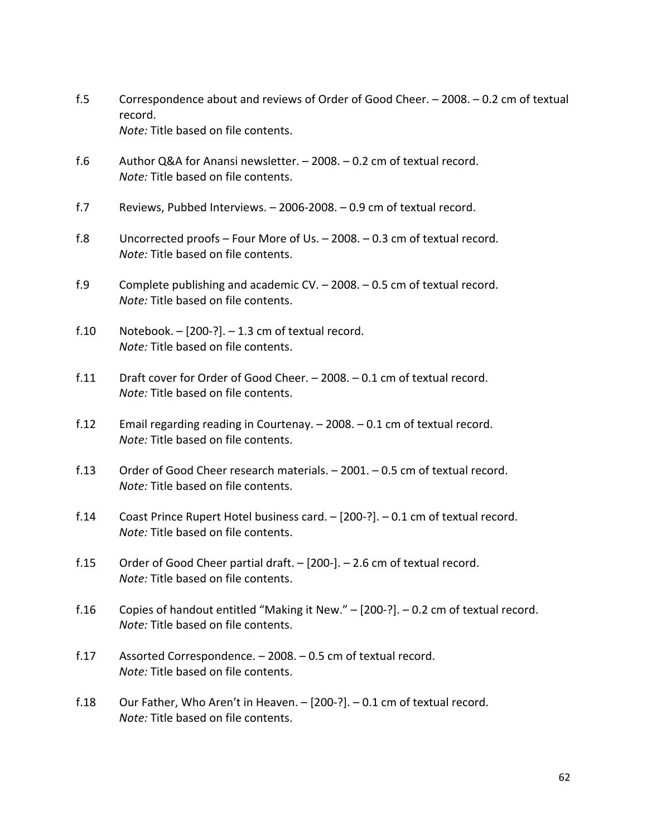- f.5 Correspondence about and reviews of Order of Good Cheer. 2008. 0.2 cm of textual record. *Note:* Title based on file contents.
- f.6 Author Q&A for Anansi newsletter. 2008. 0.2 cm of textual record. *Note:* Title based on file contents.
- f.7 Reviews, Pubbed Interviews. 2006-2008. 0.9 cm of textual record.
- f.8 Uncorrected proofs Four More of Us. 2008. 0.3 cm of textual record. *Note:* Title based on file contents.
- f.9 Complete publishing and academic CV. 2008. 0.5 cm of textual record. *Note:* Title based on file contents.
- f.10 Notebook.  $[200-$ ?].  $-$  1.3 cm of textual record. *Note:* Title based on file contents.
- f.11 Draft cover for Order of Good Cheer. 2008. 0.1 cm of textual record. *Note:* Title based on file contents.
- f.12 Email regarding reading in Courtenay. 2008. 0.1 cm of textual record. *Note:* Title based on file contents.
- f.13 Order of Good Cheer research materials. 2001. 0.5 cm of textual record. *Note:* Title based on file contents.
- f.14 Coast Prince Rupert Hotel business card. [200-?]. 0.1 cm of textual record. *Note:* Title based on file contents.
- f.15 Order of Good Cheer partial draft. [200-]. 2.6 cm of textual record. *Note:* Title based on file contents.
- f.16 Copies of handout entitled "Making it New." [200-?]. 0.2 cm of textual record. *Note:* Title based on file contents.
- f.17 Assorted Correspondence. 2008. 0.5 cm of textual record. *Note:* Title based on file contents.
- f.18 Our Father, Who Aren't in Heaven. [200-?]. 0.1 cm of textual record. *Note:* Title based on file contents.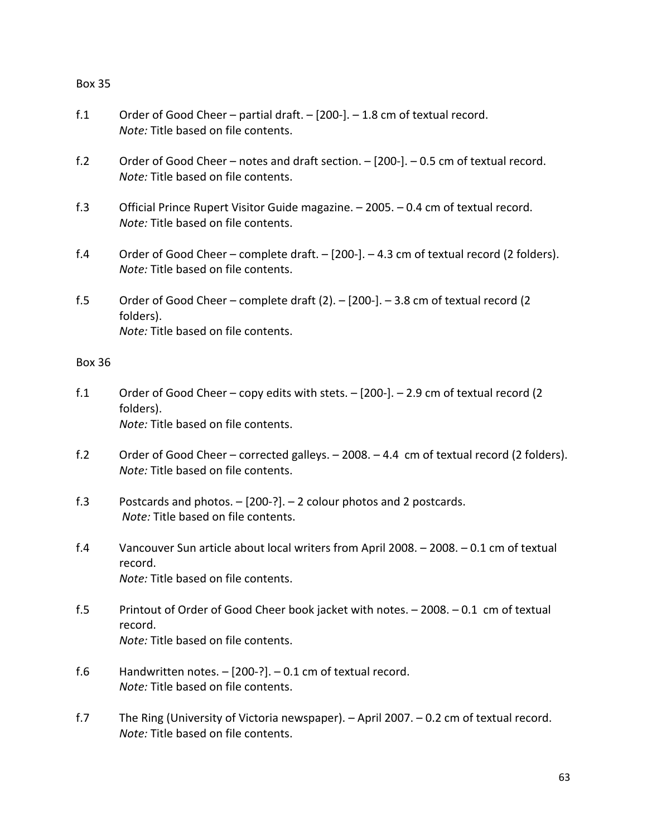- f.1 Order of Good Cheer partial draft. [200-]. 1.8 cm of textual record. *Note:* Title based on file contents.
- f.2 Order of Good Cheer notes and draft section. [200-]. 0.5 cm of textual record. *Note:* Title based on file contents.
- f.3 Official Prince Rupert Visitor Guide magazine. 2005. 0.4 cm of textual record. *Note:* Title based on file contents.
- f.4 Order of Good Cheer complete draft. [200-]. 4.3 cm of textual record (2 folders). *Note:* Title based on file contents.
- f.5 Order of Good Cheer complete draft (2). [200-]. 3.8 cm of textual record (2 folders). *Note:* Title based on file contents.

- f.1 Order of Good Cheer copy edits with stets. [200-]. 2.9 cm of textual record (2 folders). *Note:* Title based on file contents.
- f.2 Order of Good Cheer corrected galleys. 2008. 4.4 cm of textual record (2 folders). *Note:* Title based on file contents.
- f.3 Postcards and photos. [200-?]. 2 colour photos and 2 postcards. *Note:* Title based on file contents.
- f.4 Vancouver Sun article about local writers from April 2008. 2008. 0.1 cm of textual record. *Note:* Title based on file contents.
- f.5 Printout of Order of Good Cheer book jacket with notes. 2008. 0.1 cm of textual record. *Note:* Title based on file contents.
- f.6 Handwritten notes. [200-?]. 0.1 cm of textual record. *Note:* Title based on file contents.
- f.7 The Ring (University of Victoria newspaper). April 2007. 0.2 cm of textual record. *Note:* Title based on file contents.